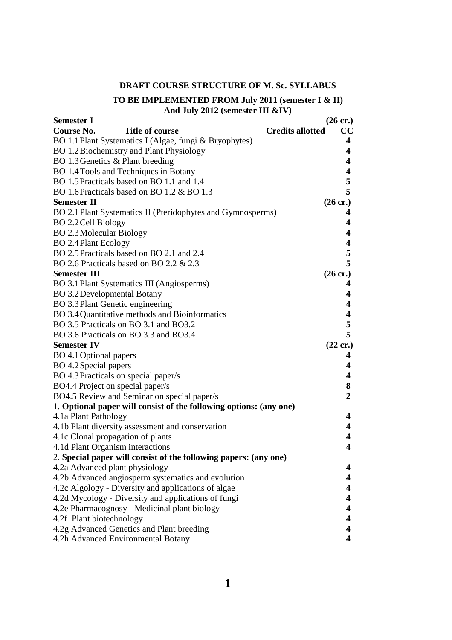# **DRAFT COURSE STRUCTURE OF M. Sc. SYLLABUS**

### **TO BE IMPLEMENTED FROM July 2011 (semester I & II) And July 2012 (semester III &IV)**

| <b>Semester I</b>                                                  | $(26 \text{ cr.})$      |
|--------------------------------------------------------------------|-------------------------|
| <b>Course No.</b><br>Title of course<br><b>Credits allotted</b>    | CC                      |
| BO 1.1 Plant Systematics I (Algae, fungi & Bryophytes)             | 4                       |
| BO 1.2 Biochemistry and Plant Physiology                           | 4                       |
| BO 1.3 Genetics & Plant breeding                                   | 4                       |
| BO 1.4 Tools and Techniques in Botany                              | 4                       |
| BO 1.5 Practicals based on BO 1.1 and 1.4                          | 5                       |
| BO 1.6 Practicals based on BO 1.2 & BO 1.3                         | 5                       |
| <b>Semester II</b>                                                 | $(26 \text{ cr.})$      |
| BO 2.1 Plant Systematics II (Pteridophytes and Gymnosperms)        | 4                       |
| BO 2.2 Cell Biology                                                | 4                       |
| <b>BO 2.3 Molecular Biology</b>                                    | 4                       |
| <b>BO 2.4 Plant Ecology</b>                                        | 4                       |
| BO 2.5 Practicals based on BO 2.1 and 2.4                          | 5                       |
| BO 2.6 Practicals based on BO 2.2 & 2.3                            | 5                       |
| <b>Semester III</b>                                                | $(26 \text{ cr.})$      |
| BO 3.1 Plant Systematics III (Angiosperms)                         | 4                       |
| <b>BO</b> 3.2 Developmental Botany                                 | 4                       |
| BO 3.3 Plant Genetic engineering                                   | 4                       |
| BO 3.4 Quantitative methods and Bioinformatics                     | $\overline{\mathbf{4}}$ |
| BO 3.5 Practicals on BO 3.1 and BO3.2                              | 5                       |
| BO 3.6 Practicals on BO 3.3 and BO3.4                              | 5                       |
| <b>Semester IV</b>                                                 | $(22 \text{ cr.})$      |
| BO 4.1 Optional papers                                             | 4                       |
| BO 4.2 Special papers                                              | 4                       |
| BO 4.3 Practicals on special paper/s                               | 4                       |
| BO4.4 Project on special paper/s                                   | 8                       |
| BO4.5 Review and Seminar on special paper/s                        | $\overline{2}$          |
| 1. Optional paper will consist of the following options: (any one) |                         |
| 4.1a Plant Pathology                                               | 4                       |
| 4.1b Plant diversity assessment and conservation                   | 4                       |
| 4.1c Clonal propagation of plants                                  | 4                       |
| 4.1d Plant Organism interactions                                   | 4                       |
| 2. Special paper will consist of the following papers: (any one)   |                         |
| 4.2a Advanced plant physiology                                     | 4                       |
| 4.2b Advanced angiosperm systematics and evolution                 | 4                       |
| 4.2c Algology - Diversity and applications of algae                | 4                       |
| 4.2d Mycology - Diversity and applications of fungi                | 4                       |
| 4.2e Pharmacognosy - Medicinal plant biology                       | 4                       |
| 4.2f Plant biotechnology                                           | 4                       |
| 4.2g Advanced Genetics and Plant breeding                          | 4                       |
| 4.2h Advanced Environmental Botany                                 | 4                       |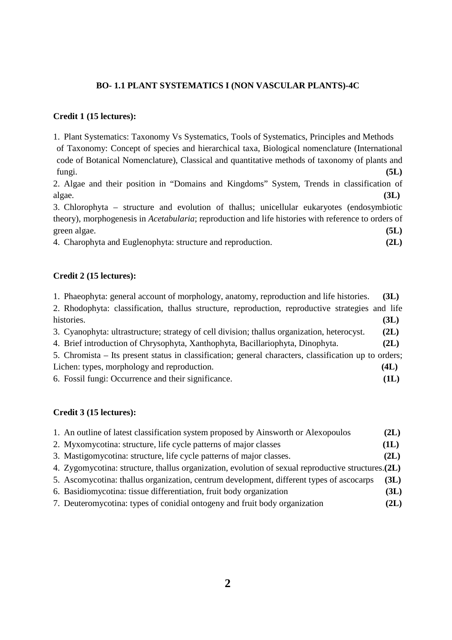# **BO- 1.1 PLANT SYSTEMATICS I (NON VASCULAR PLANTS)-4C**

# **Credit 1 (15 lectures):**

1. Plant Systematics: Taxonomy Vs Systematics, Tools of Systematics, Principles and Methods of Taxonomy: Concept of species and hierarchical taxa, Biological nomenclature (International code of Botanical Nomenclature), Classical and quantitative methods of taxonomy of plants and fungi. **(5L)**

2. Algae and their position in "Domains and Kingdoms" System, Trends in classification of algae. **(3L)** 

3. Chlorophyta – structure and evolution of thallus; unicellular eukaryotes (endosymbiotic theory), morphogenesis in *Acetabularia*; reproduction and life histories with reference to orders of green algae. **(5L)** 

4. Charophyta and Euglenophyta: structure and reproduction. **(2L)** 

## **Credit 2 (15 lectures):**

| 1. Phaeophyta: general account of morphology, anatomy, reproduction and life histories.               | (3L) |
|-------------------------------------------------------------------------------------------------------|------|
| 2. Rhodophyta: classification, thallus structure, reproduction, reproductive strategies and life      |      |
| histories.                                                                                            | (3L) |
| 3. Cyanophyta: ultrastructure; strategy of cell division; thallus organization, heterocyst.           | (2L) |
| 4. Brief introduction of Chrysophyta, Xanthophyta, Bacillariophyta, Dinophyta.                        | (2L) |
| 5. Chromista – Its present status in classification; general characters, classification up to orders; |      |
| Lichen: types, morphology and reproduction.                                                           | (4L) |
| 6. Fossil fungi: Occurrence and their significance.                                                   | (1L) |

# **Credit 3 (15 lectures):**

| 1. An outline of latest classification system proposed by Ainsworth or Alexopoulos                  | (2L) |
|-----------------------------------------------------------------------------------------------------|------|
| 2. Myxomycotina: structure, life cycle patterns of major classes                                    | (1L) |
| 3. Mastigomycotina: structure, life cycle patterns of major classes.                                | (2L) |
| 4. Zygomycotina: structure, thallus organization, evolution of sexual reproductive structures. (2L) |      |
| 5. Ascomycotina: thallus organization, centrum development, different types of ascocarps            | (3L) |
| 6. Basidiomycotina: tissue differentiation, fruit body organization                                 | (3L) |
| 7. Deuteromycotina: types of conidial ontogeny and fruit body organization                          | (2L) |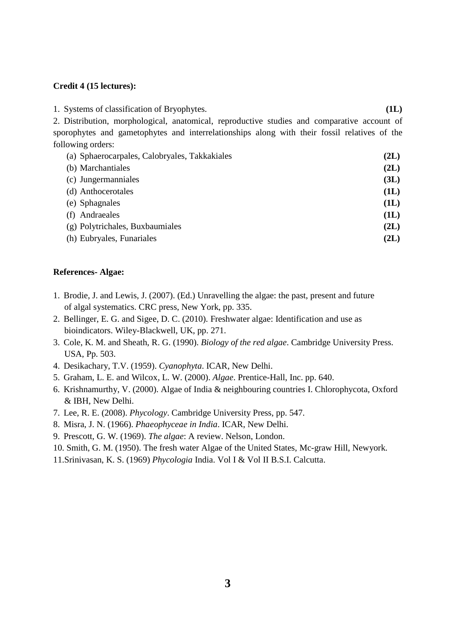#### **Credit 4 (15 lectures):**

1. Systems of classification of Bryophytes. **(1L)** 2. Distribution, morphological, anatomical, reproductive studies and comparative account of sporophytes and gametophytes and interrelationships along with their fossil relatives of the following orders: (a) Sphaerocarpales, Calobryales, Takkakiales **(2L)** 

| $\mathbf{w}$ $\mathbf{v}$ $\mathbf{v}$ $\mathbf{v}$ $\mathbf{v}$ $\mathbf{v}$ $\mathbf{v}$ $\mathbf{v}$ $\mathbf{v}$ $\mathbf{v}$ $\mathbf{v}$ $\mathbf{v}$ $\mathbf{v}$ $\mathbf{v}$ $\mathbf{v}$ $\mathbf{v}$ $\mathbf{v}$ $\mathbf{v}$ $\mathbf{v}$ $\mathbf{v}$ $\mathbf{v}$ $\mathbf{v}$ $\mathbf{v}$ $\mathbf{v}$ $\mathbf{$ | . — — , |
|------------------------------------------------------------------------------------------------------------------------------------------------------------------------------------------------------------------------------------------------------------------------------------------------------------------------------------|---------|
| (b) Marchantiales                                                                                                                                                                                                                                                                                                                  | (2L)    |
| (c) Jungermanniales                                                                                                                                                                                                                                                                                                                | (3L)    |
| (d) Anthocerotales                                                                                                                                                                                                                                                                                                                 | (1L)    |
| (e) Sphagnales                                                                                                                                                                                                                                                                                                                     | (1L)    |
| (f) Andraeales                                                                                                                                                                                                                                                                                                                     | (1L)    |
| (g) Polytrichales, Buxbaumiales                                                                                                                                                                                                                                                                                                    | (2L)    |
| (h) Eubryales, Funariales                                                                                                                                                                                                                                                                                                          | (2L)    |

## **References- Algae:**

- 1. Brodie, J. and Lewis, J. (2007). (Ed.) Unravelling the algae: the past, present and future of algal systematics. CRC press, New York, pp. 335.
- 2. Bellinger, E. G. and Sigee, D. C. (2010). Freshwater algae: Identification and use as bioindicators. Wiley-Blackwell, UK, pp. 271.
- 3. Cole, K. M. and Sheath, R. G. (1990). *Biology of the red algae*. Cambridge University Press. USA, Pp. 503.
- 4. Desikachary, T.V. (1959). *Cyanophyta*. ICAR, New Delhi.
- 5. Graham, L. E. and Wilcox, L. W. (2000). *Algae*. Prentice-Hall, Inc. pp. 640.
- 6. Krishnamurthy, V. (2000). Algae of India & neighbouring countries I. Chlorophycota, Oxford & IBH, New Delhi.
- 7. Lee, R. E. (2008). *Phycology*. Cambridge University Press, pp. 547.
- 8. Misra, J. N. (1966). *Phaeophyceae in India*. ICAR, New Delhi.
- 9. Prescott, G. W. (1969). *The algae*: A review. Nelson, London.
- 10. Smith, G. M. (1950). The fresh water Algae of the United States, Mc-graw Hill, Newyork.
- 11.Srinivasan, K. S. (1969) *Phycologia* India. Vol I & Vol II B.S.I. Calcutta.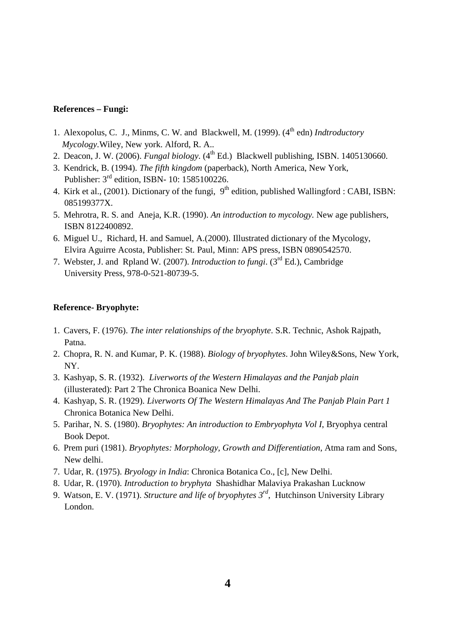## **References – Fungi:**

- 1. Alexopolus, C. J., Minms, C. W. and Blackwell, M. (1999). (4<sup>th</sup> edn) *Indtroductory Mycology*.Wiley, New york. Alford, R. A..
- 2. Deacon, J. W. (2006). *Fungal biology*.  $(4<sup>th</sup> Ed.)$  Blackwell publishing, ISBN. 1405130660.
- 3. Kendrick, B. (1994). *The fifth kingdom* (paperback), North America, New York, Publisher: 3rd edition, ISBN- 10: 1585100226.
- 4. Kirk et al., (2001). Dictionary of the fungi,  $9<sup>th</sup>$  edition, published Wallingford : CABI, ISBN: 085199377X.
- 5. Mehrotra, R. S. and Aneja, K.R. (1990). *An introduction to mycology.* New age publishers, ISBN 8122400892.
- 6. Miguel U., Richard, H. and Samuel, A.(2000). Illustrated dictionary of the Mycology, Elvira Aguirre Acosta, Publisher: St. Paul, Minn: APS press, ISBN 0890542570.
- 7. Webster, J. and Rpland W. (2007). *Introduction to fungi*. (3rd Ed.), Cambridge University Press, 978-0-521-80739-5.

#### **Reference- Bryophyte:**

- 1. Cavers, F. (1976). *The inter relationships of the bryophyte*. S.R. Technic, Ashok Rajpath, Patna.
- 2. Chopra, R. N. and Kumar, P. K. (1988). *Biology of bryophytes*. John Wiley&Sons, New York, NY.
- 3. Kashyap, S. R. (1932). *Liverworts of the Western Himalayas and the Panjab plain* (illusterated): Part 2 The Chronica Boanica New Delhi.
- 4. Kashyap, S. R. (1929). *Liverworts Of The Western Himalayas And The Panjab Plain Part 1* Chronica Botanica New Delhi.
- 5. Parihar, N. S. (1980). *Bryophytes: An introduction to Embryophyta Vol I*, Bryophya central Book Depot.
- 6. Prem puri (1981). *Bryophytes: Morphology, Growth and Differentiation*, Atma ram and Sons, New delhi.
- 7. Udar, R. (1975). *Bryology in India*: Chronica Botanica Co., [c], New Delhi.
- 8. Udar, R. (1970). *Introduction to bryphyta* Shashidhar Malaviya Prakashan Lucknow
- 9. Watson, E. V. (1971). *Structure and life of bryophytes 3rd*, Hutchinson University Library London.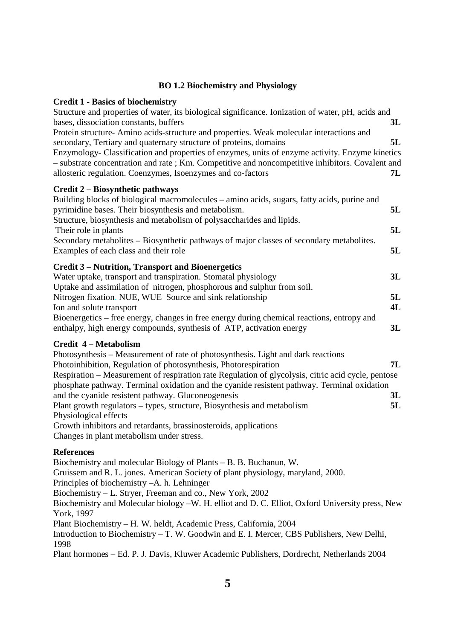# **BO 1.2 Biochemistry and Physiology**

| <b>Credit 1 - Basics of biochemistry</b><br>Structure and properties of water, its biological significance. Ionization of water, pH, acids and<br>bases, dissociation constants, buffers<br>3L                                                                                                                                                                                                                                                |  |
|-----------------------------------------------------------------------------------------------------------------------------------------------------------------------------------------------------------------------------------------------------------------------------------------------------------------------------------------------------------------------------------------------------------------------------------------------|--|
| Protein structure-Amino acids-structure and properties. Weak molecular interactions and<br>5L<br>secondary, Tertiary and quaternary structure of proteins, domains<br>Enzymology- Classification and properties of enzymes, units of enzyme activity. Enzyme kinetics<br>- substrate concentration and rate; Km. Competitive and noncompetitive inhibitors. Covalent and<br>allosteric regulation. Coenzymes, Isoenzymes and co-factors<br>7L |  |
| Credit 2 – Biosynthetic pathways<br>Building blocks of biological macromolecules – amino acids, sugars, fatty acids, purine and<br>pyrimidine bases. Their biosynthesis and metabolism.<br>5L<br>Structure, biosynthesis and metabolism of polysaccharides and lipids.<br>5L<br>Their role in plants                                                                                                                                          |  |
| Secondary metabolites – Biosynthetic pathways of major classes of secondary metabolites.<br>5L<br>Examples of each class and their role                                                                                                                                                                                                                                                                                                       |  |
| <b>Credit 3 – Nutrition, Transport and Bioenergetics</b><br>Water uptake, transport and transpiration. Stomatal physiology<br>3L<br>Uptake and assimilation of nitrogen, phosphorous and sulphur from soil.                                                                                                                                                                                                                                   |  |
| Nitrogen fixation. NUE, WUE Source and sink relationship<br>5L<br>4L<br>Ion and solute transport<br>Bioenergetics – free energy, changes in free energy during chemical reactions, entropy and                                                                                                                                                                                                                                                |  |
| enthalpy, high energy compounds, synthesis of ATP, activation energy<br>3L<br><b>Credit 4 – Metabolism</b>                                                                                                                                                                                                                                                                                                                                    |  |
| Photosynthesis – Measurement of rate of photosynthesis. Light and dark reactions<br>Photoinhibition, Regulation of photosynthesis, Photorespiration<br>7L<br>Respiration – Measurement of respiration rate Regulation of glycolysis, citric acid cycle, pentose<br>phosphate pathway. Terminal oxidation and the cyanide resistent pathway. Terminal oxidation<br>and the cyanide resistent pathway. Gluconeogenesis<br>3L                    |  |
| Plant growth regulators – types, structure, Biosynthesis and metabolism<br>5L<br>Physiological effects<br>Growth inhibitors and retardants, brassinosteroids, applications<br>Changes in plant metabolism under stress.                                                                                                                                                                                                                       |  |
| <b>References</b><br>Biochemistry and molecular Biology of Plants – B. B. Buchanun, W.<br>Gruissem and R. L. jones. American Society of plant physiology, maryland, 2000.<br>Principles of biochemistry -A. h. Lehninger<br>Biochemistry - L. Stryer, Freeman and co., New York, 2002<br>Biochemistry and Molecular biology -W. H. elliot and D. C. Elliot, Oxford University press, New<br>York, 1997                                        |  |
| Plant Biochemistry - H. W. heldt, Academic Press, California, 2004<br>Introduction to Biochemistry - T. W. Goodwin and E. I. Mercer, CBS Publishers, New Delhi,<br>1998                                                                                                                                                                                                                                                                       |  |

Plant hormones – Ed. P. J. Davis, Kluwer Academic Publishers, Dordrecht, Netherlands 2004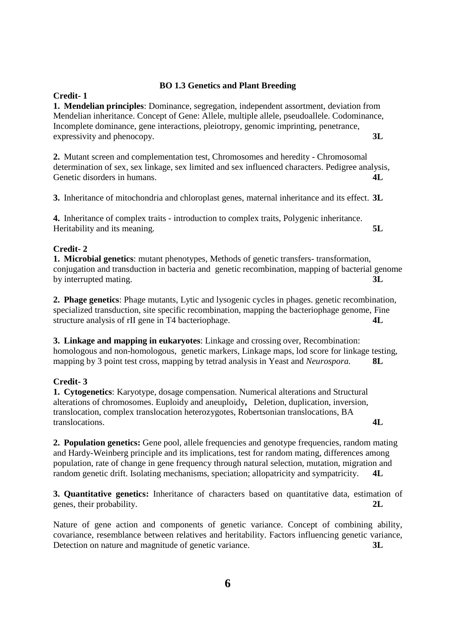# **BO 1.3 Genetics and Plant Breeding**

**Credit- 1 1. Mendelian principles**: Dominance, segregation, independent assortment, deviation from Mendelian inheritance. Concept of Gene: Allele, multiple allele, pseudoallele. Codominance, Incomplete dominance, gene interactions, pleiotropy, genomic imprinting, penetrance, expressivity and phenocopy. **3L**

**2.** Mutant screen and complementation test, Chromosomes and heredity - Chromosomal determination of sex, sex linkage, sex limited and sex influenced characters. Pedigree analysis, Genetic disorders in humans. **4L** 

**3.** Inheritance of mitochondria and chloroplast genes, maternal inheritance and its effect. **3L**

**4.** Inheritance of complex traits - introduction to complex traits, Polygenic inheritance. Heritability and its meaning. **5L**

# **Credit- 2**

**1. Microbial genetics**: mutant phenotypes, Methods of genetic transfers- transformation, conjugation and transduction in bacteria and genetic recombination, mapping of bacterial genome by interrupted mating. **3L**

**2. Phage genetics**: Phage mutants, Lytic and lysogenic cycles in phages. genetic recombination, specialized transduction, site specific recombination, mapping the bacteriophage genome, Fine structure analysis of rII gene in T4 bacteriophage. **4L**

**3. Linkage and mapping in eukaryotes**: Linkage and crossing over, Recombination: homologous and non-homologous, genetic markers, Linkage maps, lod score for linkage testing, mapping by 3 point test cross, mapping by tetrad analysis in Yeast and *Neurospora.* **8L**

# **Credit- 3**

**1. Cytogenetics**: Karyotype, dosage compensation. Numerical alterations and Structural alterations of chromosomes. Euploidy and aneuploidy**,** Deletion, duplication, inversion, translocation, complex translocation heterozygotes, Robertsonian translocations, BA translocations. **4L**

**2. Population genetics:** Gene pool, allele frequencies and genotype frequencies, random mating and Hardy-Weinberg principle and its implications, test for random mating, differences among population, rate of change in gene frequency through natural selection, mutation, migration and random genetic drift. Isolating mechanisms, speciation; allopatricity and sympatricity. **4L**

**3. Quantitative genetics:** Inheritance of characters based on quantitative data, estimation of genes, their probability. **2L**

Nature of gene action and components of genetic variance. Concept of combining ability, covariance, resemblance between relatives and heritability. Factors influencing genetic variance, Detection on nature and magnitude of genetic variance. **3L**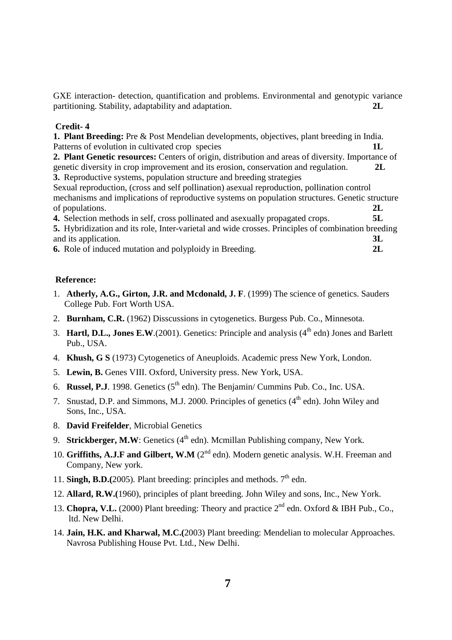GXE interaction- detection, quantification and problems. Environmental and genotypic variance partitioning. Stability, adaptability and adaptation. **2L**

### **Credit- 4**

**1. Plant Breeding:** Pre & Post Mendelian developments, objectives, plant breeding in India. Patterns of evolution in cultivated crop species **2. Plant Genetic resources:** Centers of origin, distribution and areas of diversity. Importance of genetic diversity in crop improvement and its erosion, conservation and regulation. **2L 3.** Reproductive systems, population structure and breeding strategies Sexual reproduction, (cross and self pollination) asexual reproduction, pollination control

mechanisms and implications of reproductive systems on population structures. Genetic structure of populations. **2L**

**4.** Selection methods in self, cross pollinated and asexually propagated crops. **5L 5.** Hybridization and its role, Inter-varietal and wide crosses. Principles of combination breeding and its application. **3L** 

**6.** Role of induced mutation and polyploidy in Breeding. **2L**

#### **Reference:**

- 1. **Atherly, A.G., Girton, J.R. and Mcdonald, J. F**. (1999) The science of genetics. Sauders College Pub. Fort Worth USA.
- 2. **Burnham, C.R.** (1962) Disscussions in cytogenetics. Burgess Pub. Co., Minnesota.
- 3. **Hartl, D.L., Jones E.W.**(2001). Genetics: Principle and analysis  $(4<sup>th</sup> edn)$  Jones and Barlett Pub., USA.
- 4. **Khush, G S** (1973) Cytogenetics of Aneuploids. Academic press New York, London.
- 5. **Lewin, B.** Genes VIII. Oxford, University press. New York, USA.
- 6. **Russel, P.J**. 1998. Genetics  $(5^{th}$  edn). The Benjamin/ Cummins Pub. Co., Inc. USA.
- 7. Snustad, D.P. and Simmons, M.J. 2000. Principles of genetics  $(4<sup>th</sup>$  edn). John Wiley and Sons, Inc., USA.
- 8. **David Freifelder**, Microbial Genetics
- 9. **Strickberger, M.W**: Genetics (4<sup>th</sup> edn). Mcmillan Publishing company, New York.
- 10. **Griffiths, A.J.F and Gilbert, W.M** (2<sup>nd</sup> edn). Modern genetic analysis. W.H. Freeman and Company, New york.
- 11. **Singh, B.D.**(2005). Plant breeding: principles and methods.  $7<sup>th</sup>$  edn.
- 12. **Allard, R.W.(**1960), principles of plant breeding. John Wiley and sons, Inc., New York.
- 13. **Chopra, V.L.** (2000) Plant breeding: Theory and practice 2<sup>nd</sup> edn. Oxford & IBH Pub., Co., ltd. New Delhi.
- 14. **Jain, H.K. and Kharwal, M.C.(**2003) Plant breeding: Mendelian to molecular Approaches. Navrosa Publishing House Pvt. Ltd., New Delhi.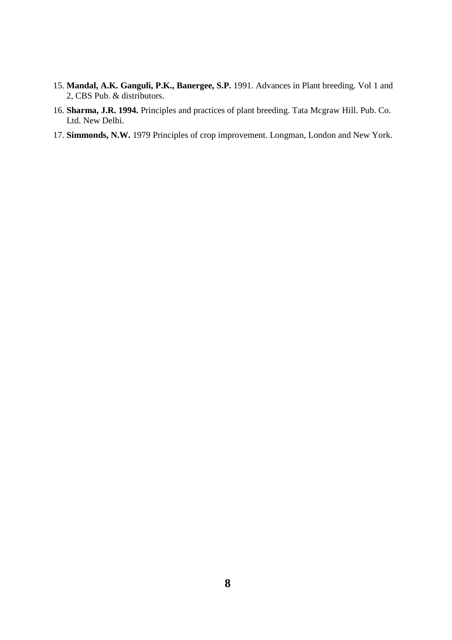- 15. **Mandal, A.K. Ganguli, P.K., Banergee, S.P.** 1991. Advances in Plant breeding. Vol 1 and 2, CBS Pub. & distributors.
- 16. **Sharma, J.R. 1994.** Principles and practices of plant breeding. Tata Mcgraw Hill. Pub. Co. Ltd. New Delhi.
- 17. **Simmonds, N.W.** 1979 Principles of crop improvement. Longman, London and New York.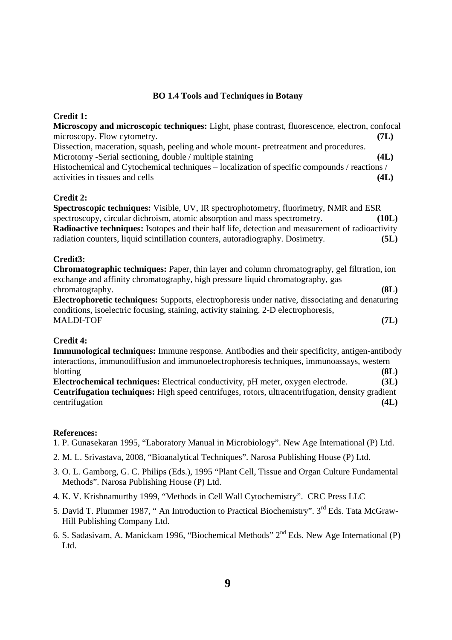## **BO 1.4 Tools and Techniques in Botany**

## **Credit 1:**

| Microscopy and microscopic techniques: Light, phase contrast, fluorescence, electron, confocal          |       |
|---------------------------------------------------------------------------------------------------------|-------|
| microscopy. Flow cytometry.                                                                             | (7L)  |
| Dissection, maceration, squash, peeling and whole mount- pretreatment and procedures.                   |       |
| Microtomy -Serial sectioning, double / multiple staining                                                | (4L)  |
| Histochemical and Cytochemical techniques – localization of specific compounds / reactions /            |       |
| activities in tissues and cells                                                                         | (4L)  |
| Credit 2:                                                                                               |       |
| <b>Spectroscopic techniques:</b> Visible, UV, IR spectrophotometry, fluorimetry, NMR and ESR            |       |
| spectroscopy, circular dichroism, atomic absorption and mass spectrometry.                              | (10L) |
| <b>Radioactive techniques:</b> Isotopes and their half life, detection and measurement of radioactivity |       |
| radiation counters, liquid scintillation counters, autoradiography. Dosimetry.                          | (5L)  |
| Credit3:                                                                                                |       |
| Chromatographic techniques: Paper, thin layer and column chromatography, gel filtration, ion            |       |
| exchange and affinity chromatography, high pressure liquid chromatography, gas                          |       |
| chromatography.                                                                                         | (8L)  |
| <b>Electrophoretic techniques:</b> Supports, electrophoresis under native, dissociating and denaturing  |       |

**Electrophoretic techniques:** Supports, electrophoresis under native, dissociating and denaturing conditions, isoelectric focusing, staining, activity staining. 2-D electrophoresis, MALDI-TOF **(7L)**

### **Credit 4:**

**Immunological techniques:** Immune response. Antibodies and their specificity, antigen-antibody interactions, immunodiffusion and immunoelectrophoresis techniques, immunoassays, western blotting **(8L)**

**Electrochemical techniques:** Electrical conductivity, pH meter, oxygen electrode. **(3L) Centrifugation techniques:** High speed centrifuges, rotors, ultracentrifugation, density gradient centrifugation **(4L)** 

### **References:**

1. P. Gunasekaran 1995, "Laboratory Manual in Microbiology". New Age International (P) Ltd.

2. M. L. Srivastava, 2008, "Bioanalytical Techniques". Narosa Publishing House (P) Ltd.

- 3. O. L. Gamborg, G. C. Philips (Eds.), 1995 "Plant Cell, Tissue and Organ Culture Fundamental Methods". Narosa Publishing House (P) Ltd.
- 4. K. V. Krishnamurthy 1999, "Methods in Cell Wall Cytochemistry". CRC Press LLC
- 5. David T. Plummer 1987, "An Introduction to Practical Biochemistry". 3<sup>rd</sup> Eds. Tata McGraw-Hill Publishing Company Ltd.
- 6. S. Sadasivam, A. Manickam 1996, "Biochemical Methods" 2nd Eds. New Age International (P) Ltd.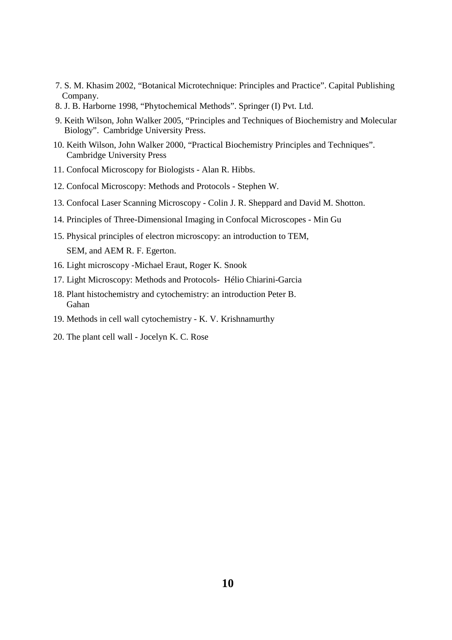- 7. S. M. Khasim 2002, "Botanical Microtechnique: Principles and Practice". Capital Publishing Company.
- 8. J. B. Harborne 1998, "Phytochemical Methods". Springer (I) Pvt. Ltd.
- 9. Keith Wilson, John Walker 2005, "Principles and Techniques of Biochemistry and Molecular Biology". Cambridge University Press.
- 10. Keith Wilson, John Walker 2000, "Practical Biochemistry Principles and Techniques". Cambridge University Press
- 11. Confocal Microscopy for Biologists Alan R. Hibbs.
- 12. Confocal Microscopy: Methods and Protocols Stephen W.
- 13. Confocal Laser Scanning Microscopy Colin J. R. Sheppard and David M. Shotton.
- 14. Principles of Three-Dimensional Imaging in Confocal Microscopes Min Gu
- 15. Physical principles of electron microscopy: an introduction to TEM, SEM, and AEM R. F. Egerton.
- 16. Light microscopy -Michael Eraut, Roger K. Snook
- 17. Light Microscopy: Methods and Protocols- Hélio Chiarini-Garcia
- 18. Plant histochemistry and cytochemistry: an introduction Peter B. Gahan
- 19. Methods in cell wall cytochemistry K. V. Krishnamurthy
- 20. The plant cell wall Jocelyn K. C. Rose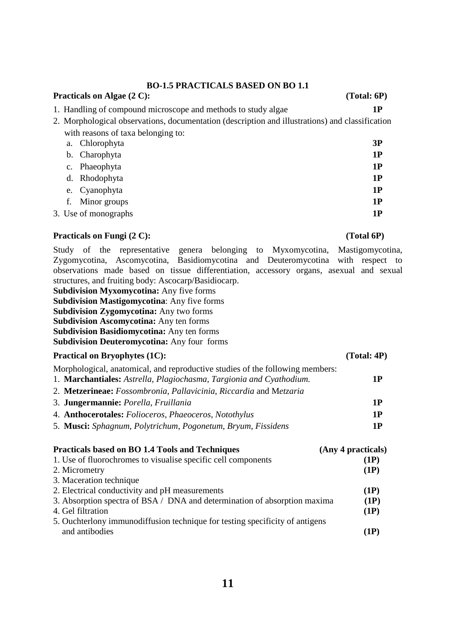### **BO-1.5 PRACTICALS BASED ON BO 1.1**

# 1. Handling of compound microscope and methods to study algae **1P**

- 2. Morphological observations, documentation (description and illustrations) and classification with reasons of taxa belonging to:
- a. Chlorophyta **3P**  b. Charophyta **1P**  c. Phaeophyta **1P**  d. Rhodophyta **1P**  e. Cyanophyta **1P**  f. Minor groups **1P**  3. Use of monographs **1P**

# **Practicals on Fungi (2 C):** (Total 6P)

Study of the representative genera belonging to Myxomycotina, Mastigomycotina, Zygomycotina, Ascomycotina, Basidiomycotina and Deuteromycotina with respect to observations made based on tissue differentiation, accessory organs, asexual and sexual structures, and fruiting body: Ascocarp/Basidiocarp. **Subdivision Myxomycotina:** Any five forms **Subdivision Mastigomycotina**: Any five forms **Subdivision Zygomycotina:** Any two forms **Subdivision Ascomycotina:** Any ten forms **Subdivision Basidiomycotina:** Any ten forms **Subdivision Deuteromycotina:** Any four forms

### **Practical on Bryophytes (1C): (Total: 4P)**

Morphological, anatomical, and reproductive studies of the following members:

- 1. **Marchantiales:** *Astrella, Plagiochasma, Targionia and Cyathodium.* **1P**  2. **Metzerineae:** *Fossombronia*, *Pallavicinia*, *Riccardia* and M*etzaria*  3. **Jungermannie:** *Porella*, *Fruillania* **1P**  4. **Anthocerotales:** *Folioceros, Phaeoceros, Notothylus* **1P**
- 5. **Musci:** *Sphagnum, Polytrichum, Pogonetum, Bryum, Fissidens* **1P**

| Practicals based on BO 1.4 Tools and Techniques                              | (Any 4 practicals) |
|------------------------------------------------------------------------------|--------------------|
| 1. Use of fluorochromes to visualise specific cell components                | (1P)               |
| 2. Micrometry                                                                | (1P)               |
| 3. Maceration technique                                                      |                    |
| 2. Electrical conductivity and pH measurements                               | (1P)               |
| 3. Absorption spectra of BSA / DNA and determination of absorption maxima    | (1P)               |
| 4. Gel filtration                                                            | (1P)               |
| 5. Ouchterlony immunodiffusion technique for testing specificity of antigens |                    |
| and antibodies                                                               | (1P)               |

Practicals on Algae (2 C): (Total: 6P)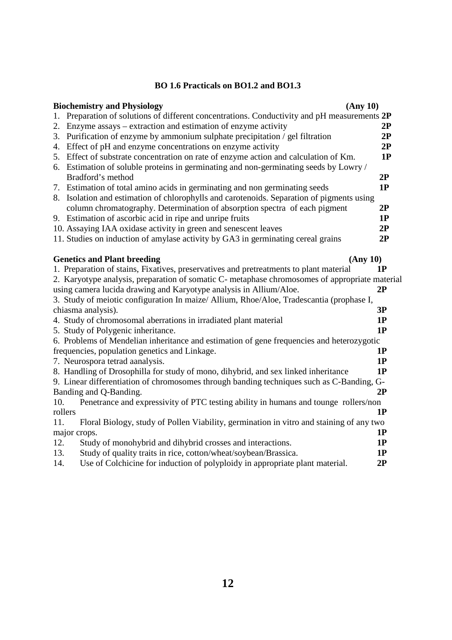# **BO 1.6 Practicals on BO1.2 and BO1.3**

|         | <b>Biochemistry and Physiology</b>                                                             | (Any 10) |  |
|---------|------------------------------------------------------------------------------------------------|----------|--|
| 1.      | Preparation of solutions of different concentrations. Conductivity and pH measurements 2P      |          |  |
| 2.      | Enzyme assays – extraction and estimation of enzyme activity                                   | 2P       |  |
| 3.      | Purification of enzyme by ammonium sulphate precipitation / gel filtration                     | 2P       |  |
|         | 4. Effect of pH and enzyme concentrations on enzyme activity                                   | 2P       |  |
|         | 5. Effect of substrate concentration on rate of enzyme action and calculation of Km.           | 1P       |  |
|         | 6. Estimation of soluble proteins in germinating and non-germinating seeds by Lowry /          |          |  |
|         | Bradford's method                                                                              | 2P       |  |
|         | 7. Estimation of total amino acids in germinating and non germinating seeds                    | 1P       |  |
|         | 8. Isolation and estimation of chlorophylls and carotenoids. Separation of pigments using      |          |  |
|         | column chromatography. Determination of absorption spectra of each pigment                     | 2P       |  |
|         | 9. Estimation of ascorbic acid in ripe and unripe fruits                                       | 1P       |  |
|         | 10. Assaying IAA oxidase activity in green and senescent leaves                                | 2P       |  |
|         | 11. Studies on induction of amylase activity by GA3 in germinating cereal grains               | 2P       |  |
|         | <b>Genetics and Plant breeding</b>                                                             | (Any 10) |  |
|         | 1. Preparation of stains, Fixatives, preservatives and pretreatments to plant material         | 1P       |  |
|         | 2. Karyotype analysis, preparation of somatic C- metaphase chromosomes of appropriate material |          |  |
|         | using camera lucida drawing and Karyotype analysis in Allium/Aloe.                             | 2P       |  |
|         | 3. Study of meiotic configuration In maize/ Allium, Rhoe/Aloe, Tradescantia (prophase I,       |          |  |
|         | chiasma analysis).                                                                             | 3P       |  |
|         | 4. Study of chromosomal aberrations in irradiated plant material                               | 1P       |  |
|         | 5. Study of Polygenic inheritance.                                                             | 1P       |  |
|         | 6. Problems of Mendelian inheritance and estimation of gene frequencies and heterozygotic      |          |  |
|         | frequencies, population genetics and Linkage.                                                  | 1P       |  |
|         | 7. Neurospora tetrad aanalysis.                                                                | 1P       |  |
|         | 8. Handling of Drosophilla for study of mono, dihybrid, and sex linked inheritance             | 1P       |  |
|         | 9. Linear differentiation of chromosomes through banding techniques such as C-Banding, G-      |          |  |
|         | Banding and Q-Banding.                                                                         | 2P       |  |
| 10.     | Penetrance and expressivity of PTC testing ability in humans and tounge rollers/non            |          |  |
| rollers |                                                                                                | 1P       |  |
| 11.     | Floral Biology, study of Pollen Viability, germination in vitro and staining of any two        |          |  |
|         | major crops.                                                                                   | 1P       |  |
| 12.     | Study of monohybrid and dihybrid crosses and interactions.                                     | 1P       |  |
| 13.     | Study of quality traits in rice, cotton/wheat/soybean/Brassica.                                | 1P       |  |
| 14.     | Use of Colchicine for induction of polyploidy in appropriate plant material.                   | 2P       |  |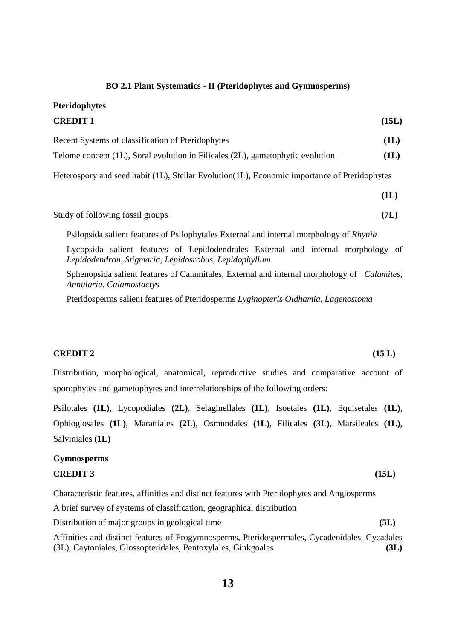### **BO 2.1 Plant Systematics - II (Pteridophytes and Gymnosperms)**

**Pteridophytes** 

| <b>CREDIT 1</b>                                                                               | (15L) |
|-----------------------------------------------------------------------------------------------|-------|
| Recent Systems of classification of Pteridophytes                                             | (1L)  |
| Telome concept (1L), Soral evolution in Filicales (2L), gametophytic evolution                | (1L)  |
| Heterospory and seed habit (1L), Stellar Evolution (1L), Economic importance of Pteridophytes |       |

|                                  | (1L) |
|----------------------------------|------|
| Study of following fossil groups | (7L) |

Psilopsida salient features of Psilophytales External and internal morphology of *Rhynia* 

Lycopsida salient features of Lepidodendrales External and internal morphology of *Lepidodendron*, *Stigmaria*, *Lepidosrobus*, *Lepidophyllum*

Sphenopsida salient features of Calamitales, External and internal morphology of *Calamites*, *Annularia*, *Calamostactys*

Pteridosperms salient features of Pteridosperms *Lyginopteris Oldhamia*, *Lagenostoma* 

# **CREDIT 2 (15 L)**

Distribution, morphological, anatomical, reproductive studies and comparative account of sporophytes and gametophytes and interrelationships of the following orders:

Psilotales **(1L)**, Lycopodiales **(2L)**, Selaginellales **(1L)**, Isoetales **(1L)**, Equisetales **(1L)**, Ophioglosales **(1L)**, Marattiales **(2L)**, Osmundales **(1L)**, Filicales **(3L)**, Marsileales **(1L)**, Salviniales **(1L)**

#### **Gymnosperms**

#### **CREDIT 3 (15L)**

Characteristic features, affinities and distinct features with Pteridophytes and Angiosperms

A brief survey of systems of classification, geographical distribution

Distribution of major groups in geological time **(5L)**

Affinities and distinct features of Progymnosperms, Pteridospermales, Cycadeoidales, Cycadales (3L), Caytoniales, Glossopteridales, Pentoxylales, Ginkgoales **(3L)**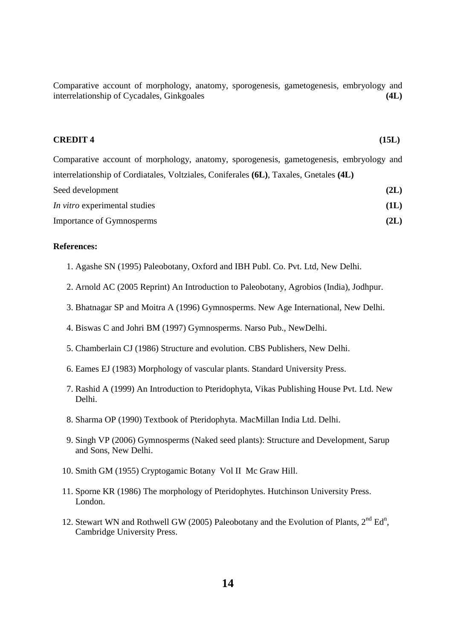Comparative account of morphology, anatomy, sporogenesis, gametogenesis, embryology and interrelationship of Cycadales, Ginkgoales **(4L) (4L)** 

#### **CREDIT 4** (15L)

Comparative account of morphology, anatomy, sporogenesis, gametogenesis, embryology and interrelationship of Cordiatales, Voltziales, Coniferales **(6L)**, Taxales, Gnetales **(4L)** Seed development **(2L) (2L)** *In vitro* experimental studies **(1L)** Importance of Gymnosperms **(2L)**

## **References:**

- 1. Agashe SN (1995) Paleobotany, Oxford and IBH Publ. Co. Pvt. Ltd, New Delhi.
- 2. Arnold AC (2005 Reprint) An Introduction to Paleobotany, Agrobios (India), Jodhpur.
- 3. Bhatnagar SP and Moitra A (1996) Gymnosperms. New Age International, New Delhi.
- 4. Biswas C and Johri BM (1997) Gymnosperms. Narso Pub., NewDelhi.
- 5. Chamberlain CJ (1986) Structure and evolution. CBS Publishers, New Delhi.
- 6. Eames EJ (1983) Morphology of vascular plants. Standard University Press.
- 7. Rashid A (1999) An Introduction to Pteridophyta, Vikas Publishing House Pvt. Ltd. New Delhi.
- 8. Sharma OP (1990) Textbook of Pteridophyta. MacMillan India Ltd. Delhi.
- 9. Singh VP (2006) Gymnosperms (Naked seed plants): Structure and Development, Sarup and Sons, New Delhi.
- 10. Smith GM (1955) Cryptogamic Botany Vol II Mc Graw Hill.
- 11. Sporne KR (1986) The morphology of Pteridophytes. Hutchinson University Press. London.
- 12. Stewart WN and Rothwell GW (2005) Paleobotany and the Evolution of Plants,  $2^{nd} Ed^{n}$ , Cambridge University Press.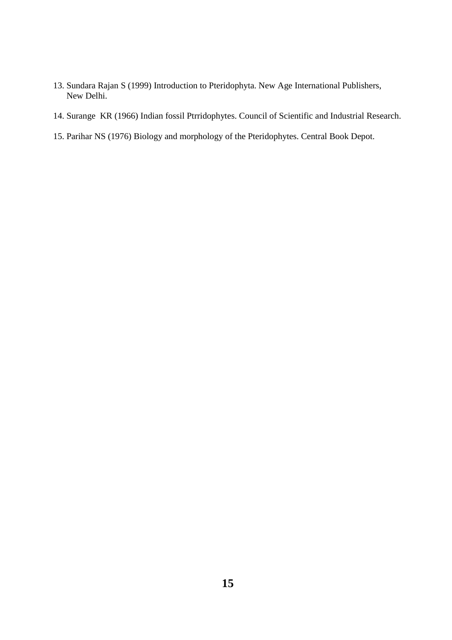- 13. Sundara Rajan S (1999) Introduction to Pteridophyta. New Age International Publishers, New Delhi.
- 14. Surange KR (1966) Indian fossil Ptrridophytes. Council of Scientific and Industrial Research.
- 15. Parihar NS (1976) Biology and morphology of the Pteridophytes. Central Book Depot.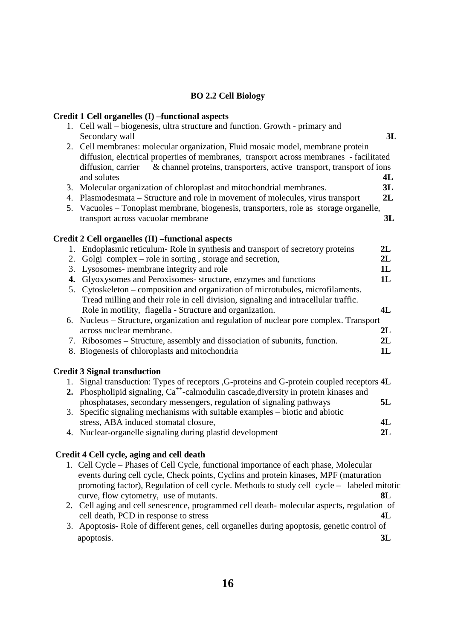# **BO 2.2 Cell Biology**

# **Credit 1 Cell organelles (I) –functional aspects**

|    | $\mathbf{C}$ rturt 1 $\mathbf{C}$ th organismus $\mathbf{D}$ –runttronar aspects                  |    |
|----|---------------------------------------------------------------------------------------------------|----|
|    | 1. Cell wall – biogenesis, ultra structure and function. Growth - primary and                     |    |
|    | Secondary wall                                                                                    | 3L |
|    | 2. Cell membranes: molecular organization, Fluid mosaic model, membrane protein                   |    |
|    | diffusion, electrical properties of membranes, transport across membranes - facilitated           |    |
|    | & channel proteins, transporters, active transport, transport of ions<br>diffusion, carrier       |    |
|    | and solutes                                                                                       | 4L |
|    | 3. Molecular organization of chloroplast and mitochondrial membranes.                             | 3L |
|    | 4. Plasmodesmata – Structure and role in movement of molecules, virus transport                   | 2L |
|    | 5. Vacuoles - Tonoplast membrane, biogenesis, transporters, role as storage organelle,            |    |
|    | transport across vacuolar membrane                                                                | 3L |
|    |                                                                                                   |    |
|    | Credit 2 Cell organelles (II) -functional aspects                                                 |    |
|    | 1. Endoplasmic reticulum-Role in synthesis and transport of secretory proteins                    | 2L |
| 2. | Golgi complex – role in sorting, storage and secretion,                                           | 2L |
| 3. | Lysosomes- membrane integrity and role                                                            | 1L |
| 4. | Glyoxysomes and Peroxisomes- structure, enzymes and functions                                     | 1L |
|    | 5. Cytoskeleton – composition and organization of microtubules, microfilaments.                   |    |
|    | Tread milling and their role in cell division, signaling and intracellular traffic.               |    |
|    | Role in motility, flagella - Structure and organization.                                          | 4L |
|    | 6. Nucleus – Structure, organization and regulation of nuclear pore complex. Transport            |    |
|    | across nuclear membrane.                                                                          | 2L |
|    | 7. Ribosomes – Structure, assembly and dissociation of subunits, function.                        | 2L |
|    | 8. Biogenesis of chloroplasts and mitochondria                                                    | 1L |
|    | <b>Credit 3 Signal transduction</b>                                                               |    |
|    | 1. Signal transduction: Types of receptors , G-proteins and G-protein coupled receptors 4L        |    |
|    | 2. Phospholipid signaling, Ca <sup>++</sup> -calmodulin cascade, diversity in protein kinases and |    |
|    | phosphatases, secondary messengers, regulation of signaling pathways                              | 5L |
|    | 3. Specific signaling mechanisms with suitable examples – biotic and abiotic                      |    |
|    | stress, ABA induced stomatal closure,                                                             | 4L |
|    | 4. Nuclear-organelle signaling during plastid development                                         | 2L |
|    |                                                                                                   |    |

# **Credit 4 Cell cycle, aging and cell death**

| 1. Cell Cycle – Phases of Cell Cycle, functional importance of each phase, Molecular       |
|--------------------------------------------------------------------------------------------|
| events during cell cycle, Check points, Cyclins and protein kinases, MPF (maturation       |
| promoting factor), Regulation of cell cycle. Methods to study cell cycle – labeled mitotic |
| curve, flow cytometry, use of mutants.<br>-8L                                              |
| 2. Cell aging and cell senescence, programmed cell death-molecular aspects, regulation of  |

- cell death, PCD in response to stress **4L**
- 3. Apoptosis- Role of different genes, cell organelles during apoptosis, genetic control of apoptosis. **3L**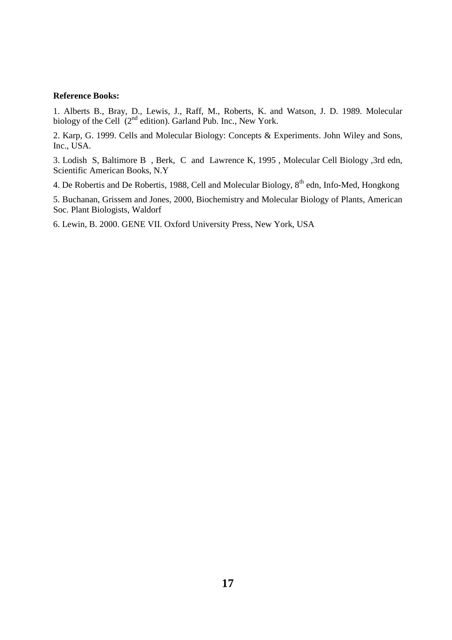#### **Reference Books:** Ĩ

1. Alberts B., Bray, D., Lewis, J., Raff, M., Roberts, K. and Watson, J. D. 1989. Molecular biology of the Cell (2<sup>nd</sup> edition). Garland Pub. Inc., New York.

2. Karp, G. 1999. Cells and Molecular Biology: Concepts & Experiments. John Wiley and Sons, Inc., USA.

3. Lodish S, Baltimore B , Berk, C and Lawrence K, 1995 , Molecular Cell Biology ,3rd edn, Scientific American Books, N.Y

4. De Robertis and De Robertis, 1988, Cell and Molecular Biology, 8<sup>th</sup> edn, Info-Med, Hongkong

5. Buchanan, Grissem and Jones, 2000, Biochemistry and Molecular Biology of Plants, American Soc. Plant Biologists, Waldorf

6. Lewin, B. 2000. GENE VII. Oxford University Press, New York, USA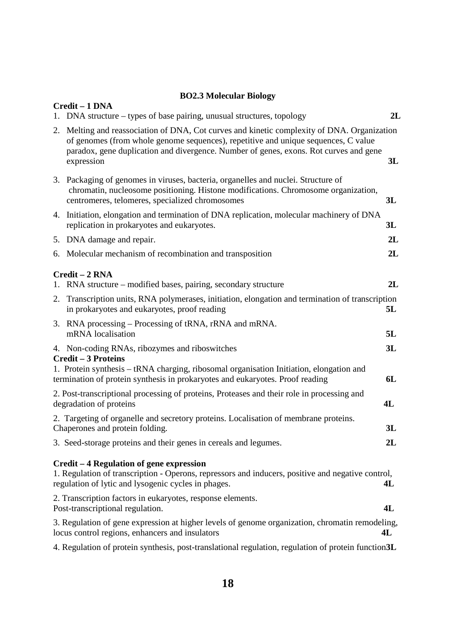# **BO2.3 Molecular Biology**

| Credit - 1 DNA<br>DNA structure – types of base pairing, unusual structures, topology                                                                                                                                                                                                    | 2L       |
|------------------------------------------------------------------------------------------------------------------------------------------------------------------------------------------------------------------------------------------------------------------------------------------|----------|
| 2. Melting and reassociation of DNA, Cot curves and kinetic complexity of DNA. Organization<br>of genomes (from whole genome sequences), repetitive and unique sequences, C value<br>paradox, gene duplication and divergence. Number of genes, exons. Rot curves and gene<br>expression | 3L       |
| 3. Packaging of genomes in viruses, bacteria, organelles and nuclei. Structure of<br>chromatin, nucleosome positioning. Histone modifications. Chromosome organization,<br>centromeres, telomeres, specialized chromosomes                                                               | 3L       |
| 4. Initiation, elongation and termination of DNA replication, molecular machinery of DNA<br>replication in prokaryotes and eukaryotes.                                                                                                                                                   | 3L       |
| 5. DNA damage and repair.                                                                                                                                                                                                                                                                | 2L       |
| 6. Molecular mechanism of recombination and transposition                                                                                                                                                                                                                                | 2L       |
| Credit - 2 RNA<br>1. RNA structure – modified bases, pairing, secondary structure                                                                                                                                                                                                        | 2L       |
| 2. Transcription units, RNA polymerases, initiation, elongation and termination of transcription<br>in prokaryotes and eukaryotes, proof reading                                                                                                                                         | 5L       |
| 3. RNA processing – Processing of tRNA, rRNA and mRNA.<br>mRNA localisation                                                                                                                                                                                                              | 5L       |
| 4. Non-coding RNAs, ribozymes and riboswitches<br><b>Credit - 3 Proteins</b><br>1. Protein synthesis – tRNA charging, ribosomal organisation Initiation, elongation and<br>termination of protein synthesis in prokaryotes and eukaryotes. Proof reading                                 | 3L<br>6L |
| 2. Post-transcriptional processing of proteins, Proteases and their role in processing and<br>degradation of proteins                                                                                                                                                                    | 4L       |
| 2. Targeting of organelle and secretory proteins. Localisation of membrane proteins.<br>Chaperones and protein folding.                                                                                                                                                                  | 3L       |
| 3. Seed-storage proteins and their genes in cereals and legumes.                                                                                                                                                                                                                         | 2L       |
| Credit – 4 Regulation of gene expression<br>1. Regulation of transcription - Operons, repressors and inducers, positive and negative control,<br>regulation of lytic and lysogenic cycles in phages.                                                                                     | 4L       |
| 2. Transcription factors in eukaryotes, response elements.<br>Post-transcriptional regulation.                                                                                                                                                                                           | 4L       |
| 3. Regulation of gene expression at higher levels of genome organization, chromatin remodeling,<br>locus control regions, enhancers and insulators                                                                                                                                       | 4L       |
| 4. Regulation of protein synthesis, post-translational regulation, regulation of protein function3L                                                                                                                                                                                      |          |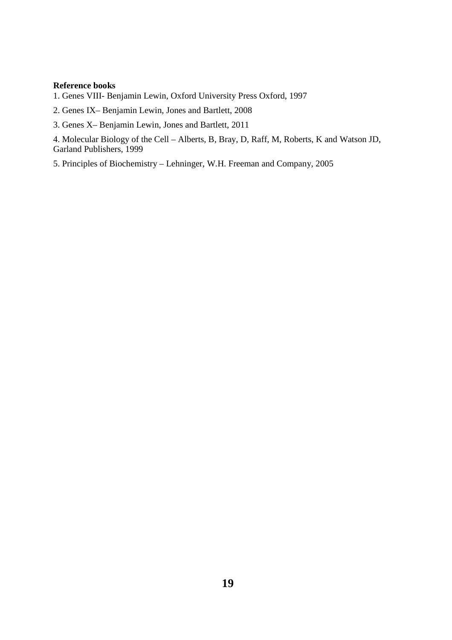#### **Reference books**

1. Genes VIII- Benjamin Lewin, Oxford University Press Oxford, 1997

2. Genes IX– Benjamin Lewin, Jones and Bartlett, 2008

3. Genes X– Benjamin Lewin, Jones and Bartlett, 2011

4. Molecular Biology of the Cell – Alberts, B, Bray, D, Raff, M, Roberts, K and Watson JD, Garland Publishers, 1999

5. Principles of Biochemistry – Lehninger, W.H. Freeman and Company, 2005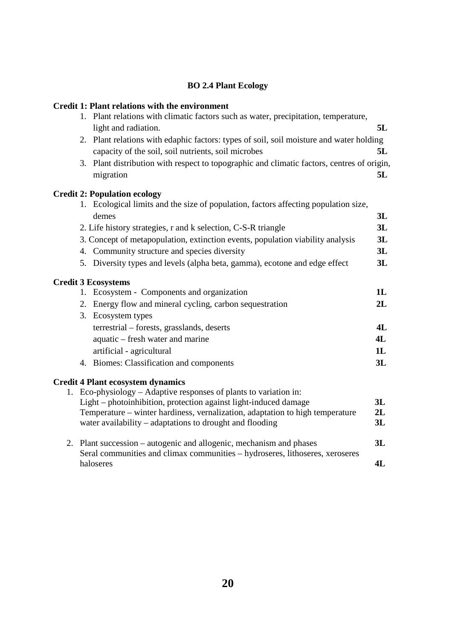# **BO 2.4 Plant Ecology**

# **Credit 1: Plant relations with the environment**

| 1. Plant relations with climatic factors such as water, precipitation, temperature,                                        |    |
|----------------------------------------------------------------------------------------------------------------------------|----|
| light and radiation.                                                                                                       | 5L |
| 2. Plant relations with edaphic factors: types of soil, soil moisture and water holding                                    |    |
| capacity of the soil, soil nutrients, soil microbes                                                                        | 5L |
| 3. Plant distribution with respect to topographic and climatic factors, centres of origin,                                 |    |
| migration                                                                                                                  | 5L |
|                                                                                                                            |    |
| <b>Credit 2: Population ecology</b><br>1. Ecological limits and the size of population, factors affecting population size, |    |
| demes                                                                                                                      | 3L |
|                                                                                                                            | 3L |
| 2. Life history strategies, r and k selection, C-S-R triangle                                                              |    |
| 3. Concept of metapopulation, extinction events, population viability analysis                                             | 3L |
| 4. Community structure and species diversity                                                                               | 3L |
| 5. Diversity types and levels (alpha beta, gamma), ecotone and edge effect                                                 | 3L |
| <b>Credit 3 Ecosystems</b>                                                                                                 |    |
| 1. Ecosystem - Components and organization                                                                                 | 1L |
| 2. Energy flow and mineral cycling, carbon sequestration                                                                   | 2L |
| 3. Ecosystem types                                                                                                         |    |
| terrestrial - forests, grasslands, deserts                                                                                 | 4L |
| aquatic – fresh water and marine                                                                                           | 4L |
| artificial - agricultural                                                                                                  | 1L |
| 4. Biomes: Classification and components                                                                                   | 3L |
| <b>Credit 4 Plant ecosystem dynamics</b>                                                                                   |    |
| 1. Eco-physiology – Adaptive responses of plants to variation in:                                                          |    |
| Light – photoinhibition, protection against light-induced damage                                                           | 3L |
| Temperature – winter hardiness, vernalization, adaptation to high temperature                                              | 2L |
| water availability – adaptations to drought and flooding                                                                   | 3L |
| 2. Plant succession – autogenic and allogenic, mechanism and phases                                                        | 3L |
| Seral communities and climax communities - hydroseres, lithoseres, xeroseres                                               |    |
| haloseres                                                                                                                  | 4L |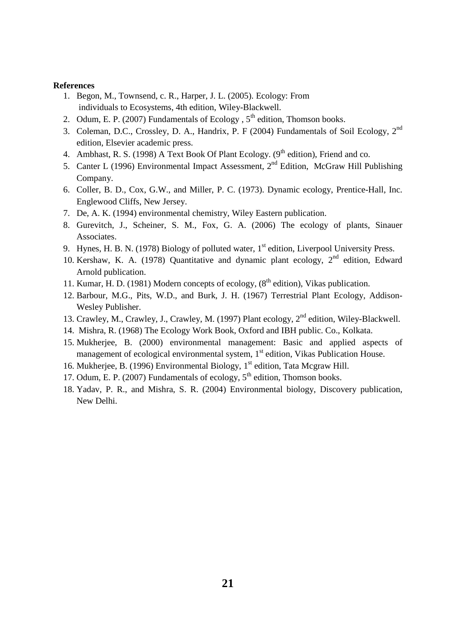#### **References**

- 1. Begon, M., Townsend, c. R., Harper, J. L. (2005). Ecology: From individuals to Ecosystems, 4th edition, Wiley-Blackwell.
- 2. Odum, E. P. (2007) Fundamentals of Ecology,  $5<sup>th</sup>$  edition, Thomson books.
- 3. Coleman, D.C., Crossley, D. A., Handrix, P. F (2004) Fundamentals of Soil Ecology, 2nd edition, Elsevier academic press.
- 4. Ambhast, R. S. (1998) A Text Book Of Plant Ecology. ( $9<sup>th</sup>$  edition), Friend and co.
- 5. Canter L (1996) Environmental Impact Assessment,  $2<sup>nd</sup>$  Edition, McGraw Hill Publishing Company.
- 6. Coller, B. D., Cox, G.W., and Miller, P. C. (1973). Dynamic ecology, Prentice-Hall, Inc. Englewood Cliffs, New Jersey.
- 7. De, A. K. (1994) environmental chemistry, Wiley Eastern publication.
- 8. Gurevitch, J., Scheiner, S. M., Fox, G. A. (2006) The ecology of plants, Sinauer Associates.
- 9. Hynes, H. B. N. (1978) Biology of polluted water, 1<sup>st</sup> edition, Liverpool University Press.
- 10. Kershaw, K. A. (1978) Quantitative and dynamic plant ecology,  $2<sup>nd</sup>$  edition, Edward Arnold publication.
- 11. Kumar, H. D. (1981) Modern concepts of ecology,  $(8<sup>th</sup>$  edition), Vikas publication.
- 12. Barbour, M.G., Pits, W.D., and Burk, J. H. (1967) Terrestrial Plant Ecology, Addison-Wesley Publisher.
- 13. Crawley, M., Crawley, J., Crawley, M. (1997) Plant ecology, 2<sup>nd</sup> edition, Wiley-Blackwell.
- 14. Mishra, R. (1968) The Ecology Work Book, Oxford and IBH public. Co., Kolkata.
- 15. Mukherjee, B. (2000) environmental management: Basic and applied aspects of management of ecological environmental system,  $1<sup>st</sup>$  edition, Vikas Publication House.
- 16. Mukherjee, B. (1996) Environmental Biology,  $1<sup>st</sup>$  edition, Tata Mcgraw Hill.
- 17. Odum, E. P. (2007) Fundamentals of ecology,  $5<sup>th</sup>$  edition, Thomson books.
- 18. Yadav, P. R., and Mishra, S. R. (2004) Environmental biology, Discovery publication, New Delhi.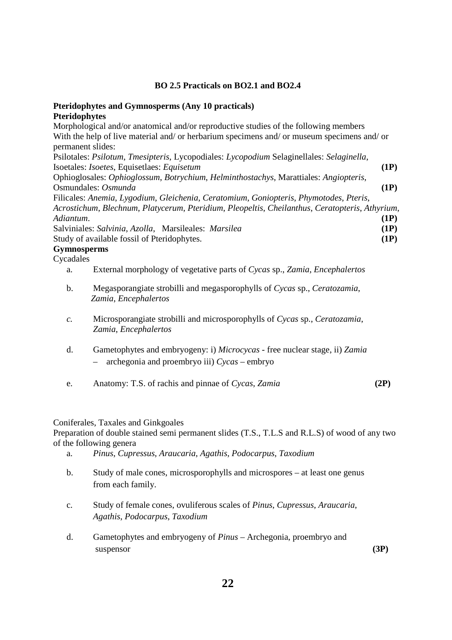# **BO 2.5 Practicals on BO2.1 and BO2.4**

# **Pteridophytes and Gymnosperms (Any 10 practicals) Pteridophytes**

Morphological and/or anatomical and/or reproductive studies of the following members With the help of live material and/ or herbarium specimens and/ or museum specimens and/ or permanent slides: Psilotales: *Psilotum*, *Tmesipteris*, Lycopodiales: *Lycopodium* Selaginellales: *Selaginella*, Isoetales: *Isoetes*, Equisetlaes: *Equisetum* **(1P)** Ophioglosales: *Ophioglossum*, *Botrychium*, *Helminthostachys*, Marattiales: *Angiopteris*, Osmundales: *Osmunda* **(1P)** Filicales: *Anemia*, *Lygodium*, *Gleichenia*, *Ceratomium*, *Goniopteris*, *Phymotodes*, *Pteris*, *Acrostichum*, *Blechnum*, *Platycerum*, *Pteridium*, *Pleopeltis*, *Cheilanthus*, *Ceratopteris*, *Athyrium*, *Adiantum*. **(1P)** Salviniales: *Salvinia*, *Azolla*,Marsileales: *Marsilea* **(1P)** Study of available fossil of Pteridophytes. **(1P)**

# **Gymnosperms**

Cycadales

a. External morphology of vegetative parts of *Cycas* sp., *Zamia*, *Encephalertos*

- b. Megasporangiate strobilli and megasporophylls of *Cycas* sp., *Ceratozamia*, *Zamia*, *Encephalertos*
- *c.* Microsporangiate strobilli and microsporophylls of *Cycas* sp., *Ceratozamia*, *Zamia*, *Encephalertos*
- d. Gametophytes and embryogeny: i) *Microcycas* free nuclear stage, ii) *Zamia* – archegonia and proembryo iii) *Cycas* – embryo
- e. Anatomy: T.S. of rachis and pinnae of *Cycas*, *Zamia* **(2P)**

### Coniferales, Taxales and Ginkgoales

Preparation of double stained semi permanent slides (T.S., T.L.S and R.L.S) of wood of any two of the following genera

- a. *Pinus*, *Cupressus*, *Araucaria*, *Agathis*, *Podocarpus*, *Taxodium*
- b. Study of male cones, microsporophylls and microspores at least one genus from each family.
- c. Study of female cones, ovuliferous scales of *Pinus*, *Cupressus*, *Araucaria*,  *Agathis*, *Podocarpus*, *Taxodium*
- d. Gametophytes and embryogeny of *Pinus* Archegonia, proembryo and suspensor **(3P) (3P)**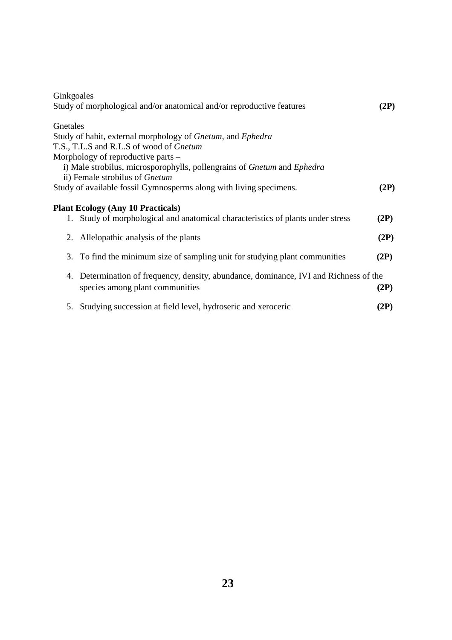| Ginkgoales |                                                                                    |      |
|------------|------------------------------------------------------------------------------------|------|
|            | Study of morphological and/or anatomical and/or reproductive features              | (2P) |
| Gnetales   |                                                                                    |      |
|            | Study of habit, external morphology of Gnetum, and Ephedra                         |      |
|            | T.S., T.L.S and R.L.S of wood of Gnetum                                            |      |
|            | Morphology of reproductive parts –                                                 |      |
|            | i) Male strobilus, microsporophylls, pollengrains of Gnetum and Ephedra            |      |
|            | ii) Female strobilus of Gnetum                                                     |      |
|            | Study of available fossil Gymnosperms along with living specimens.                 | (2P) |
|            |                                                                                    |      |
|            | <b>Plant Ecology (Any 10 Practicals)</b>                                           |      |
|            | 1. Study of morphological and anatomical characteristics of plants under stress    | (2P) |
|            | 2. Allelopathic analysis of the plants                                             | (2P) |
|            |                                                                                    |      |
|            | 3. To find the minimum size of sampling unit for studying plant communities        | (2P) |
| 4.         | Determination of frequency, density, abundance, dominance, IVI and Richness of the |      |
|            | species among plant communities                                                    | (2P) |
|            |                                                                                    |      |
|            | 5. Studying succession at field level, hydroseric and xeroceric                    | (2P) |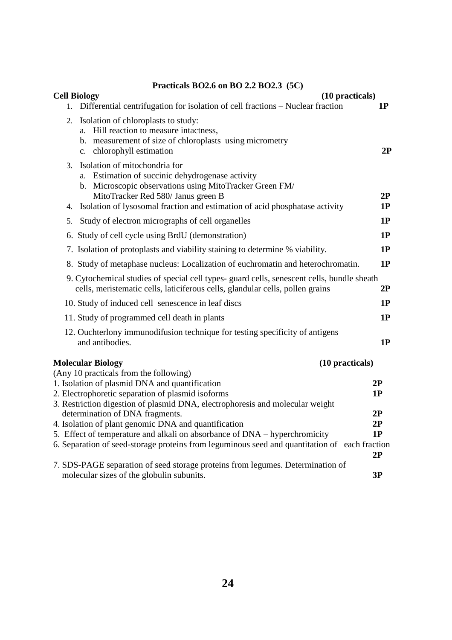# **Practicals BO2.6 on BO 2.2 BO2.3 (5C)**

| (10 practicals)<br><b>Cell Biology</b>                                                                                                                                                                                                                                           |          |
|----------------------------------------------------------------------------------------------------------------------------------------------------------------------------------------------------------------------------------------------------------------------------------|----------|
| Differential centrifugation for isolation of cell fractions - Nuclear fraction<br>$1_{\cdot}$                                                                                                                                                                                    | 1P       |
| Isolation of chloroplasts to study:<br>2.<br>a. Hill reaction to measure intactness,<br>b. measurement of size of chloroplasts using micrometry<br>c. chlorophyll estimation                                                                                                     | 2P       |
| Isolation of mitochondria for<br>3.<br>Estimation of succinic dehydrogenase activity<br>a.<br>b. Microscopic observations using MitoTracker Green FM/<br>MitoTracker Red 580/ Janus green B<br>Isolation of lysosomal fraction and estimation of acid phosphatase activity<br>4. | 2P<br>1P |
| Study of electron micrographs of cell organelles<br>5.                                                                                                                                                                                                                           | 1P       |
| 6. Study of cell cycle using BrdU (demonstration)                                                                                                                                                                                                                                | 1P       |
| 7. Isolation of protoplasts and viability staining to determine % viability.                                                                                                                                                                                                     | 1P       |
| 8. Study of metaphase nucleus: Localization of euchromatin and heterochromatin.                                                                                                                                                                                                  | 1P       |
| 9. Cytochemical studies of special cell types- guard cells, senescent cells, bundle sheath<br>cells, meristematic cells, laticiferous cells, glandular cells, pollen grains                                                                                                      | 2P       |
| 10. Study of induced cell senescence in leaf discs                                                                                                                                                                                                                               | 1P       |
| 11. Study of programmed cell death in plants                                                                                                                                                                                                                                     | 1P       |
| 12. Ouchterlony immunodifusion technique for testing specificity of antigens<br>and antibodies.                                                                                                                                                                                  | 1P       |
| <b>Molecular Biology</b><br>(10 practicals)<br>(Any 10 practicals from the following)                                                                                                                                                                                            |          |
| 1. Isolation of plasmid DNA and quantification                                                                                                                                                                                                                                   | 2P       |
| 2. Electrophoretic separation of plasmid isoforms                                                                                                                                                                                                                                | 1P       |
| 3. Restriction digestion of plasmid DNA, electrophoresis and molecular weight                                                                                                                                                                                                    |          |
| determination of DNA fragments.                                                                                                                                                                                                                                                  | 2P       |
| 4. Isolation of plant genomic DNA and quantification<br>5. Effect of temperature and alkali on absorbance of DNA – hyperchromicity                                                                                                                                               | 2P<br>1P |
| 6. Separation of seed-storage proteins from leguminous seed and quantitation of each fraction                                                                                                                                                                                    | 2P       |
| 7. SDS-PAGE separation of seed storage proteins from legumes. Determination of<br>molecular sizes of the globulin subunits.                                                                                                                                                      | 3P       |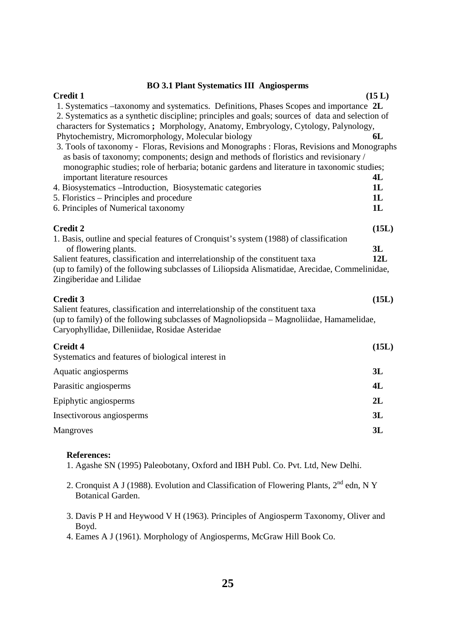# **BO 3.1 Plant Systematics III Angiosperms**

| $\mathcal{L}$ . Then $\mathcal{L}$ , because to the single $\mathcal{L}$                                                                                                        |        |
|---------------------------------------------------------------------------------------------------------------------------------------------------------------------------------|--------|
| <b>Credit 1</b>                                                                                                                                                                 | (15 L) |
| 1. Systematics –taxonomy and systematics. Definitions, Phases Scopes and importance 2L                                                                                          |        |
| 2. Systematics as a synthetic discipline; principles and goals; sources of data and selection of                                                                                |        |
| characters for Systematics; Morphology, Anatomy, Embryology, Cytology, Palynology,                                                                                              | 6L     |
| Phytochemistry, Micromorphology, Molecular biology<br>3. Tools of taxonomy - Floras, Revisions and Monographs : Floras, Revisions and Monographs                                |        |
| as basis of taxonomy; components; design and methods of floristics and revisionary /                                                                                            |        |
| monographic studies; role of herbaria; botanic gardens and literature in taxonomic studies;                                                                                     |        |
| important literature resources                                                                                                                                                  | 4L     |
| 4. Biosystematics - Introduction, Biosystematic categories                                                                                                                      | 1L     |
| 5. Floristics – Principles and procedure                                                                                                                                        | 1L     |
| 6. Principles of Numerical taxonomy                                                                                                                                             | 1L     |
| <b>Credit 2</b>                                                                                                                                                                 | (15L)  |
| 1. Basis, outline and special features of Cronquist's system (1988) of classification                                                                                           |        |
| of flowering plants.                                                                                                                                                            | 3L     |
| Salient features, classification and interrelationship of the constituent taxa<br>(up to family) of the following subclasses of Liliopsida Alismatidae, Arecidae, Commelinidae, | 12L    |
| Zingiberidae and Lilidae                                                                                                                                                        |        |
|                                                                                                                                                                                 |        |
| <b>Credit 3</b>                                                                                                                                                                 | (15L)  |
| Salient features, classification and interrelationship of the constituent taxa<br>(up to family) of the following subclasses of Magnoliopsida – Magnoliidae, Hamamelidae,       |        |
| Caryophyllidae, Dilleniidae, Rosidae Asteridae                                                                                                                                  |        |
| Creidt 4                                                                                                                                                                        | (15L)  |
| Systematics and features of biological interest in                                                                                                                              |        |
| Aquatic angiosperms                                                                                                                                                             | 3L     |
| Parasitic angiosperms                                                                                                                                                           | 4L     |
| Epiphytic angiosperms                                                                                                                                                           | 2L     |
| Insectivorous angiosperms                                                                                                                                                       | 3L     |
| Mangroves                                                                                                                                                                       | 3L     |

## **References:**

1. Agashe SN (1995) Paleobotany, Oxford and IBH Publ. Co. Pvt. Ltd, New Delhi.

- 2. Cronquist A J (1988). Evolution and Classification of Flowering Plants, 2nd edn, N Y Botanical Garden.
- 3. Davis P H and Heywood V H (1963). Principles of Angiosperm Taxonomy, Oliver and Boyd.

4. Eames A J (1961). Morphology of Angiosperms, McGraw Hill Book Co.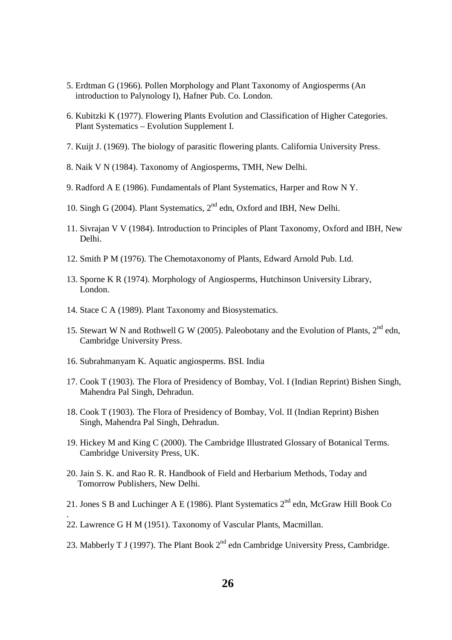- 5. Erdtman G (1966). Pollen Morphology and Plant Taxonomy of Angiosperms (An introduction to Palynology I), Hafner Pub. Co. London.
- 6. Kubitzki K (1977). Flowering Plants Evolution and Classification of Higher Categories. Plant Systematics – Evolution Supplement I.
- 7. Kuijt J. (1969). The biology of parasitic flowering plants. California University Press.
- 8. Naik V N (1984). Taxonomy of Angiosperms, TMH, New Delhi.
- 9. Radford A E (1986). Fundamentals of Plant Systematics, Harper and Row N Y.
- 10. Singh G (2004). Plant Systematics,  $2<sup>nd</sup>$  edn, Oxford and IBH, New Delhi.
- 11. Sivrajan V V (1984). Introduction to Principles of Plant Taxonomy, Oxford and IBH, New Delhi.
- 12. Smith P M (1976). The Chemotaxonomy of Plants, Edward Arnold Pub. Ltd.
- 13. Sporne K R (1974). Morphology of Angiosperms, Hutchinson University Library, London.
- 14. Stace C A (1989). Plant Taxonomy and Biosystematics.
- 15. Stewart W N and Rothwell G W (2005). Paleobotany and the Evolution of Plants, 2<sup>nd</sup> edn. Cambridge University Press.
- 16. Subrahmanyam K. Aquatic angiosperms. BSI. India
- 17. Cook T (1903). The Flora of Presidency of Bombay, Vol. I (Indian Reprint) Bishen Singh, Mahendra Pal Singh, Dehradun.
- 18. Cook T (1903). The Flora of Presidency of Bombay, Vol. II (Indian Reprint) Bishen Singh, Mahendra Pal Singh, Dehradun.
- 19. Hickey M and King C (2000). The Cambridge Illustrated Glossary of Botanical Terms. Cambridge University Press, UK.
- 20. Jain S. K. and Rao R. R. Handbook of Field and Herbarium Methods, Today and Tomorrow Publishers, New Delhi.
- 21. Jones S B and Luchinger A E (1986). Plant Systematics 2<sup>nd</sup> edn, McGraw Hill Book Co
- 22. Lawrence G H M (1951). Taxonomy of Vascular Plants, Macmillan.

.

23. Mabberly T J (1997). The Plant Book  $2<sup>nd</sup>$  edn Cambridge University Press, Cambridge.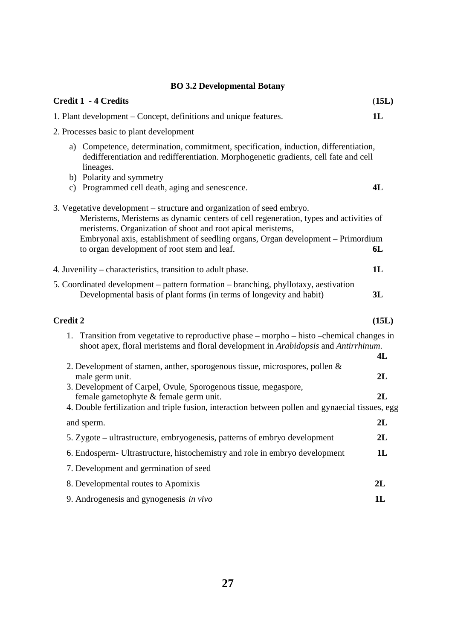# **BO 3.2 Developmental Botany**

| <b>Credit 1 - 4 Credits</b>                                                                                                                                                                                                                                                                                                                                                                                                                                                                             | (15L)          |
|---------------------------------------------------------------------------------------------------------------------------------------------------------------------------------------------------------------------------------------------------------------------------------------------------------------------------------------------------------------------------------------------------------------------------------------------------------------------------------------------------------|----------------|
| 1. Plant development – Concept, definitions and unique features.                                                                                                                                                                                                                                                                                                                                                                                                                                        | 1L             |
| 2. Processes basic to plant development                                                                                                                                                                                                                                                                                                                                                                                                                                                                 |                |
| a) Competence, determination, commitment, specification, induction, differentiation,<br>dedifferentiation and redifferentiation. Morphogenetic gradients, cell fate and cell<br>lineages.<br>b) Polarity and symmetry<br>c) Programmed cell death, aging and senescence.                                                                                                                                                                                                                                | 4L             |
| 3. Vegetative development – structure and organization of seed embryo.<br>Meristems, Meristems as dynamic centers of cell regeneration, types and activities of<br>meristems. Organization of shoot and root apical meristems,<br>Embryonal axis, establishment of seedling organs, Organ development - Primordium<br>to organ development of root stem and leaf.                                                                                                                                       | 6L             |
| 4. Juvenility – characteristics, transition to adult phase.                                                                                                                                                                                                                                                                                                                                                                                                                                             | 1L             |
| 5. Coordinated development – pattern formation – branching, phyllotaxy, aestivation<br>Developmental basis of plant forms (in terms of longevity and habit)                                                                                                                                                                                                                                                                                                                                             | 3L             |
| <b>Credit 2</b>                                                                                                                                                                                                                                                                                                                                                                                                                                                                                         | (15L)          |
| 1. Transition from vegetative to reproductive phase - morpho - histo - chemical changes in<br>shoot apex, floral meristems and floral development in Arabidopsis and Antirrhinum.<br>2. Development of stamen, anther, sporogenous tissue, microspores, pollen $\&$<br>male germ unit.<br>3. Development of Carpel, Ovule, Sporogenous tissue, megaspore,<br>female gametophyte & female germ unit.<br>4. Double fertilization and triple fusion, interaction between pollen and gynaecial tissues, egg | 4L<br>2L<br>2L |
| and sperm.                                                                                                                                                                                                                                                                                                                                                                                                                                                                                              | 2L             |
| 5. Zygote – ultrastructure, embryogenesis, patterns of embryo development                                                                                                                                                                                                                                                                                                                                                                                                                               | 2L             |
| 6. Endosperm- Ultrastructure, histochemistry and role in embryo development                                                                                                                                                                                                                                                                                                                                                                                                                             | 1L             |
| 7. Development and germination of seed                                                                                                                                                                                                                                                                                                                                                                                                                                                                  |                |
| 8. Developmental routes to Apomixis                                                                                                                                                                                                                                                                                                                                                                                                                                                                     | 2L             |
| 9. Androgenesis and gynogenesis in vivo                                                                                                                                                                                                                                                                                                                                                                                                                                                                 | 1L             |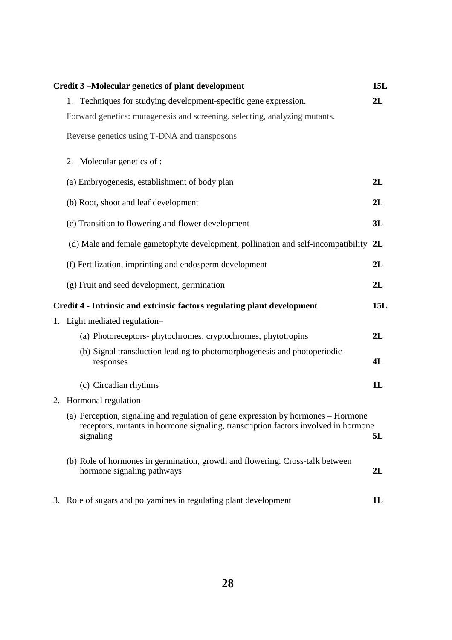| Credit 3-Molecular genetics of plant development                                                                                                                                     | 15L        |
|--------------------------------------------------------------------------------------------------------------------------------------------------------------------------------------|------------|
| 1. Techniques for studying development-specific gene expression.                                                                                                                     | 2L         |
| Forward genetics: mutagenesis and screening, selecting, analyzing mutants.                                                                                                           |            |
| Reverse genetics using T-DNA and transposons                                                                                                                                         |            |
| 2. Molecular genetics of :                                                                                                                                                           |            |
| (a) Embryogenesis, establishment of body plan                                                                                                                                        | 2L         |
| (b) Root, shoot and leaf development                                                                                                                                                 | 2L         |
| (c) Transition to flowering and flower development                                                                                                                                   | 3L         |
| (d) Male and female gametophyte development, pollination and self-incompatibility 2L                                                                                                 |            |
| (f) Fertilization, imprinting and endosperm development                                                                                                                              | 2L         |
| (g) Fruit and seed development, germination                                                                                                                                          | 2L         |
|                                                                                                                                                                                      |            |
| Credit 4 - Intrinsic and extrinsic factors regulating plant development                                                                                                              | <b>15L</b> |
| 1. Light mediated regulation-                                                                                                                                                        |            |
| (a) Photoreceptors-phytochromes, cryptochromes, phytotropins                                                                                                                         | 2L         |
| (b) Signal transduction leading to photomorphogenesis and photoperiodic<br>responses                                                                                                 | 4L         |
| (c) Circadian rhythms                                                                                                                                                                | 1L         |
| 2. Hormonal regulation-                                                                                                                                                              |            |
| (a) Perception, signaling and regulation of gene expression by hormones – Hormone<br>receptors, mutants in hormone signaling, transcription factors involved in hormone<br>signaling | 5L         |
| (b) Role of hormones in germination, growth and flowering. Cross-talk between<br>hormone signaling pathways                                                                          | 2L         |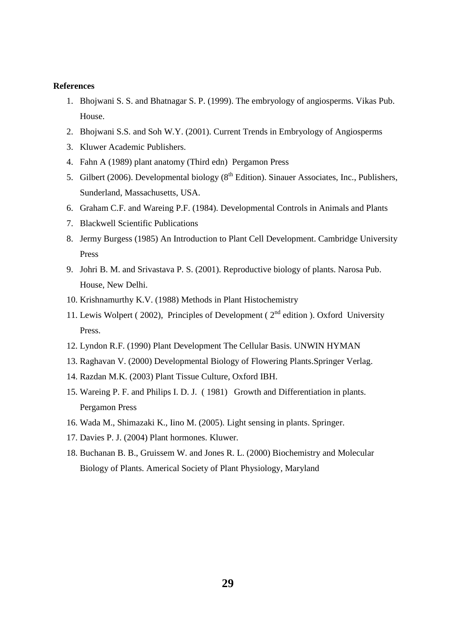### **References**

- 1. Bhojwani S. S. and Bhatnagar S. P. (1999). The embryology of angiosperms. Vikas Pub. House.
- 2. Bhojwani S.S. and Soh W.Y. (2001). Current Trends in Embryology of Angiosperms
- 3. Kluwer Academic Publishers.
- 4. Fahn A (1989) plant anatomy (Third edn) Pergamon Press
- 5. Gilbert (2006). Developmental biology ( $8<sup>th</sup>$  Edition). Sinauer Associates, Inc., Publishers, Sunderland, Massachusetts, USA.
- 6. Graham C.F. and Wareing P.F. (1984). Developmental Controls in Animals and Plants
- 7. Blackwell Scientific Publications
- 8. Jermy Burgess (1985) An Introduction to Plant Cell Development. Cambridge University Press
- 9. Johri B. M. and Srivastava P. S. (2001). Reproductive biology of plants. Narosa Pub. House, New Delhi.
- 10. Krishnamurthy K.V. (1988) Methods in Plant Histochemistry
- 11. Lewis Wolpert ( 2002), Principles of Development (  $2<sup>nd</sup>$  edition ). Oxford University Press.
- 12. Lyndon R.F. (1990) Plant Development The Cellular Basis. UNWIN HYMAN
- 13. Raghavan V. (2000) Developmental Biology of Flowering Plants.Springer Verlag.
- 14. Razdan M.K. (2003) Plant Tissue Culture, Oxford IBH.
- 15. Wareing P. F. and Philips I. D. J. ( 1981) Growth and Differentiation in plants. Pergamon Press
- 16. Wada M., Shimazaki K., Iino M. (2005). Light sensing in plants. Springer.
- 17. Davies P. J. (2004) Plant hormones. Kluwer.
- 18. Buchanan B. B., Gruissem W. and Jones R. L. (2000) Biochemistry and Molecular Biology of Plants. Americal Society of Plant Physiology, Maryland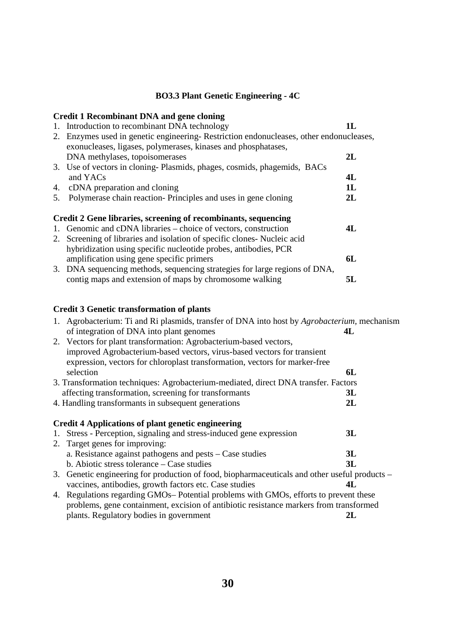## **BO3.3 Plant Genetic Engineering - 4C**

# **Credit 1 Recombinant DNA and gene cloning**

1. Introduction to recombinant DNA technology **1L** 2. Enzymes used in genetic engineering- Restriction endonucleases, other endonucleases, exonucleases, ligases, polymerases, kinases and phosphatases, DNA methylases, topoisomerases **2L** 3. Use of vectors in cloning- Plasmids, phages, cosmids, phagemids, BACs and YACs **4L** 4. cDNA preparation and cloning **1L** 5. Polymerase chain reaction- Principles and uses in gene cloning **2L Credit 2 Gene libraries, screening of recombinants, sequencing**  1. Genomic and cDNA libraries – choice of vectors, construction **4L** 2. Screening of libraries and isolation of specific clones- Nucleic acid hybridization using specific nucleotide probes, antibodies, PCR amplification using gene specific primers **6L** 3. DNA sequencing methods, sequencing strategies for large regions of DNA,

contig maps and extension of maps by chromosome walking **5L**

# **Credit 3 Genetic transformation of plants**

|    | 1. Agrobacterium: Ti and Ri plasmids, transfer of DNA into host by <i>Agrobacterium</i> , mechanism<br>of integration of DNA into plant genomes | 4L |
|----|-------------------------------------------------------------------------------------------------------------------------------------------------|----|
|    | 2. Vectors for plant transformation: Agrobacterium-based vectors,                                                                               |    |
|    | improved Agrobacterium-based vectors, virus-based vectors for transient                                                                         |    |
|    | expression, vectors for chloroplast transformation, vectors for marker-free                                                                     |    |
|    | selection                                                                                                                                       | 6L |
|    | 3. Transformation techniques: Agrobacterium-mediated, direct DNA transfer. Factors                                                              |    |
|    | affecting transformation, screening for transformants                                                                                           | 3L |
|    | 4. Handling transformants in subsequent generations                                                                                             | 2L |
|    | <b>Credit 4 Applications of plant genetic engineering</b>                                                                                       |    |
| 1. | Stress - Perception, signaling and stress-induced gene expression                                                                               | 3L |
|    | 2. Target genes for improving:                                                                                                                  |    |
|    | a. Resistance against pathogens and pests – Case studies                                                                                        | 3L |
|    | b. Abiotic stress tolerance $-\text{Case}$ studies                                                                                              | 3L |
|    | 3. Genetic engineering for production of food, biopharmaceuticals and other useful products –                                                   |    |
|    | vaccines, antibodies, growth factors etc. Case studies                                                                                          | 4L |
|    | 4. Regulations regarding GMOs-Potential problems with GMOs, efforts to prevent these                                                            |    |
|    | problems, gene containment, excision of antibiotic resistance markers from transformed                                                          |    |
|    | plants. Regulatory bodies in government                                                                                                         | 2L |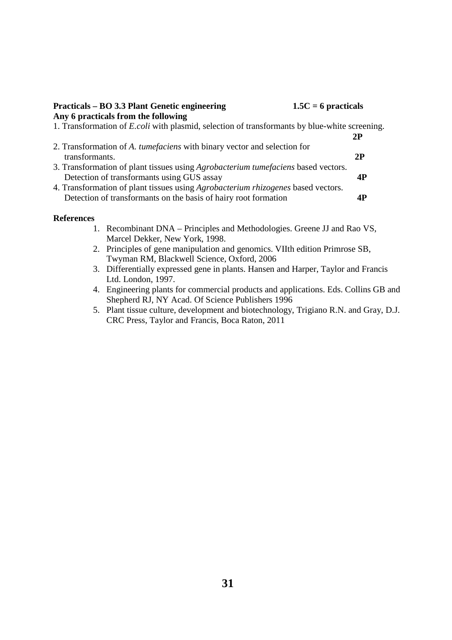| $1.5C = 6$ practicals<br>Practicals – BO 3.3 Plant Genetic engineering<br>Any 6 practicals from the following |    |
|---------------------------------------------------------------------------------------------------------------|----|
| 1. Transformation of <i>E.coli</i> with plasmid, selection of transformants by blue-white screening.          |    |
|                                                                                                               | 2P |
| 2. Transformation of A. tumefaciens with binary vector and selection for                                      |    |
| transformants.                                                                                                | 2P |
| 3. Transformation of plant tissues using <i>Agrobacterium tumefaciens</i> based vectors.                      |    |
| Detection of transformants using GUS assay                                                                    | 4P |
| 4. Transformation of plant tissues using Agrobacterium rhizogenes based vectors.                              |    |
| Detection of transformants on the basis of hairy root formation                                               |    |

## **References**

- 1. Recombinant DNA Principles and Methodologies. Greene JJ and Rao VS, Marcel Dekker, New York, 1998.
- 2. Principles of gene manipulation and genomics. VIIth edition Primrose SB, Twyman RM, Blackwell Science, Oxford, 2006
- 3. Differentially expressed gene in plants. Hansen and Harper, Taylor and Francis Ltd. London, 1997.
- 4. Engineering plants for commercial products and applications. Eds. Collins GB and Shepherd RJ, NY Acad. Of Science Publishers 1996
- 5. Plant tissue culture, development and biotechnology, Trigiano R.N. and Gray, D.J. CRC Press, Taylor and Francis, Boca Raton, 2011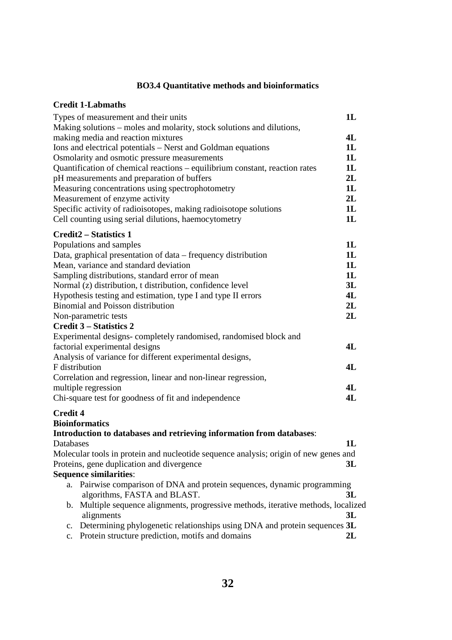# **BO3.4 Quantitative methods and bioinformatics**

# **Credit 1-Labmaths**

|                 | Types of measurement and their units                                                 | 1L |
|-----------------|--------------------------------------------------------------------------------------|----|
|                 | Making solutions – moles and molarity, stock solutions and dilutions,                |    |
|                 | making media and reaction mixtures                                                   | 4L |
|                 | Ions and electrical potentials – Nerst and Goldman equations                         | 1L |
|                 | Osmolarity and osmotic pressure measurements                                         | 1L |
|                 | Quantification of chemical reactions - equilibrium constant, reaction rates          | 1L |
|                 | pH measurements and preparation of buffers                                           | 2L |
|                 | Measuring concentrations using spectrophotometry                                     | 1L |
|                 | Measurement of enzyme activity                                                       | 2L |
|                 | Specific activity of radioisotopes, making radioisotope solutions                    | 1L |
|                 | Cell counting using serial dilutions, haemocytometry                                 | 1L |
|                 | <b>Credit2 - Statistics 1</b>                                                        |    |
|                 | Populations and samples                                                              | 1L |
|                 | Data, graphical presentation of data – frequency distribution                        | 1L |
|                 | Mean, variance and standard deviation                                                | 1L |
|                 | Sampling distributions, standard error of mean                                       | 1L |
|                 | Normal (z) distribution, t distribution, confidence level                            | 3L |
|                 | Hypothesis testing and estimation, type I and type II errors                         | 4L |
|                 | <b>Binomial and Poisson distribution</b>                                             | 2L |
|                 | Non-parametric tests                                                                 | 2L |
|                 | <b>Credit 3 – Statistics 2</b>                                                       |    |
|                 | Experimental designs-completely randomised, randomised block and                     |    |
|                 | factorial experimental designs                                                       | 4L |
|                 | Analysis of variance for different experimental designs,                             |    |
|                 | <b>F</b> distribution                                                                | 4L |
|                 | Correlation and regression, linear and non-linear regression,                        |    |
|                 | multiple regression                                                                  | 4L |
|                 | Chi-square test for goodness of fit and independence                                 | 4L |
| <b>Credit 4</b> |                                                                                      |    |
|                 | <b>Bioinformatics</b>                                                                |    |
|                 | Introduction to databases and retrieving information from databases:                 |    |
| Databases       |                                                                                      | 1L |
|                 | Molecular tools in protein and nucleotide sequence analysis; origin of new genes and |    |
|                 | Proteins, gene duplication and divergence                                            | 3L |
|                 | <b>Sequence similarities:</b>                                                        |    |
|                 | a. Pairwise comparison of DNA and protein sequences, dynamic programming             |    |
|                 | algorithms, FASTA and BLAST.                                                         | 3L |
|                 | b. Multiple sequence alignments, progressive methods, iterative methods, localized   |    |
|                 | alignments                                                                           | 3L |
| $\mathbf{c}$ .  | Determining phylogenetic relationships using DNA and protein sequences 3L            |    |
| $\mathbf{c}$ .  | Protein structure prediction, motifs and domains                                     | 2L |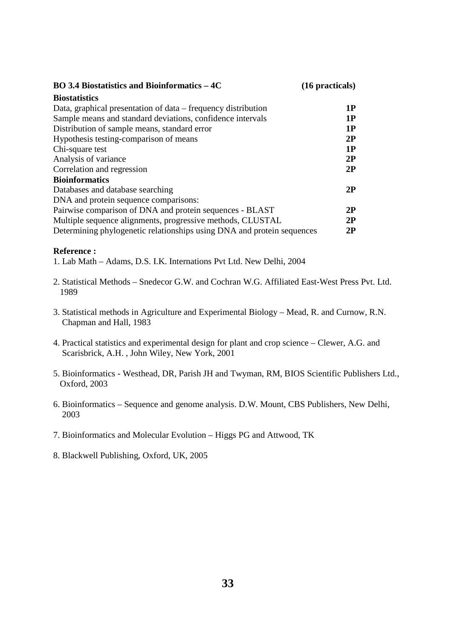| <b>BO</b> 3.4 Biostatistics and Bioinformatics – 4C                    | $(16$ practicals) |
|------------------------------------------------------------------------|-------------------|
| <b>Biostatistics</b>                                                   |                   |
| Data, graphical presentation of data – frequency distribution          | 1P                |
| Sample means and standard deviations, confidence intervals             | 1P                |
| Distribution of sample means, standard error                           | 1P                |
| Hypothesis testing-comparison of means                                 | 2P                |
| Chi-square test                                                        | 1P                |
| Analysis of variance                                                   | 2P                |
| Correlation and regression                                             | 2P                |
| <b>Bioinformatics</b>                                                  |                   |
| Databases and database searching                                       | 2P                |
| DNA and protein sequence comparisons:                                  |                   |
| Pairwise comparison of DNA and protein sequences - BLAST               | 2P                |
| Multiple sequence alignments, progressive methods, CLUSTAL             | 2P                |
| Determining phylogenetic relationships using DNA and protein sequences | 2P                |

## **Reference :**

1. Lab Math – Adams, D.S. I.K. Internations Pvt Ltd. New Delhi, 2004

- 2. Statistical Methods Snedecor G.W. and Cochran W.G. Affiliated East-West Press Pvt. Ltd. 1989
- 3. Statistical methods in Agriculture and Experimental Biology Mead, R. and Curnow, R.N. Chapman and Hall, 1983
- 4. Practical statistics and experimental design for plant and crop science Clewer, A.G. and Scarisbrick, A.H. , John Wiley, New York, 2001
- 5. Bioinformatics Westhead, DR, Parish JH and Twyman, RM, BIOS Scientific Publishers Ltd., Oxford, 2003
- 6. Bioinformatics Sequence and genome analysis. D.W. Mount, CBS Publishers, New Delhi, 2003
- 7. Bioinformatics and Molecular Evolution Higgs PG and Attwood, TK
- 8. Blackwell Publishing, Oxford, UK, 2005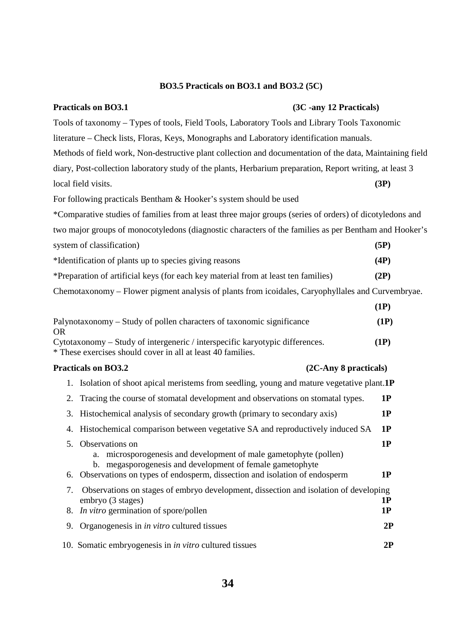# **BO3.5 Practicals on BO3.1 and BO3.2 (5C)**

# Practicals on BO3.1 (3C -any 12 Practicals)

| Tools of taxonomy – Types of tools, Field Tools, Laboratory Tools and Library Tools Taxonomic            |      |  |
|----------------------------------------------------------------------------------------------------------|------|--|
| literature – Check lists, Floras, Keys, Monographs and Laboratory identification manuals.                |      |  |
| Methods of field work, Non-destructive plant collection and documentation of the data, Maintaining field |      |  |
| diary, Post-collection laboratory study of the plants, Herbarium preparation, Report writing, at least 3 |      |  |
| local field visits.                                                                                      | (3P) |  |
| For following practicals Bentham & Hooker's system should be used                                        |      |  |
| *Comparative studies of families from at least three major groups (series of orders) of dicotyledons and |      |  |
| two major groups of monocotyledons (diagnostic characters of the families as per Bentham and Hooker's    |      |  |
| system of classification)                                                                                | (5P) |  |
| *Identification of plants up to species giving reasons                                                   | (4P) |  |
| *Preparation of artificial keys (for each key material from at least ten families)                       | (2P) |  |
| Chemotaxonomy – Flower pigment analysis of plants from icoidales, Caryophyllales and Curvembryae.        |      |  |
|                                                                                                          | (1P) |  |
| Palynotaxonomy – Study of pollen characters of taxonomic significance<br><b>OR</b>                       | (1P) |  |
| Cytotaxonomy – Study of intergeneric / interspecific karyotypic differences.                             | (1P) |  |

\* These exercises should cover in all at least 40 families.

# Practicals on BO3.2 (2C-Any 8 practicals)

|    | 1. Isolation of shoot apical meristems from seedling, young and mature vegetative plant.1P                                                                                                                                           |          |
|----|--------------------------------------------------------------------------------------------------------------------------------------------------------------------------------------------------------------------------------------|----------|
|    | 2. Tracing the course of stomatal development and observations on stomatal types.                                                                                                                                                    | 1P       |
|    | 3. Histochemical analysis of secondary growth (primary to secondary axis)                                                                                                                                                            | 1P       |
|    | 4. Histochemical comparison between vegetative SA and reproductively induced SA                                                                                                                                                      | 1P       |
|    | 5. Observations on<br>a. microsporogenesis and development of male gametophyte (pollen)<br>b. megasporogenesis and development of female gametophyte<br>6. Observations on types of endosperm, dissection and isolation of endosperm | 1P<br>1P |
| 7. | Observations on stages of embryo development, dissection and isolation of developing<br>embryo (3 stages)<br>8. <i>In vitro</i> germination of spore/pollen                                                                          | 1P<br>1P |
| 9. | Organogenesis in <i>in vitro</i> cultured tissues                                                                                                                                                                                    | 2P       |
|    | 10. Somatic embryogenesis in <i>in vitro</i> cultured tissues                                                                                                                                                                        | 2P       |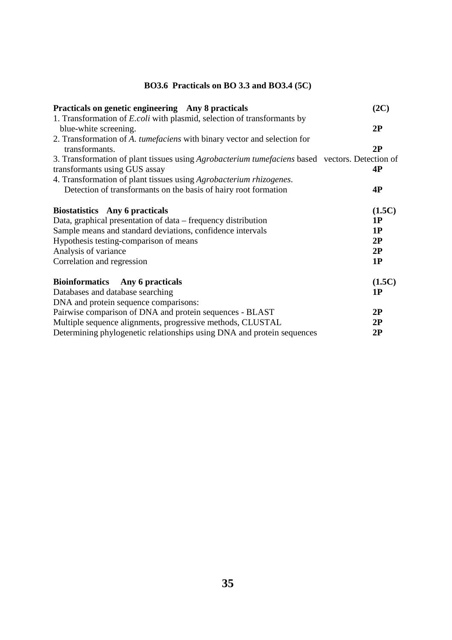# **BO3.6 Practicals on BO 3.3 and BO3.4 (5C)**

| Practicals on genetic engineering Any 8 practicals                                             | (2C)   |
|------------------------------------------------------------------------------------------------|--------|
| 1. Transformation of <i>E.coli</i> with plasmid, selection of transformants by                 |        |
| blue-white screening.                                                                          | 2P     |
| 2. Transformation of A. tumefaciens with binary vector and selection for                       |        |
| transformants.                                                                                 | 2P     |
| 3. Transformation of plant tissues using Agrobacterium tumefaciens based vectors. Detection of |        |
| transformants using GUS assay                                                                  | 4P     |
| 4. Transformation of plant tissues using Agrobacterium rhizogenes.                             |        |
| Detection of transformants on the basis of hairy root formation                                | 4P     |
| <b>Biostatistics</b> Any 6 practicals                                                          | (1.5C) |
| Data, graphical presentation of data – frequency distribution                                  | 1P     |
| Sample means and standard deviations, confidence intervals                                     | 1P     |
| Hypothesis testing-comparison of means                                                         | 2P     |
| Analysis of variance                                                                           | 2P     |
| Correlation and regression                                                                     | 1P     |
| <b>Bioinformatics</b><br>Any 6 practicals                                                      | (1.5C) |
| Databases and database searching                                                               | 1P     |
| DNA and protein sequence comparisons:                                                          |        |
| Pairwise comparison of DNA and protein sequences - BLAST                                       | 2P     |
| Multiple sequence alignments, progressive methods, CLUSTAL                                     | 2P     |
| Determining phylogenetic relationships using DNA and protein sequences                         | 2P     |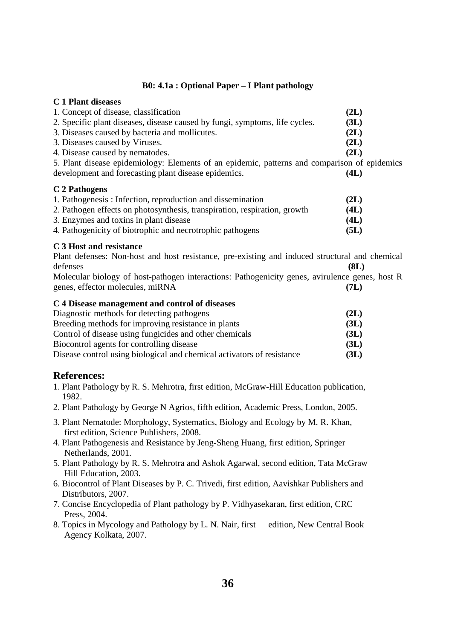# **B0: 4.1a : Optional Paper – I Plant pathology**

# **C 1 Plant diseases**

| 1. Concept of disease, classification                                       | (2L) |
|-----------------------------------------------------------------------------|------|
| 2. Specific plant diseases, disease caused by fungi, symptoms, life cycles. | (3L) |
| 3. Diseases caused by bacteria and mollicutes.                              | (2L) |
| 3. Diseases caused by Viruses.                                              | (2L) |
| 4. Disease caused by nematodes.                                             | (2L) |
|                                                                             |      |

5. Plant disease epidemiology: Elements of an epidemic, patterns and comparison of epidemics development and forecasting plant disease epidemics. **(4L)**

# **C 2 Pathogens**

| 1. Pathogenesis: Infection, reproduction and dissemination                | (2L) |
|---------------------------------------------------------------------------|------|
| 2. Pathogen effects on photosynthesis, transpiration, respiration, growth | (4L) |
| 3. Enzymes and toxins in plant disease                                    | (4L) |
| 4. Pathogenicity of biotrophic and necrotrophic pathogens                 | (5L) |

# **C 3 Host and resistance**

Plant defenses: Non-host and host resistance, pre-existing and induced structural and chemical defenses **(8L)**

Molecular biology of host-pathogen interactions: Pathogenicity genes, avirulence genes, host R genes, effector molecules, miRNA **(7L)**

# **C 4 Disease management and control of diseases**

| Diagnostic methods for detecting pathogens                             | (2L) |
|------------------------------------------------------------------------|------|
| Breeding methods for improving resistance in plants                    | (3L) |
| Control of disease using fungicides and other chemicals                | (3L) |
| Biocontrol agents for controlling disease                              | (3L) |
| Disease control using biological and chemical activators of resistance | (3L) |

# **References:**

- 1. Plant Pathology by R. S. Mehrotra, first edition, McGraw-Hill Education publication, 1982.
- 2. Plant Pathology by George N Agrios, fifth edition, Academic Press, London, 2005.
- 3. Plant Nematode: Morphology, Systematics, Biology and Ecology by M. R. Khan, first edition, Science Publishers, 2008.
- 4. Plant Pathogenesis and Resistance by Jeng-Sheng Huang, first edition, Springer Netherlands, 2001.
- 5. Plant Pathology by R. S. Mehrotra and Ashok Agarwal, second edition, Tata McGraw Hill Education, 2003.
- 6. Biocontrol of Plant Diseases by P. C. Trivedi, first edition, Aavishkar Publishers and Distributors, 2007.
- 7. Concise Encyclopedia of Plant pathology by P. Vidhyasekaran, first edition, CRC Press, 2004.
- 8. Topics in Mycology and Pathology by L. N. Nair, first edition, New Central Book Agency Kolkata, 2007.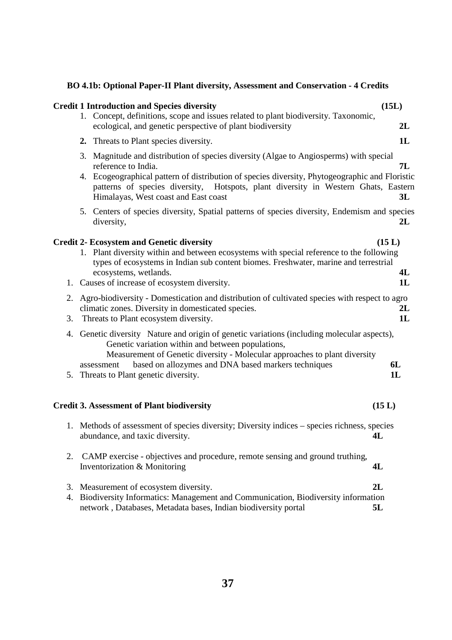# **BO 4.1b: Optional Paper-II Plant diversity, Assessment and Conservation - 4 Credits**

|          | <b>Credit 1 Introduction and Species diversity</b>                                                                                                                                                                                                                                                                                                                                                                                                                    | (15L)                          |
|----------|-----------------------------------------------------------------------------------------------------------------------------------------------------------------------------------------------------------------------------------------------------------------------------------------------------------------------------------------------------------------------------------------------------------------------------------------------------------------------|--------------------------------|
|          | 1. Concept, definitions, scope and issues related to plant biodiversity. Taxonomic,<br>ecological, and genetic perspective of plant biodiversity                                                                                                                                                                                                                                                                                                                      | 2L                             |
|          | Threats to Plant species diversity.<br>2.                                                                                                                                                                                                                                                                                                                                                                                                                             | 1L                             |
|          | 3. Magnitude and distribution of species diversity (Algae to Angiosperms) with special<br>reference to India.<br>4. Ecogeographical pattern of distribution of species diversity, Phytogeographic and Floristic<br>patterns of species diversity, Hotspots, plant diversity in Western Ghats, Eastern<br>Himalayas, West coast and East coast                                                                                                                         | 7L<br>3L                       |
|          | 5. Centers of species diversity, Spatial patterns of species diversity, Endemism and species<br>diversity,                                                                                                                                                                                                                                                                                                                                                            | 2L                             |
| 2.       | <b>Credit 2- Ecosystem and Genetic diversity</b><br>1. Plant diversity within and between ecosystems with special reference to the following<br>types of ecosystems in Indian sub content biomes. Freshwater, marine and terrestrial<br>ecosystems, wetlands.<br>1. Causes of increase of ecosystem diversity.<br>Agro-biodiversity - Domestication and distribution of cultivated species with respect to agro<br>climatic zones. Diversity in domesticated species. | (15 L)<br>4L<br>1L<br>2L<br>1L |
| 3.<br>4. | Threats to Plant ecosystem diversity.<br>Genetic diversity Nature and origin of genetic variations (including molecular aspects),<br>Genetic variation within and between populations,<br>Measurement of Genetic diversity - Molecular approaches to plant diversity<br>based on allozymes and DNA based markers techniques<br>assessment<br>5. Threats to Plant genetic diversity.                                                                                   | <b>6L</b><br>1L                |
|          | <b>Credit 3. Assessment of Plant biodiversity</b>                                                                                                                                                                                                                                                                                                                                                                                                                     | (15 L)                         |
|          | 1. Methods of assessment of species diversity; Diversity indices – species richness, species<br>abundance, and taxic diversity.<br>4L                                                                                                                                                                                                                                                                                                                                 |                                |
| 2.       | CAMP exercise - objectives and procedure, remote sensing and ground truthing,<br>Inventorization & Monitoring<br>4L                                                                                                                                                                                                                                                                                                                                                   |                                |
| 3.<br>4. | 2L<br>Measurement of ecosystem diversity.<br>Biodiversity Informatics: Management and Communication, Biodiversity information<br>network, Databases, Metadata bases, Indian biodiversity portal<br>5L                                                                                                                                                                                                                                                                 |                                |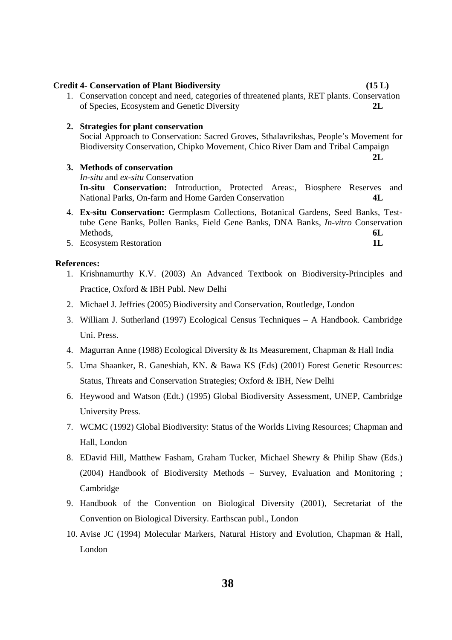**38**

# **Credit 4- Conservation of Plant Biodiversity (15 L)**

1. Conservation concept and need, categories of threatened plants, RET plants. Conservation of Species, Ecosystem and Genetic Diversity **2L**

#### **2. Strategies for plant conservation**

 Social Approach to Conservation: Sacred Groves, Sthalavrikshas, People's Movement for Biodiversity Conservation, Chipko Movement, Chico River Dam and Tribal Campaign

**2L** 

**3. Methods of conservation** 

 *In-situ* and *ex-situ* Conservation

 **In-situ Conservation:** Introduction, Protected Areas:, Biosphere Reserves and National Parks, On-farm and Home Garden Conservation **4L**

- 4. **Ex-situ Conservation:** Germplasm Collections, Botanical Gardens, Seed Banks, Testtube Gene Banks, Pollen Banks, Field Gene Banks, DNA Banks, *In-vitro* Conservation Methods, **6L**
- 5. Ecosystem Restoration **1L**

#### **References:**

- 1. Krishnamurthy K.V. (2003) An Advanced Textbook on Biodiversity-Principles and Practice, Oxford & IBH Publ. New Delhi
- 2. Michael J. Jeffries (2005) Biodiversity and Conservation, Routledge, London
- 3. William J. Sutherland (1997) Ecological Census Techniques A Handbook. Cambridge Uni. Press.
- 4. Magurran Anne (1988) Ecological Diversity & Its Measurement, Chapman & Hall India
- 5. Uma Shaanker, R. Ganeshiah, KN. & Bawa KS (Eds) (2001) Forest Genetic Resources: Status, Threats and Conservation Strategies; Oxford & IBH, New Delhi
- 6. Heywood and Watson (Edt.) (1995) Global Biodiversity Assessment, UNEP, Cambridge University Press.
- 7. WCMC (1992) Global Biodiversity: Status of the Worlds Living Resources; Chapman and Hall, London
- 8. EDavid Hill, Matthew Fasham, Graham Tucker, Michael Shewry & Philip Shaw (Eds.) (2004) Handbook of Biodiversity Methods – Survey, Evaluation and Monitoring ; Cambridge
- 9. Handbook of the Convention on Biological Diversity (2001), Secretariat of the Convention on Biological Diversity. Earthscan publ., London
- 10. Avise JC (1994) Molecular Markers, Natural History and Evolution, Chapman & Hall, London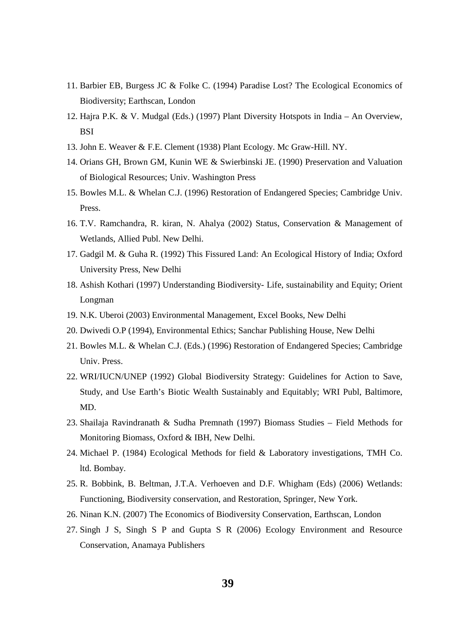- 11. Barbier EB, Burgess JC & Folke C. (1994) Paradise Lost? The Ecological Economics of Biodiversity; Earthscan, London
- 12. Hajra P.K. & V. Mudgal (Eds.) (1997) Plant Diversity Hotspots in India An Overview, **BSI**
- 13. John E. Weaver & F.E. Clement (1938) Plant Ecology. Mc Graw-Hill. NY.
- 14. Orians GH, Brown GM, Kunin WE & Swierbinski JE. (1990) Preservation and Valuation of Biological Resources; Univ. Washington Press
- 15. Bowles M.L. & Whelan C.J. (1996) Restoration of Endangered Species; Cambridge Univ. Press.
- 16. T.V. Ramchandra, R. kiran, N. Ahalya (2002) Status, Conservation & Management of Wetlands, Allied Publ. New Delhi.
- 17. Gadgil M. & Guha R. (1992) This Fissured Land: An Ecological History of India; Oxford University Press, New Delhi
- 18. Ashish Kothari (1997) Understanding Biodiversity- Life, sustainability and Equity; Orient Longman
- 19. N.K. Uberoi (2003) Environmental Management, Excel Books, New Delhi
- 20. Dwivedi O.P (1994), Environmental Ethics; Sanchar Publishing House, New Delhi
- 21. Bowles M.L. & Whelan C.J. (Eds.) (1996) Restoration of Endangered Species; Cambridge Univ. Press.
- 22. WRI/IUCN/UNEP (1992) Global Biodiversity Strategy: Guidelines for Action to Save, Study, and Use Earth's Biotic Wealth Sustainably and Equitably; WRI Publ, Baltimore, MD.
- 23. Shailaja Ravindranath & Sudha Premnath (1997) Biomass Studies Field Methods for Monitoring Biomass, Oxford & IBH, New Delhi.
- 24. Michael P. (1984) Ecological Methods for field & Laboratory investigations, TMH Co. ltd. Bombay.
- 25. R. Bobbink, B. Beltman, J.T.A. Verhoeven and D.F. Whigham (Eds) (2006) Wetlands: Functioning, Biodiversity conservation, and Restoration, Springer, New York.
- 26. Ninan K.N. (2007) The Economics of Biodiversity Conservation, Earthscan, London
- 27. Singh J S, Singh S P and Gupta S R (2006) Ecology Environment and Resource Conservation, Anamaya Publishers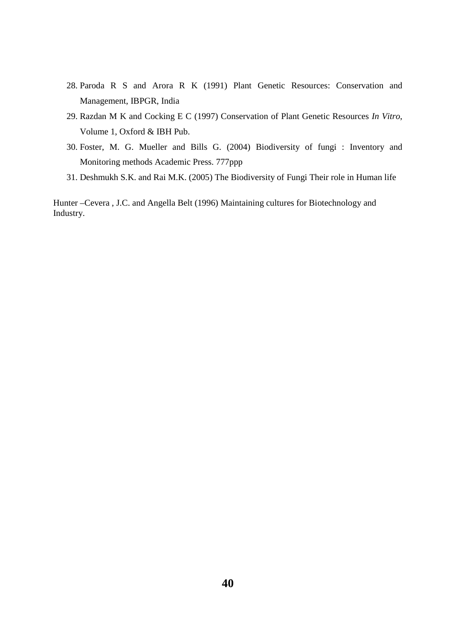- 28. Paroda R S and Arora R K (1991) Plant Genetic Resources: Conservation and Management, IBPGR, India
- 29. Razdan M K and Cocking E C (1997) Conservation of Plant Genetic Resources *In Vitro*, Volume 1, Oxford & IBH Pub.
- 30. Foster, M. G. Mueller and Bills G. (2004) Biodiversity of fungi : Inventory and Monitoring methods Academic Press. 777ppp
- 31. Deshmukh S.K. and Rai M.K. (2005) The Biodiversity of Fungi Their role in Human life

Hunter –Cevera , J.C. and Angella Belt (1996) Maintaining cultures for Biotechnology and Industry.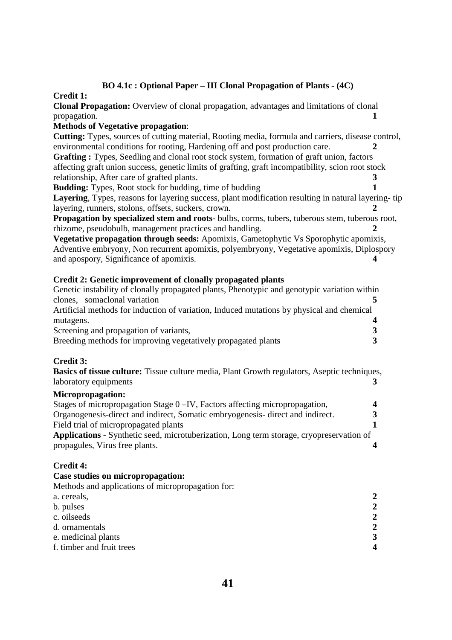# **BO 4.1c : Optional Paper – III Clonal Propagation of Plants - (4C)**

## **Credit 1:**

**Clonal Propagation:** Overview of clonal propagation, advantages and limitations of clonal propagation. **1**

# **Methods of Vegetative propagation**:

**Cutting:** Types, sources of cutting material, Rooting media, formula and carriers, disease control, environmental conditions for rooting, Hardening off and post production care. **2 Grafting :** Types, Seedling and clonal root stock system, formation of graft union, factors affecting graft union success, genetic limits of grafting, graft incompatibility, scion root stock relationship, After care of grafted plants. **3** 

**Budding:** Types, Root stock for budding, time of budding **1** 

**Layering**, Types, reasons for layering success, plant modification resulting in natural layering- tip layering, runners, stolons, offsets, suckers, crown. **2**

Propagation by specialized stem and roots- bulbs, corms, tubers, tuberous stem, tuberous root, rhizome, pseudobulb, management practices and handling. **2** 

**Vegetative propagation through seeds:** Apomixis, Gametophytic Vs Sporophytic apomixis, Adventive embryony, Non recurrent apomixis, polyembryony, Vegetative apomixis, Diplospory and apospory, Significance of apomixis.

# **Credit 2: Genetic improvement of clonally propagated plants**

| Genetic instability of clonally propagated plants, Phenotypic and genotypic variation within |  |
|----------------------------------------------------------------------------------------------|--|
| clones, somaclonal variation                                                                 |  |
| Artificial methods for induction of variation, Induced mutations by physical and chemical    |  |
| mutagens.                                                                                    |  |
| Screening and propagation of variants,                                                       |  |
| Breeding methods for improving vegetatively propagated plants                                |  |

# **Credit 3:**

**Basics of tissue culture:** Tissue culture media, Plant Growth regulators, Aseptic techniques, laboratory equipments **3**

# **Micropropagation:**

| Stages of micropropagation Stage 0 – IV, Factors affecting micropropagation,                    | $\mathbf{\Lambda}$ |
|-------------------------------------------------------------------------------------------------|--------------------|
| Organogenesis-direct and indirect, Somatic embryogenesis-direct and indirect.                   | 3                  |
| Field trial of micropropagated plants                                                           |                    |
| <b>Applications</b> - Synthetic seed, microtuberization, Long term storage, cryopreservation of |                    |
| propagules, Virus free plants.                                                                  |                    |

# **Credit 4:**

### **Case studies on micropropagation:**

| Methods and applications of micropropagation for: |              |
|---------------------------------------------------|--------------|
| a. cereals,                                       | 2            |
| b. pulses                                         | $\mathbf{2}$ |
| c. oilseeds                                       | 2            |
| d. ornamentals                                    | 2            |
| e. medicinal plants                               | 3            |
| f. timber and fruit trees                         |              |
|                                                   |              |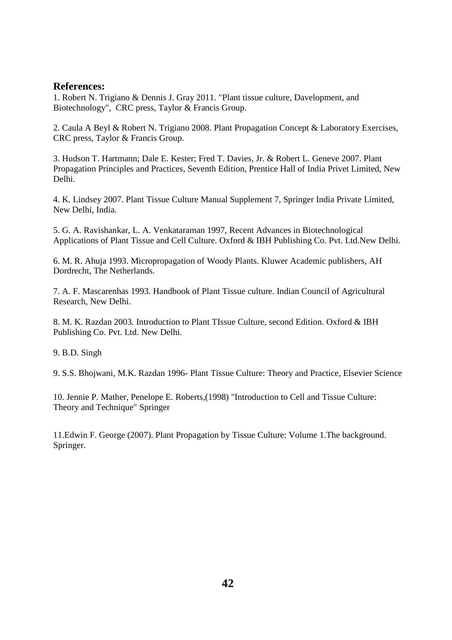# **References:**

1. Robert N. Trigiano & Dennis J. Gray 2011. "Plant tissue culture, Davelopment, and Biotechnology", CRC press, Taylor & Francis Group.

2. Caula A Beyl & Robert N. Trigiano 2008. Plant Propagation Concept & Laboratory Exercises, CRC press, Taylor & Francis Group.

3. Hudson T. Hartmann; Dale E. Kester; Fred T. Davies, Jr. & Robert L. Geneve 2007. Plant Propagation Principles and Practices, Seventh Edition, Prentice Hall of India Privet Limited, New Delhi.

4. K. Lindsey 2007. Plant Tissue Culture Manual Supplement 7, Springer India Private Limited, New Delhi, India.

5. G. A. Ravishankar, L. A. Venkataraman 1997, Recent Advances in Biotechnological Applications of Plant Tissue and Cell Culture. Oxford & IBH Publishing Co. Pvt. Ltd.New Delhi.

6. M. R. Ahuja 1993. Micropropagation of Woody Plants. Kluwer Academic publishers, AH Dordrecht, The Netherlands.

7. A. F. Mascarenhas 1993. Handbook of Plant Tissue culture. Indian Council of Agricultural Research, New Delhi.

8. M. K. Razdan 2003. Introduction to Plant TIssue Culture, second Edition. Oxford & IBH Publishing Co. Pvt. Ltd. New Delhi.

9. B.D. Singh

9. S.S. Bhojwani, M.K. Razdan 1996- Plant Tissue Culture: Theory and Practice, Elsevier Science

10. Jennie P. Mather, Penelope E. Roberts,(1998) "Introduction to Cell and Tissue Culture: Theory and Technique" Springer

11.Edwin F. George (2007). Plant Propagation by Tissue Culture: Volume 1.The background. Springer.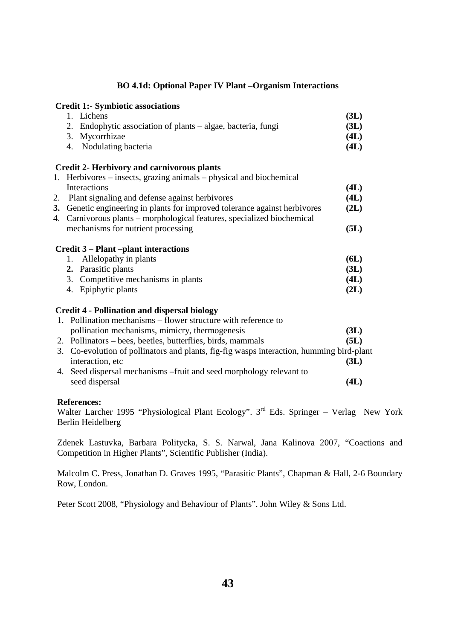# **BO 4.1d: Optional Paper IV Plant –Organism Interactions**

# **Credit 1:- Symbiotic associations**  1. Lichens **(3L)** 2. Endophytic association of plants – algae, bacteria, fungi **(3L)** 3. Mycorrhizae **(4L)** 4. Nodulating bacteria **(4L) Credit 2- Herbivory and carnivorous plants**  1. Herbivores – insects, grazing animals – physical and biochemical Interactions **(4L)**  2. Plant signaling and defense against herbivores **(4L) 3.** Genetic engineering in plants for improved tolerance against herbivores **(2L)**  4. Carnivorous plants – morphological features, specialized biochemical mechanisms for nutrient processing **(5L) Credit 3 – Plant –plant interactions**  1. Allelopathy in plants **(6L) 2.** Parasitic plants **(3L)**  3. Competitive mechanisms in plants **(4L)** 4. Epiphytic plants **(2L) Credit 4 - Pollination and dispersal biology**  1. Pollination mechanisms – flower structure with reference to pollination mechanisms, mimicry, thermogenesis **(3L)**  2. Pollinators – bees, beetles, butterflies, birds, mammals **(5L)** 3. Co-evolution of pollinators and plants, fig-fig wasps interaction, humming bird-plant interaction, etc **(3L)** 4. Seed dispersal mechanisms –fruit and seed morphology relevant to seed dispersal **(4L)**

# **References:**

Walter Larcher 1995 "Physiological Plant Ecology".  $3<sup>rd</sup>$  Eds. Springer – Verlag New York Berlin Heidelberg

Zdenek Lastuvka, Barbara Politycka, S. S. Narwal, Jana Kalinova 2007, "Coactions and Competition in Higher Plants", Scientific Publisher (India).

Malcolm C. Press, Jonathan D. Graves 1995, "Parasitic Plants", Chapman & Hall, 2-6 Boundary Row, London.

Peter Scott 2008, "Physiology and Behaviour of Plants". John Wiley & Sons Ltd.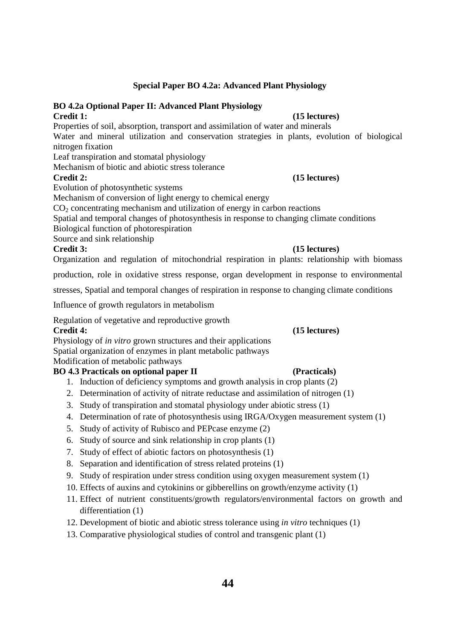# **Special Paper BO 4.2a: Advanced Plant Physiology**

## **BO 4.2a Optional Paper II: Advanced Plant Physiology Credit 1: (15 lectures)**

Properties of soil, absorption, transport and assimilation of water and minerals

Water and mineral utilization and conservation strategies in plants, evolution of biological nitrogen fixation

Leaf transpiration and stomatal physiology

Mechanism of biotic and abiotic stress tolerance

# **Credit 2: (15 lectures)**

Evolution of photosynthetic systems

Mechanism of conversion of light energy to chemical energy

 $CO<sub>2</sub>$  concentrating mechanism and utilization of energy in carbon reactions

Spatial and temporal changes of photosynthesis in response to changing climate conditions

Biological function of photorespiration

Source and sink relationship

# **Credit 3: (15 lectures)**

Organization and regulation of mitochondrial respiration in plants: relationship with biomass

production, role in oxidative stress response, organ development in response to environmental

stresses, Spatial and temporal changes of respiration in response to changing climate conditions

Influence of growth regulators in metabolism

Regulation of vegetative and reproductive growth

# **Credit 4: (15 lectures)**

Physiology of *in vitro* grown structures and their applications

Spatial organization of enzymes in plant metabolic pathways

Modification of metabolic pathways

# **BO 4.3 Practicals on optional paper II (Practicals)**

- 1. Induction of deficiency symptoms and growth analysis in crop plants (2)
- 2. Determination of activity of nitrate reductase and assimilation of nitrogen (1)
- 3. Study of transpiration and stomatal physiology under abiotic stress (1)
- 4. Determination of rate of photosynthesis using IRGA/Oxygen measurement system (1)
- 5. Study of activity of Rubisco and PEPcase enzyme (2)
- 6. Study of source and sink relationship in crop plants (1)
- 7. Study of effect of abiotic factors on photosynthesis (1)
- 8. Separation and identification of stress related proteins (1)
- 9. Study of respiration under stress condition using oxygen measurement system (1)
- 10. Effects of auxins and cytokinins or gibberellins on growth/enzyme activity (1)
- 11. Effect of nutrient constituents/growth regulators/environmental factors on growth and differentiation (1)
- 12. Development of biotic and abiotic stress tolerance using *in vitro* techniques (1)
- 13. Comparative physiological studies of control and transgenic plant (1)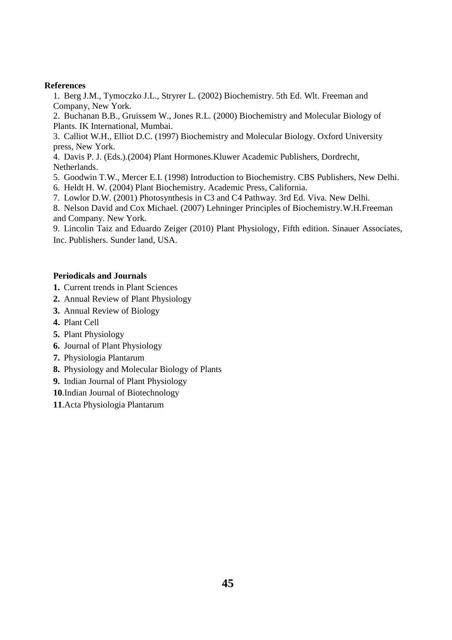# **References**

1. Berg J.M., Tymoczko J.L., Stryrer L. (2002) Biochemistry. 5th Ed. Wlt. Freeman and Company, New York.

2. Buchanan B.B., Gruissem W., Jones R.L. (2000) Biochemistry and Molecular Biology of Plants. IK International, Mumbai.

3. Calliot W.H., Elliot D.C. (1997) Biochemistry and Molecular Biology. Oxford University press, New York.

4. Davis P. J. (Eds.).(2004) Plant Hormones.Kluwer Academic Publishers, Dordrecht, Netherlands.

5. Goodwin T.W., Mercer E.I. (1998) Introduction to Biochemistry. CBS Publishers, New Delhi.

6. Heldt H. W. (2004) Plant Biochemistry. Academic Press, California.

7. Lowlor D.W. (2001) Photosynthesis in C3 and C4 Pathway. 3rd Ed. Viva. New Delhi.

8. Nelson David and Cox Michael. (2007) Lehninger Principles of Biochemistry.W.H.Freeman and Company. New York.

9. Lincolin Taiz and Eduardo Zeiger (2010) Plant Physiology, Fifth edition. Sinauer Associates, Inc. Publishers. Sunder land, USA.

## **Periodicals and Journals**

- **1.** Current trends in Plant Sciences
- **2.** Annual Review of Plant Physiology
- **3.** Annual Review of Biology
- **4.** Plant Cell
- **5.** Plant Physiology
- **6.** Journal of Plant Physiology
- **7.** Physiologia Plantarum
- **8.** Physiology and Molecular Biology of Plants
- **9.** Indian Journal of Plant Physiology
- **10**.Indian Journal of Biotechnology
- **11**.Acta Physiologia Plantarum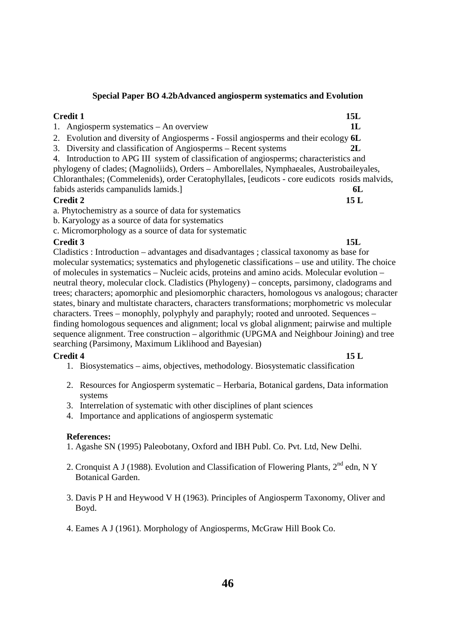# **Special Paper BO 4.2bAdvanced angiosperm systematics and Evolution**

# **Credit 1 15L**

- 1. Angiosperm systematics An overview **1L**
- 2. Evolution and diversity of Angiosperms Fossil angiosperms and their ecology **6L**
- 3. Diversity and classification of Angiosperms Recent systems **2L**
- 4. Introduction to APG III system of classification of angiosperms; characteristics and
- phylogeny of clades; (Magnoliids), Orders Amborellales, Nymphaeales, Austrobaileyales, Chloranthales; (Commelenids), order Ceratophyllales, [eudicots - core eudicots rosids malvids, fabids asterids campanulids lamids.] **6L**

# **Credit 2 15 L**

- a. Phytochemistry as a source of data for systematics
- b. Karyology as a source of data for systematics
- c. Micromorphology as a source of data for systematic

# **Credit 3 15L**

Cladistics : Introduction – advantages and disadvantages ; classical taxonomy as base for molecular systematics; systematics and phylogenetic classifications – use and utility. The choice of molecules in systematics – Nucleic acids, proteins and amino acids. Molecular evolution – neutral theory, molecular clock. Cladistics (Phylogeny) – concepts, parsimony, cladograms and trees; characters; apomorphic and plesiomorphic characters, homologous vs analogous; character states, binary and multistate characters, characters transformations; morphometric vs molecular characters. Trees – monophly, polyphyly and paraphyly; rooted and unrooted. Sequences – finding homologous sequences and alignment; local vs global alignment; pairwise and multiple sequence alignment. Tree construction – algorithmic (UPGMA and Neighbour Joining) and tree searching (Parsimony, Maximum Liklihood and Bayesian)

# **Credit 4 15 L**

- 1. Biosystematics aims, objectives, methodology. Biosystematic classification
- 2. Resources for Angiosperm systematic Herbaria, Botanical gardens, Data information systems
- 3. Interrelation of systematic with other disciplines of plant sciences
- 4. Importance and applications of angiosperm systematic

# **References:**

- 1. Agashe SN (1995) Paleobotany, Oxford and IBH Publ. Co. Pvt. Ltd, New Delhi.
- 2. Cronquist A J (1988). Evolution and Classification of Flowering Plants,  $2^{nd}$  edn, N Y Botanical Garden.
- 3. Davis P H and Heywood V H (1963). Principles of Angiosperm Taxonomy, Oliver and Boyd.
- 4. Eames A J (1961). Morphology of Angiosperms, McGraw Hill Book Co.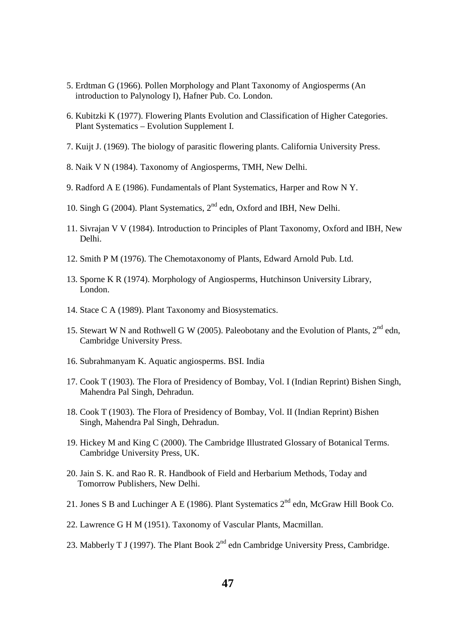- 5. Erdtman G (1966). Pollen Morphology and Plant Taxonomy of Angiosperms (An introduction to Palynology I), Hafner Pub. Co. London.
- 6. Kubitzki K (1977). Flowering Plants Evolution and Classification of Higher Categories. Plant Systematics – Evolution Supplement I.
- 7. Kuijt J. (1969). The biology of parasitic flowering plants. California University Press.
- 8. Naik V N (1984). Taxonomy of Angiosperms, TMH, New Delhi.
- 9. Radford A E (1986). Fundamentals of Plant Systematics, Harper and Row N Y.
- 10. Singh G (2004). Plant Systematics,  $2<sup>nd</sup>$  edn, Oxford and IBH, New Delhi.
- 11. Sivrajan V V (1984). Introduction to Principles of Plant Taxonomy, Oxford and IBH, New Delhi.
- 12. Smith P M (1976). The Chemotaxonomy of Plants, Edward Arnold Pub. Ltd.
- 13. Sporne K R (1974). Morphology of Angiosperms, Hutchinson University Library, London.
- 14. Stace C A (1989). Plant Taxonomy and Biosystematics.
- 15. Stewart W N and Rothwell G W (2005). Paleobotany and the Evolution of Plants, 2<sup>nd</sup> edn, Cambridge University Press.
- 16. Subrahmanyam K. Aquatic angiosperms. BSI. India
- 17. Cook T (1903). The Flora of Presidency of Bombay, Vol. I (Indian Reprint) Bishen Singh, Mahendra Pal Singh, Dehradun.
- 18. Cook T (1903). The Flora of Presidency of Bombay, Vol. II (Indian Reprint) Bishen Singh, Mahendra Pal Singh, Dehradun.
- 19. Hickey M and King C (2000). The Cambridge Illustrated Glossary of Botanical Terms. Cambridge University Press, UK.
- 20. Jain S. K. and Rao R. R. Handbook of Field and Herbarium Methods, Today and Tomorrow Publishers, New Delhi.
- 21. Jones S B and Luchinger A E (1986). Plant Systematics  $2^{nd}$  edn, McGraw Hill Book Co.
- 22. Lawrence G H M (1951). Taxonomy of Vascular Plants, Macmillan.
- 23. Mabberly T J (1997). The Plant Book  $2<sup>nd</sup>$  edn Cambridge University Press, Cambridge.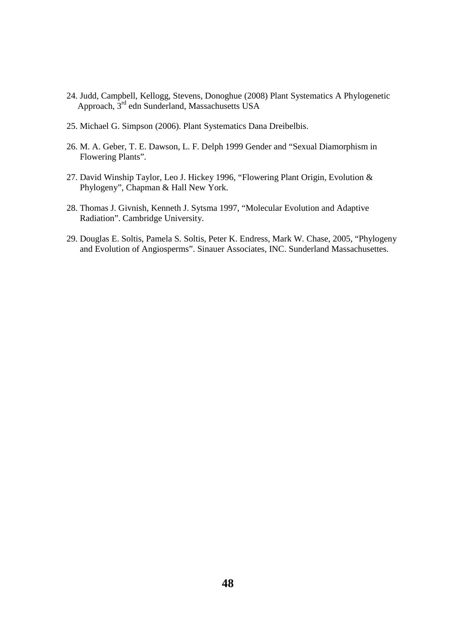- 24. Judd, Campbell, Kellogg, Stevens, Donoghue (2008) Plant Systematics A Phylogenetic Approach, 3rd edn Sunderland, Massachusetts USA
- 25. Michael G. Simpson (2006). Plant Systematics Dana Dreibelbis.
- 26. M. A. Geber, T. E. Dawson, L. F. Delph 1999 Gender and "Sexual Diamorphism in Flowering Plants".
- 27. David Winship Taylor, Leo J. Hickey 1996, "Flowering Plant Origin, Evolution & Phylogeny", Chapman & Hall New York.
- 28. Thomas J. Givnish, Kenneth J. Sytsma 1997, "Molecular Evolution and Adaptive Radiation". Cambridge University.
- 29. Douglas E. Soltis, Pamela S. Soltis, Peter K. Endress, Mark W. Chase, 2005, "Phylogeny and Evolution of Angiosperms". Sinauer Associates, INC. Sunderland Massachusettes.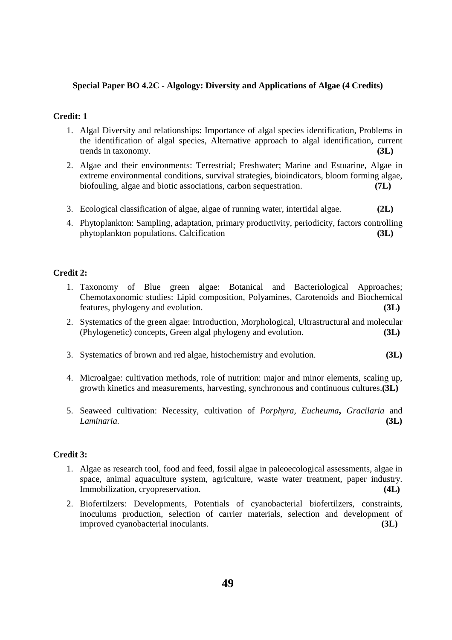# **Special Paper BO 4.2C - Algology: Diversity and Applications of Algae (4 Credits)**

# **Credit: 1**

- 1. Algal Diversity and relationships: Importance of algal species identification, Problems in the identification of algal species, Alternative approach to algal identification, current trends in taxonomy. **(3L)**
- 2. Algae and their environments: Terrestrial; Freshwater; Marine and Estuarine, Algae in extreme environmental conditions, survival strategies, bioindicators, bloom forming algae, biofouling, algae and biotic associations, carbon sequestration. **(7L)**
- 3. Ecological classification of algae, algae of running water, intertidal algae. **(2L)**
- 4. Phytoplankton: Sampling, adaptation, primary productivity, periodicity, factors controlling phytoplankton populations. Calcification **(3L)**

# **Credit 2:**

- 1. Taxonomy of Blue green algae: Botanical and Bacteriological Approaches; Chemotaxonomic studies: Lipid composition, Polyamines, Carotenoids and Biochemical features, phylogeny and evolution. **(3L)**
- 2. Systematics of the green algae: Introduction, Morphological, Ultrastructural and molecular (Phylogenetic) concepts, Green algal phylogeny and evolution. **(3L)**
- 3. Systematics of brown and red algae, histochemistry and evolution. **(3L)**
- 4. Microalgae: cultivation methods, role of nutrition: major and minor elements, scaling up, growth kinetics and measurements, harvesting, synchronous and continuous cultures.**(3L)**
- 5. Seaweed cultivation: Necessity, cultivation of *Porphyra, Eucheuma***,** *Gracilaria* and *Laminaria.* **(3L)**

# **Credit 3:**

- 1. Algae as research tool, food and feed, fossil algae in paleoecological assessments, algae in space, animal aquaculture system, agriculture, waste water treatment, paper industry. Immobilization, cryopreservation. **(4L)**
- 2. Biofertilzers: Developments, Potentials of cyanobacterial biofertilzers, constraints, inoculums production, selection of carrier materials, selection and development of improved cyanobacterial inoculants. **(3L)**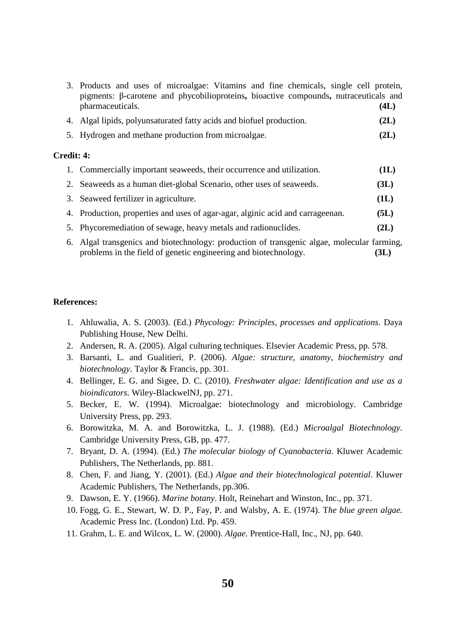|            | 3. Products and uses of microalgae: Vitamins and fine chemicals, single cell protein,<br>pigments: $\beta$ -carotene and phycobilioproteins, bioactive compounds, nutraceuticals and<br>pharmaceuticals. | (4L) |
|------------|----------------------------------------------------------------------------------------------------------------------------------------------------------------------------------------------------------|------|
|            | 4. Algal lipids, polyunsaturated fatty acids and biofuel production.                                                                                                                                     | (2L) |
|            | 5. Hydrogen and methane production from microalgae.                                                                                                                                                      | (2L) |
| Credit: 4: |                                                                                                                                                                                                          |      |
|            | 1. Commercially important seaweeds, their occurrence and utilization.                                                                                                                                    | (1L) |
|            | 2. Seaweeds as a human diet-global Scenario, other uses of seaweeds.                                                                                                                                     | (3L) |
|            | 3. Seaweed fertilizer in agriculture.                                                                                                                                                                    | (1L) |

- 4. Production, properties and uses of agar-agar, alginic acid and carrageenan. **(5L)**
- 5. Phycoremediation of sewage, heavy metals and radionuclides. **(2L)**
- 6. Algal transgenics and biotechnology: production of transgenic algae, molecular farming, problems in the field of genetic engineering and biotechnology. **(3L)**

#### **References:**

- 1. Ahluwalia, A. S. (2003). (Ed.) *Phycology: Principles, processes and applications*. Daya Publishing House, New Delhi.
- 2. Andersen, R. A. (2005). Algal culturing techniques. Elsevier Academic Press, pp. 578.
- 3. Barsanti, L. and Gualitieri, P. (2006). *Algae: structure, anatomy, biochemistry and biotechnology*. Taylor & Francis, pp. 301.
- 4. Bellinger, E. G. and Sigee, D. C. (2010). *Freshwater algae: Identification and use as a bioindicators*. Wiley-BlackwelNJ, pp. 271.
- 5. Becker, E. W. (1994). Microalgae: biotechnology and microbiology. Cambridge University Press, pp. 293.
- 6. Borowitzka, M. A. and Borowitzka, L. J. (1988). (Ed.) *Microalgal Biotechnology*. Cambridge University Press, GB, pp. 477.
- 7. Bryant, D. A. (1994). (Ed.) *The molecular biology of Cyanobacteria*. Kluwer Academic Publishers, The Netherlands, pp. 881.
- 8. Chen, F. and Jiang, Y. (2001). (Ed.) *Algae and their biotechnological potential*. Kluwer Academic Publishers, The Netherlands, pp.306.
- 9. Dawson, E. Y. (1966). *Marine botany*. Holt, Reinehart and Winston, Inc., pp. 371.
- 10. Fogg, G. E., Stewart, W. D. P., Fay, P. and Walsby, A. E. (1974). T*he blue green algae.* Academic Press Inc. (London) Ltd. Pp. 459.
- 11. Grahm, L. E. and Wilcox, L. W. (2000). *Algae*. Prentice-Hall, Inc., NJ, pp. 640.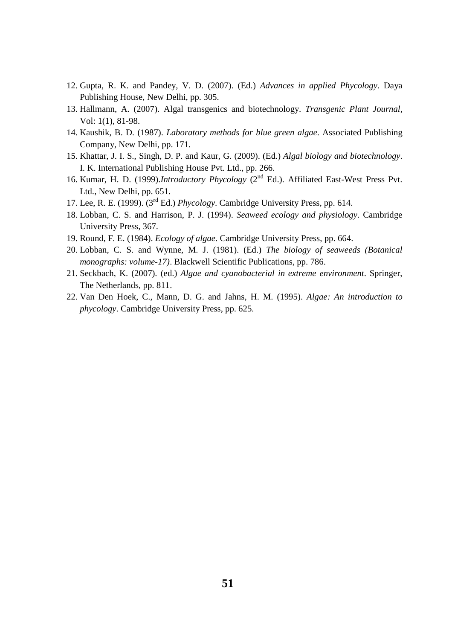- 12. Gupta, R. K. and Pandey, V. D. (2007). (Ed.) *Advances in applied Phycology*. Daya Publishing House, New Delhi, pp. 305.
- 13. Hallmann, A. (2007). Algal transgenics and biotechnology. *Transgenic Plant Journal*, Vol: 1(1), 81-98.
- 14. Kaushik, B. D. (1987). *Laboratory methods for blue green algae*. Associated Publishing Company, New Delhi, pp. 171.
- 15. Khattar, J. I. S., Singh, D. P. and Kaur, G. (2009). (Ed.) *Algal biology and biotechnology*. I. K. International Publishing House Pvt. Ltd., pp. 266.
- 16. Kumar, H. D. (1999).*Introductory Phycology* (2nd Ed.). Affiliated East-West Press Pvt. Ltd., New Delhi, pp. 651.
- 17. Lee, R. E. (1999). (3rd Ed.) *Phycology*. Cambridge University Press, pp. 614.
- 18. Lobban, C. S. and Harrison, P. J. (1994). *Seaweed ecology and physiology*. Cambridge University Press, 367.
- 19. Round, F. E. (1984). *Ecology of algae*. Cambridge University Press, pp. 664.
- 20. Lobban, C. S. and Wynne, M. J. (1981). (Ed.) *The biology of seaweeds (Botanical monographs: volume-17)*. Blackwell Scientific Publications, pp. 786.
- 21. Seckbach, K. (2007). (ed.) *Algae and cyanobacterial in extreme environment*. Springer, The Netherlands, pp. 811.
- 22. Van Den Hoek, C., Mann, D. G. and Jahns, H. M. (1995). *Algae: An introduction to phycology*. Cambridge University Press, pp. 625.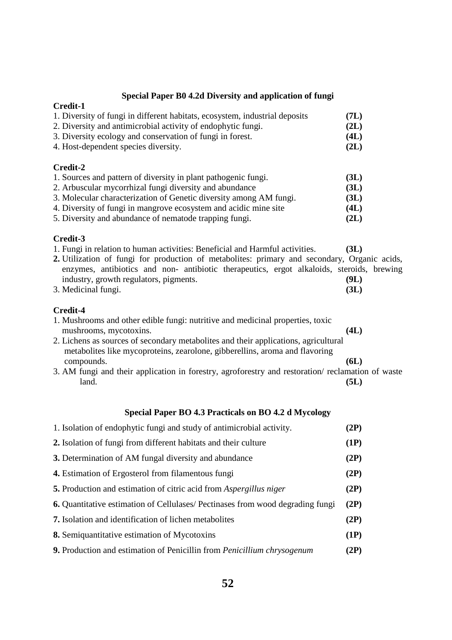# **Special Paper B0 4.2d Diversity and application of fungi**

| Special Faper by 4.2d Diversity and application of fungi                                                                                                                                                                                                                                                                                               |                      |
|--------------------------------------------------------------------------------------------------------------------------------------------------------------------------------------------------------------------------------------------------------------------------------------------------------------------------------------------------------|----------------------|
| Credit-1                                                                                                                                                                                                                                                                                                                                               |                      |
| 1. Diversity of fungi in different habitats, ecosystem, industrial deposits                                                                                                                                                                                                                                                                            | (7L)                 |
| 2. Diversity and antimicrobial activity of endophytic fungi.                                                                                                                                                                                                                                                                                           | (2L)                 |
| 3. Diversity ecology and conservation of fungi in forest.                                                                                                                                                                                                                                                                                              | (4L)                 |
| 4. Host-dependent species diversity.                                                                                                                                                                                                                                                                                                                   | (2L)                 |
| Credit-2                                                                                                                                                                                                                                                                                                                                               |                      |
| 1. Sources and pattern of diversity in plant pathogenic fungi.                                                                                                                                                                                                                                                                                         | (3L)                 |
| 2. Arbuscular mycorrhizal fungi diversity and abundance                                                                                                                                                                                                                                                                                                | (3L)                 |
| 3. Molecular characterization of Genetic diversity among AM fungi.                                                                                                                                                                                                                                                                                     | (3L)                 |
| 4. Diversity of fungi in mangrove ecosystem and acidic mine site                                                                                                                                                                                                                                                                                       | (4L)                 |
| 5. Diversity and abundance of nematode trapping fungi.                                                                                                                                                                                                                                                                                                 | (2L)                 |
| Credit-3<br>1. Fungi in relation to human activities: Beneficial and Harmful activities.<br>2. Utilization of fungi for production of metabolites: primary and secondary, Organic acids,<br>enzymes, antibiotics and non- antibiotic therapeutics, ergot alkaloids, steroids, brewing<br>industry, growth regulators, pigments.<br>3. Medicinal fungi. | (3L)<br>(9L)<br>(3L) |
| Credit-4                                                                                                                                                                                                                                                                                                                                               |                      |
| 1. Mushrooms and other edible fungi: nutritive and medicinal properties, toxic<br>mushrooms, mycotoxins.<br>2. Lichens as sources of secondary metabolites and their applications, agricultural<br>metabolites like mycoproteins, zearolone, gibberellins, aroma and flavoring                                                                         | (4L)                 |
| compounds.                                                                                                                                                                                                                                                                                                                                             | (6L)                 |
| 3. AM fungi and their application in forestry, agroforestry and restoration/reclamation of waste                                                                                                                                                                                                                                                       |                      |
| land.                                                                                                                                                                                                                                                                                                                                                  | (5L)                 |

# **Special Paper BO 4.3 Practicals on BO 4.2 d Mycology**

| 1. Isolation of endophytic fungi and study of antimicrobial activity.                 | (2P) |
|---------------------------------------------------------------------------------------|------|
| 2. Isolation of fungi from different habitats and their culture                       | (1P) |
| 3. Determination of AM fungal diversity and abundance                                 | (2P) |
| 4. Estimation of Ergosterol from filamentous fungi                                    | (2P) |
| <b>5.</b> Production and estimation of citric acid from <i>Aspergillus niger</i>      | (2P) |
| <b>6.</b> Quantitative estimation of Cellulases/ Pectinases from wood degrading fungi | (2P) |
| <b>7.</b> Isolation and identification of lichen metabolites                          | (2P) |
| <b>8.</b> Semiquantitative estimation of Mycotoxins                                   | (1P) |
| <b>9.</b> Production and estimation of Penicillin from <i>Penicillium chrysogenum</i> | (2P) |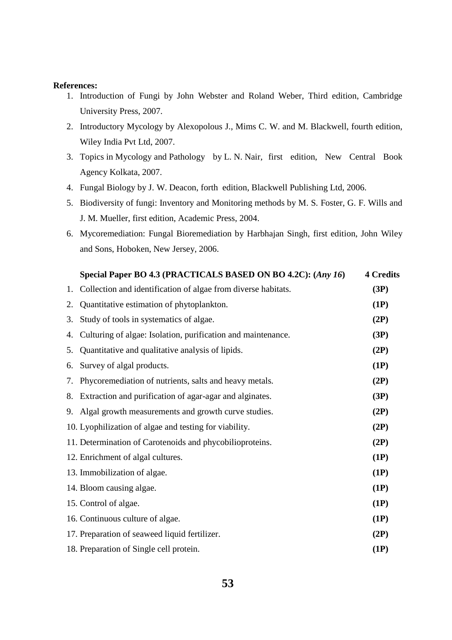#### **References:**

- 1. Introduction of Fungi by John Webster and Roland Weber, Third edition, Cambridge University Press, 2007.
- 2. Introductory Mycology by Alexopolous J., Mims C. W. and M. Blackwell, fourth edition, Wiley India Pvt Ltd, 2007.
- 3. Topics in Mycology and Pathology by L. N. Nair, first edition, New Central Book Agency Kolkata, 2007.
- 4. Fungal Biology by J. W. Deacon, forth edition, Blackwell Publishing Ltd, 2006.
- 5. Biodiversity of fungi: Inventory and Monitoring methods by M. S. Foster, G. F. Wills and J. M. Mueller, first edition, Academic Press, 2004.
- 6. Mycoremediation: Fungal Bioremediation by Harbhajan Singh, first edition, John Wiley and Sons, Hoboken, New Jersey, 2006.

|    | Special Paper BO 4.3 (PRACTICALS BASED ON BO 4.2C): (Any 16)  | <b>4 Credits</b> |
|----|---------------------------------------------------------------|------------------|
| 1. | Collection and identification of algae from diverse habitats. | (3P)             |
| 2. | Quantitative estimation of phytoplankton.                     | (1P)             |
| 3. | Study of tools in systematics of algae.                       | (2P)             |
| 4. | Culturing of algae: Isolation, purification and maintenance.  | (3P)             |
| 5. | Quantitative and qualitative analysis of lipids.              | (2P)             |
| 6. | Survey of algal products.                                     | (1P)             |
| 7. | Phycoremediation of nutrients, salts and heavy metals.        | (2P)             |
| 8. | Extraction and purification of agar-agar and alginates.       | (3P)             |
| 9. | Algal growth measurements and growth curve studies.           | (2P)             |
|    | 10. Lyophilization of algae and testing for viability.        | (2P)             |
|    | 11. Determination of Carotenoids and phycobilioproteins.      | (2P)             |
|    | 12. Enrichment of algal cultures.                             | (1P)             |
|    | 13. Immobilization of algae.                                  | (1P)             |
|    | 14. Bloom causing algae.                                      | (1P)             |
|    | 15. Control of algae.                                         | (1P)             |
|    | 16. Continuous culture of algae.                              | (1P)             |
|    | 17. Preparation of seaweed liquid fertilizer.                 | (2P)             |
|    | 18. Preparation of Single cell protein.                       | (1P)             |
|    |                                                               |                  |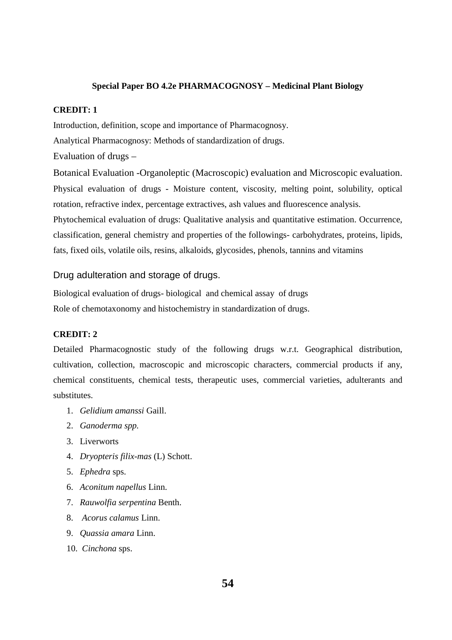## **Special Paper BO 4.2e PHARMACOGNOSY – Medicinal Plant Biology**

### **CREDIT: 1**

Introduction, definition, scope and importance of Pharmacognosy. Analytical Pharmacognosy: Methods of standardization of drugs. Evaluation of drugs –

Botanical Evaluation -Organoleptic (Macroscopic) evaluation and Microscopic evaluation. Physical evaluation of drugs - Moisture content, viscosity, melting point, solubility, optical rotation, refractive index, percentage extractives, ash values and fluorescence analysis. Phytochemical evaluation of drugs: Qualitative analysis and quantitative estimation. Occurrence, classification, general chemistry and properties of the followings- carbohydrates, proteins, lipids, fats, fixed oils, volatile oils, resins, alkaloids, glycosides, phenols, tannins and vitamins

Drug adulteration and storage of drugs.

Biological evaluation of drugs- biological and chemical assay of drugs Role of chemotaxonomy and histochemistry in standardization of drugs.

### **CREDIT: 2**

Detailed Pharmacognostic study of the following drugs w.r.t. Geographical distribution, cultivation, collection, macroscopic and microscopic characters, commercial products if any, chemical constituents, chemical tests, therapeutic uses, commercial varieties, adulterants and substitutes.

- 1. *Gelidium amanssi* Gaill.
- 2. *Ganoderma spp.*
- 3. Liverworts
- 4. *Dryopteris filix-mas* (L) Schott.
- 5. *Ephedra* sps.
- 6. *Aconitum napellus* Linn.
- 7. *Rauwolfia serpentina* Benth.
- 8. *Acorus calamus* Linn.
- 9. *Quassia amara* Linn.
- 10. *Cinchona* sps.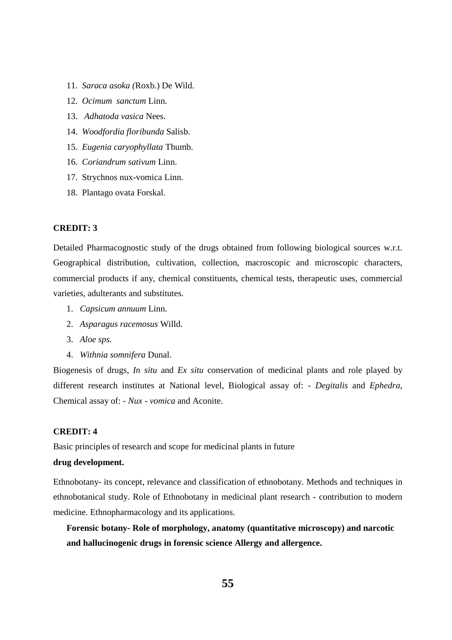- 11. *Saraca asoka (*Roxb.) De Wild.
- 12. *Ocimum sanctum* Linn.
- 13. *Adhatoda vasica* Nees.
- 14. *Woodfordia floribunda* Salisb.
- 15. *Eugenia caryophyllata* Thumb.
- 16. *Coriandrum sativum* Linn.
- 17. Strychnos nux-vomica Linn.
- 18. Plantago ovata Forskal.

#### **CREDIT: 3**

Detailed Pharmacognostic study of the drugs obtained from following biological sources w.r.t. Geographical distribution, cultivation, collection, macroscopic and microscopic characters, commercial products if any, chemical constituents, chemical tests, therapeutic uses, commercial varieties, adulterants and substitutes.

- 1. *Capsicum annuum* Linn.
- 2. *Asparagus racemosus* Willd.
- 3. *Aloe sps.*
- 4. *Withnia somnifera* Dunal.

Biogenesis of drugs, *In situ* and *Ex situ* conservation of medicinal plants and role played by different research institutes at National level, Biological assay of: - *Degitalis* and *Ephedra*, Chemical assay of: - *Nux - vomica* and Aconite.

#### **CREDIT: 4**

Basic principles of research and scope for medicinal plants in future

## **drug development.**

Ethnobotany- its concept, relevance and classification of ethnobotany. Methods and techniques in ethnobotanical study. Role of Ethnobotany in medicinal plant research - contribution to modern medicine. Ethnopharmacology and its applications.

**Forensic botany- Role of morphology, anatomy (quantitative microscopy) and narcotic and hallucinogenic drugs in forensic science Allergy and allergence.**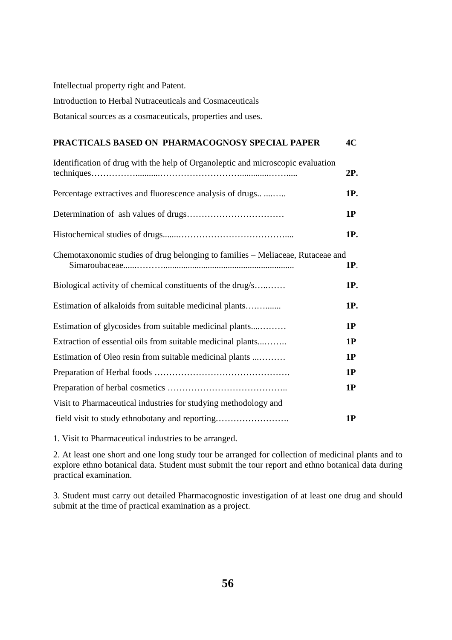Intellectual property right and Patent. Introduction to Herbal Nutraceuticals and Cosmaceuticals Botanical sources as a cosmaceuticals, properties and uses.

# **PRACTICALS BASED ON PHARMACOGNOSY SPECIAL PAPER 4C**

| Identification of drug with the help of Organoleptic and microscopic evaluation | 2P.        |
|---------------------------------------------------------------------------------|------------|
| Percentage extractives and fluorescence analysis of drugs                       | 1P.        |
|                                                                                 | 1P         |
|                                                                                 | 1P.        |
| Chemotaxonomic studies of drug belonging to families - Meliaceae, Rutaceae and  | <b>1P.</b> |
| Biological activity of chemical constituents of the drug/s                      | 1P.        |
| Estimation of alkaloids from suitable medicinal plants                          | 1P.        |
| Estimation of glycosides from suitable medicinal plants                         | 1P         |
| Extraction of essential oils from suitable medicinal plants                     | 1P         |
| Estimation of Oleo resin from suitable medicinal plants                         | 1P         |
|                                                                                 | 1P         |
|                                                                                 | 1P         |
| Visit to Pharmaceutical industries for studying methodology and                 |            |
| field visit to study ethnobotany and reporting                                  | 1P         |

1. Visit to Pharmaceutical industries to be arranged.

2. At least one short and one long study tour be arranged for collection of medicinal plants and to explore ethno botanical data. Student must submit the tour report and ethno botanical data during practical examination.

3. Student must carry out detailed Pharmacognostic investigation of at least one drug and should submit at the time of practical examination as a project.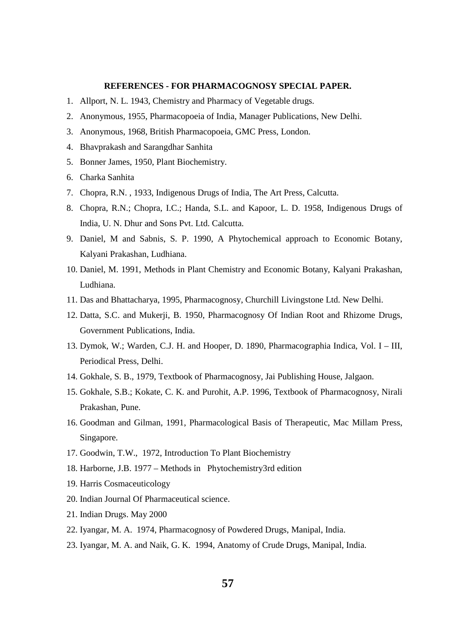### **REFERENCES - FOR PHARMACOGNOSY SPECIAL PAPER.**

- 1. Allport, N. L. 1943, Chemistry and Pharmacy of Vegetable drugs.
- 2. Anonymous, 1955, Pharmacopoeia of India, Manager Publications, New Delhi.
- 3. Anonymous, 1968, British Pharmacopoeia, GMC Press, London.
- 4. Bhavprakash and Sarangdhar Sanhita
- 5. Bonner James, 1950, Plant Biochemistry.
- 6. Charka Sanhita
- 7. Chopra, R.N. , 1933, Indigenous Drugs of India, The Art Press, Calcutta.
- 8. Chopra, R.N.; Chopra, I.C.; Handa, S.L. and Kapoor, L. D. 1958, Indigenous Drugs of India, U. N. Dhur and Sons Pvt. Ltd. Calcutta.
- 9. Daniel, M and Sabnis, S. P. 1990, A Phytochemical approach to Economic Botany, Kalyani Prakashan, Ludhiana.
- 10. Daniel, M. 1991, Methods in Plant Chemistry and Economic Botany, Kalyani Prakashan, Ludhiana.
- 11. Das and Bhattacharya, 1995, Pharmacognosy, Churchill Livingstone Ltd. New Delhi.
- 12. Datta, S.C. and Mukerji, B. 1950, Pharmacognosy Of Indian Root and Rhizome Drugs, Government Publications, India.
- 13. Dymok, W.; Warden, C.J. H. and Hooper, D. 1890, Pharmacographia Indica, Vol. I III, Periodical Press, Delhi.
- 14. Gokhale, S. B., 1979, Textbook of Pharmacognosy, Jai Publishing House, Jalgaon.
- 15. Gokhale, S.B.; Kokate, C. K. and Purohit, A.P. 1996, Textbook of Pharmacognosy, Nirali Prakashan, Pune.
- 16. Goodman and Gilman, 1991, Pharmacological Basis of Therapeutic, Mac Millam Press, Singapore.
- 17. Goodwin, T.W., 1972, Introduction To Plant Biochemistry
- 18. Harborne, J.B. 1977 Methods in Phytochemistry3rd edition
- 19. Harris Cosmaceuticology
- 20. Indian Journal Of Pharmaceutical science.
- 21. Indian Drugs. May 2000
- 22. Iyangar, M. A. 1974, Pharmacognosy of Powdered Drugs, Manipal, India.
- 23. Iyangar, M. A. and Naik, G. K. 1994, Anatomy of Crude Drugs, Manipal, India.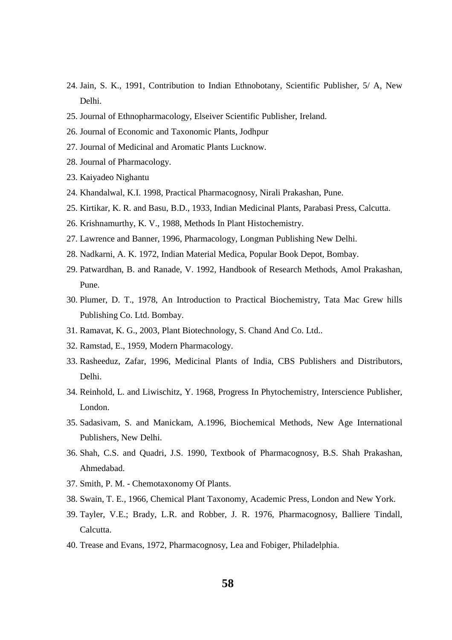- 24. Jain, S. K., 1991, Contribution to Indian Ethnobotany, Scientific Publisher, 5/ A, New Delhi.
- 25. Journal of Ethnopharmacology, Elseiver Scientific Publisher, Ireland.
- 26. Journal of Economic and Taxonomic Plants, Jodhpur
- 27. Journal of Medicinal and Aromatic Plants Lucknow.
- 28. Journal of Pharmacology.
- 23. Kaiyadeo Nighantu
- 24. Khandalwal, K.I. 1998, Practical Pharmacognosy, Nirali Prakashan, Pune.
- 25. Kirtikar, K. R. and Basu, B.D., 1933, Indian Medicinal Plants, Parabasi Press, Calcutta.
- 26. Krishnamurthy, K. V., 1988, Methods In Plant Histochemistry.
- 27. Lawrence and Banner, 1996, Pharmacology, Longman Publishing New Delhi.
- 28. Nadkarni, A. K. 1972, Indian Material Medica, Popular Book Depot, Bombay.
- 29. Patwardhan, B. and Ranade, V. 1992, Handbook of Research Methods, Amol Prakashan, Pune.
- 30. Plumer, D. T., 1978, An Introduction to Practical Biochemistry, Tata Mac Grew hills Publishing Co. Ltd. Bombay.
- 31. Ramavat, K. G., 2003, Plant Biotechnology, S. Chand And Co. Ltd..
- 32. Ramstad, E., 1959, Modern Pharmacology.
- 33. Rasheeduz, Zafar, 1996, Medicinal Plants of India, CBS Publishers and Distributors, Delhi.
- 34. Reinhold, L. and Liwischitz, Y. 1968, Progress In Phytochemistry, Interscience Publisher, London.
- 35. Sadasivam, S. and Manickam, A.1996, Biochemical Methods, New Age International Publishers, New Delhi.
- 36. Shah, C.S. and Quadri, J.S. 1990, Textbook of Pharmacognosy, B.S. Shah Prakashan, Ahmedabad.
- 37. Smith, P. M. Chemotaxonomy Of Plants.
- 38. Swain, T. E., 1966, Chemical Plant Taxonomy, Academic Press, London and New York.
- 39. Tayler, V.E.; Brady, L.R. and Robber, J. R. 1976, Pharmacognosy, Balliere Tindall, Calcutta.
- 40. Trease and Evans, 1972, Pharmacognosy, Lea and Fobiger, Philadelphia.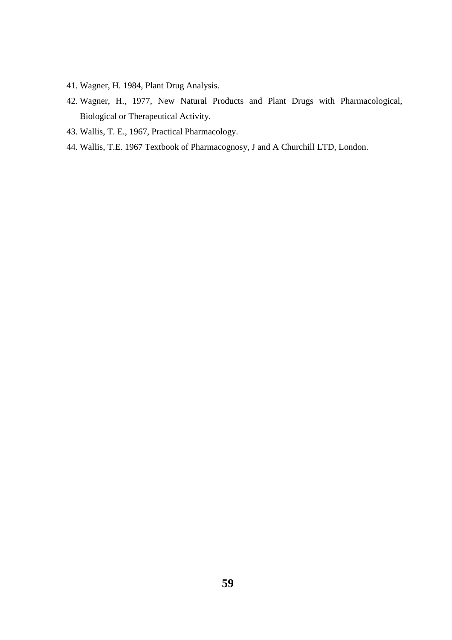- 41. Wagner, H. 1984, Plant Drug Analysis.
- 42. Wagner, H., 1977, New Natural Products and Plant Drugs with Pharmacological, Biological or Therapeutical Activity.
- 43. Wallis, T. E., 1967, Practical Pharmacology.
- 44. Wallis, T.E. 1967 Textbook of Pharmacognosy, J and A Churchill LTD, London.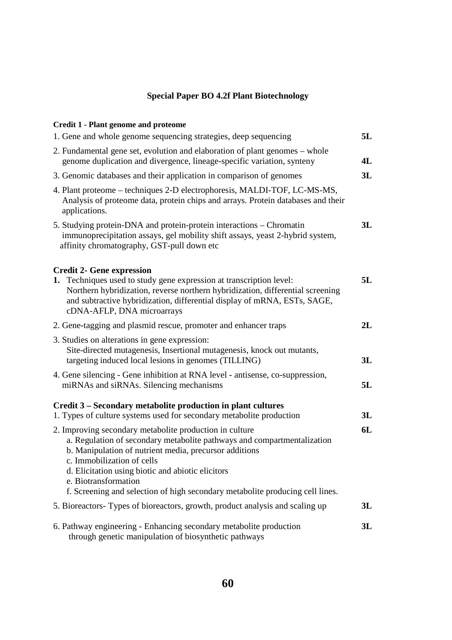# **Special Paper BO 4.2f Plant Biotechnology**

| <b>Credit 1 - Plant genome and proteome</b>                                                                                                                                                                                                                                                             |    |
|---------------------------------------------------------------------------------------------------------------------------------------------------------------------------------------------------------------------------------------------------------------------------------------------------------|----|
| 1. Gene and whole genome sequencing strategies, deep sequencing                                                                                                                                                                                                                                         | 5L |
| 2. Fundamental gene set, evolution and elaboration of plant genomes – whole<br>genome duplication and divergence, lineage-specific variation, synteny                                                                                                                                                   | 4L |
| 3. Genomic databases and their application in comparison of genomes                                                                                                                                                                                                                                     | 3L |
| 4. Plant proteome – techniques 2-D electrophoresis, MALDI-TOF, LC-MS-MS,<br>Analysis of proteome data, protein chips and arrays. Protein databases and their<br>applications.                                                                                                                           |    |
| 5. Studying protein-DNA and protein-protein interactions – Chromatin<br>immunoprecipitation assays, gel mobility shift assays, yeast 2-hybrid system,<br>affinity chromatography, GST-pull down etc                                                                                                     | 3L |
| <b>Credit 2- Gene expression</b><br>1. Techniques used to study gene expression at transcription level:<br>Northern hybridization, reverse northern hybridization, differential screening<br>and subtractive hybridization, differential display of mRNA, ESTs, SAGE,<br>cDNA-AFLP, DNA microarrays     | 5L |
| 2. Gene-tagging and plasmid rescue, promoter and enhancer traps                                                                                                                                                                                                                                         | 2L |
| 3. Studies on alterations in gene expression:<br>Site-directed mutagenesis, Insertional mutagenesis, knock out mutants,<br>targeting induced local lesions in genomes (TILLING)                                                                                                                         | 3L |
| 4. Gene silencing - Gene inhibition at RNA level - antisense, co-suppression,<br>miRNAs and siRNAs. Silencing mechanisms                                                                                                                                                                                | 5L |
| Credit 3 – Secondary metabolite production in plant cultures<br>1. Types of culture systems used for secondary metabolite production                                                                                                                                                                    | 3L |
| 2. Improving secondary metabolite production in culture<br>a. Regulation of secondary metabolite pathways and compartmentalization<br>b. Manipulation of nutrient media, precursor additions<br>c. Immobilization of cells<br>d. Elicitation using biotic and abiotic elicitors<br>e. Biotransformation | 6L |
| f. Screening and selection of high secondary metabolite producing cell lines.                                                                                                                                                                                                                           |    |
| 5. Bioreactors-Types of bioreactors, growth, product analysis and scaling up                                                                                                                                                                                                                            | 3L |
| 6. Pathway engineering - Enhancing secondary metabolite production<br>through genetic manipulation of biosynthetic pathways                                                                                                                                                                             | 3L |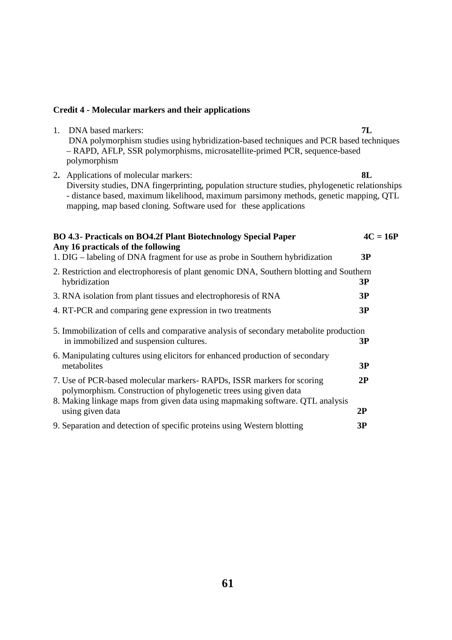## **Credit 4 - Molecular markers and their applications**

- 1. DNA based markers: **7L** DNA polymorphism studies using hybridization-based techniques and PCR based techniques – RAPD, AFLP, SSR polymorphisms, microsatellite-primed PCR, sequence-based polymorphism
- 2**.** Applications of molecular markers: **8L** Diversity studies, DNA fingerprinting, population structure studies, phylogenetic relationships - distance based, maximum likelihood, maximum parsimony methods, genetic mapping, QTL mapping, map based cloning. Software used for these applications

| BO 4.3- Practicals on BO4.2f Plant Biotechnology Special Paper<br>Any 16 practicals of the following                                                                                                                        | $4C = 16P$ |
|-----------------------------------------------------------------------------------------------------------------------------------------------------------------------------------------------------------------------------|------------|
| 1. DIG – labeling of DNA fragment for use as probe in Southern hybridization                                                                                                                                                | 3P         |
| 2. Restriction and electrophoresis of plant genomic DNA, Southern blotting and Southern<br>hybridization                                                                                                                    | 3P         |
| 3. RNA isolation from plant tissues and electrophoresis of RNA                                                                                                                                                              | 3P         |
| 4. RT-PCR and comparing gene expression in two treatments                                                                                                                                                                   | 3P         |
| 5. Immobilization of cells and comparative analysis of secondary metabolite production<br>in immobilized and suspension cultures.                                                                                           | 3P         |
| 6. Manipulating cultures using elicitors for enhanced production of secondary<br>metabolites                                                                                                                                | 3P         |
| 7. Use of PCR-based molecular markers-RAPDs, ISSR markers for scoring<br>polymorphism. Construction of phylogenetic trees using given data<br>8. Making linkage maps from given data using mapmaking software. QTL analysis | 2P         |
| using given data                                                                                                                                                                                                            | 2P         |
| 9. Separation and detection of specific proteins using Western blotting                                                                                                                                                     | 3P         |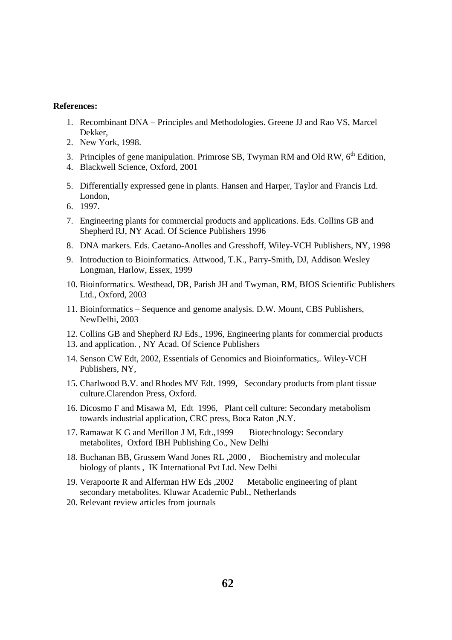### **References:**

- 1. Recombinant DNA Principles and Methodologies. Greene JJ and Rao VS, Marcel Dekker,
- 2. New York, 1998.
- 3. Principles of gene manipulation. Primrose SB, Twyman RM and Old RW,  $6<sup>th</sup>$  Edition,
- 4. Blackwell Science, Oxford, 2001
- 5. Differentially expressed gene in plants. Hansen and Harper, Taylor and Francis Ltd. London,
- 6. 1997.
- 7. Engineering plants for commercial products and applications. Eds. Collins GB and Shepherd RJ, NY Acad. Of Science Publishers 1996
- 8. DNA markers. Eds. Caetano-Anolles and Gresshoff, Wiley-VCH Publishers, NY, 1998
- 9. Introduction to Bioinformatics. Attwood, T.K., Parry-Smith, DJ, Addison Wesley Longman, Harlow, Essex, 1999
- 10. Bioinformatics. Westhead, DR, Parish JH and Twyman, RM, BIOS Scientific Publishers Ltd., Oxford, 2003
- 11. Bioinformatics Sequence and genome analysis. D.W. Mount, CBS Publishers, NewDelhi, 2003
- 12. Collins GB and Shepherd RJ Eds., 1996, Engineering plants for commercial products
- 13. and application. , NY Acad. Of Science Publishers
- 14. Senson CW Edt, 2002, Essentials of Genomics and Bioinformatics,. Wiley-VCH Publishers, NY,
- 15. Charlwood B.V. and Rhodes MV Edt. 1999, Secondary products from plant tissue culture.Clarendon Press, Oxford.
- 16. Dicosmo F and Misawa M, Edt 1996, Plant cell culture: Secondary metabolism towards industrial application, CRC press, Boca Raton ,N.Y.
- 17. Ramawat K G and Merillon J M, Edt.,1999 Biotechnology: Secondary metabolites, Oxford IBH Publishing Co., New Delhi
- 18. Buchanan BB, Grussem Wand Jones RL ,2000 , Biochemistry and molecular biology of plants , IK International Pvt Ltd. New Delhi
- 19. Verapoorte R and Alferman HW Eds ,2002 Metabolic engineering of plant secondary metabolites. Kluwar Academic Publ., Netherlands
- 20. Relevant review articles from journals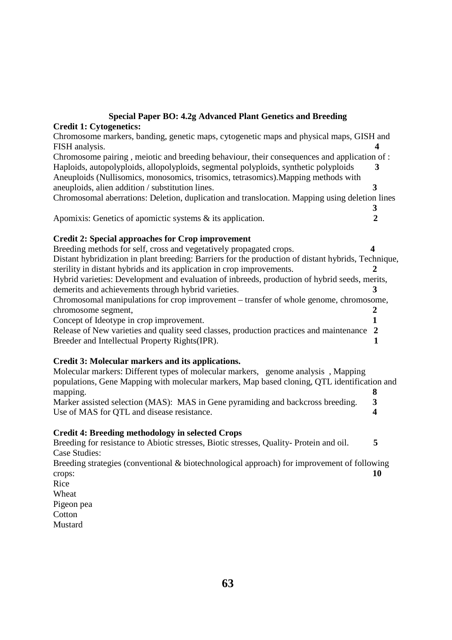## **Special Paper BO: 4.2g Advanced Plant Genetics and Breeding Credit 1: Cytogenetics:**

Chromosome markers, banding, genetic maps, cytogenetic maps and physical maps, GISH and FISH analysis. **4**  Chromosome pairing , meiotic and breeding behaviour, their consequences and application of : Haploids, autopolyploids, allopolyploids, segmental polyploids, synthetic polyploids **3** Aneuploids (Nullisomics, monosomics, trisomics, tetrasomics).Mapping methods with aneuploids, alien addition / substitution lines. **3** Chromosomal aberrations: Deletion, duplication and translocation. Mapping using deletion lines

 **3** Apomixis: Genetics of apomictic systems & its application. **2** 

# **Credit 2: Special approaches for Crop improvement**

Breeding methods for self, cross and vegetatively propagated crops. **4** Distant hybridization in plant breeding: Barriers for the production of distant hybrids, Technique, sterility in distant hybrids and its application in crop improvements. Hybrid varieties: Development and evaluation of inbreeds, production of hybrid seeds, merits, demerits and achievements through hybrid varieties. **3** Chromosomal manipulations for crop improvement – transfer of whole genome, chromosome, chromosome segment, **2** Concept of Ideotype in crop improvement. **1** Release of New varieties and quality seed classes, production practices and maintenance **2** Breeder and Intellectual Property Rights(IPR). **1**

# **Credit 3: Molecular markers and its applications.**

| Molecular markers: Different types of molecular markers, genome analysis, Mapping           |    |
|---------------------------------------------------------------------------------------------|----|
| populations, Gene Mapping with molecular markers, Map based cloning, QTL identification and |    |
| mapping.                                                                                    | χ  |
| Marker assisted selection (MAS): MAS in Gene pyramiding and backcross breeding.             | 3  |
| Use of MAS for QTL and disease resistance.                                                  |    |
| <b>Credit 4: Breeding methodology in selected Crops</b>                                     |    |
| Breeding for resistance to Abiotic stresses, Biotic stresses, Quality-Protein and oil.      | 5  |
| Case Studies:                                                                               |    |
| Breeding strategies (conventional & biotechnological approach) for improvement of following |    |
| crops:                                                                                      | 10 |

Rice Wheat Pigeon pea **Cotton** Mustard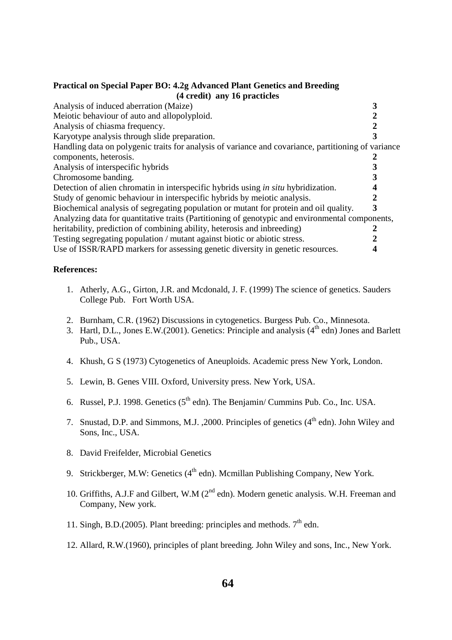## **Practical on Special Paper BO: 4.2g Advanced Plant Genetics and Breeding (4 credit) any 16 practicles**

| Analysis of induced aberration (Maize)                                                              |   |
|-----------------------------------------------------------------------------------------------------|---|
| Meiotic behaviour of auto and allopolyploid.                                                        |   |
| Analysis of chiasma frequency.                                                                      |   |
| Karyotype analysis through slide preparation.                                                       |   |
| Handling data on polygenic traits for analysis of variance and covariance, partitioning of variance |   |
| components, heterosis.                                                                              |   |
| Analysis of interspecific hybrids                                                                   |   |
| Chromosome banding.                                                                                 |   |
| Detection of alien chromatin in interspecific hybrids using <i>in situ</i> hybridization.           |   |
| Study of genomic behaviour in interspecific hybrids by meiotic analysis.                            |   |
| Biochemical analysis of segregating population or mutant for protein and oil quality.               | 3 |
| Analyzing data for quantitative traits (Partitioning of genotypic and environmental components,     |   |
| heritability, prediction of combining ability, heterosis and inbreeding)                            |   |
| Testing segregating population / mutant against biotic or abiotic stress.                           |   |
| Use of ISSR/RAPD markers for assessing genetic diversity in genetic resources.                      |   |
|                                                                                                     |   |

## **References:**

- 1. Atherly, A.G., Girton, J.R. and Mcdonald, J. F. (1999) The science of genetics. Sauders College Pub. Fort Worth USA.
- 2. Burnham, C.R. (1962) Discussions in cytogenetics. Burgess Pub. Co., Minnesota.
- 3. Hartl, D.L., Jones E.W.(2001). Genetics: Principle and analysis  $(4<sup>th</sup>$ edn) Jones and Barlett Pub., USA.
- 4. Khush, G S (1973) Cytogenetics of Aneuploids. Academic press New York, London.
- 5. Lewin, B. Genes VIII. Oxford, University press. New York, USA.
- 6. Russel, P.J. 1998. Genetics  $(5^{th}$  edn). The Benjamin/ Cummins Pub. Co., Inc. USA.
- 7. Snustad, D.P. and Simmons, M.J. , 2000. Principles of genetics  $(4<sup>th</sup>$ edn). John Wiley and Sons, Inc., USA.
- 8. David Freifelder, Microbial Genetics
- 9. Strickberger, M.W: Genetics (4<sup>th</sup> edn). Mcmillan Publishing Company, New York.
- 10. Griffiths, A.J.F and Gilbert, W.M (2<sup>nd</sup> edn). Modern genetic analysis. W.H. Freeman and Company, New york.
- 11. Singh, B.D.(2005). Plant breeding: principles and methods.  $7<sup>th</sup>$  edn.
- 12. Allard, R.W.(1960), principles of plant breeding. John Wiley and sons, Inc., New York.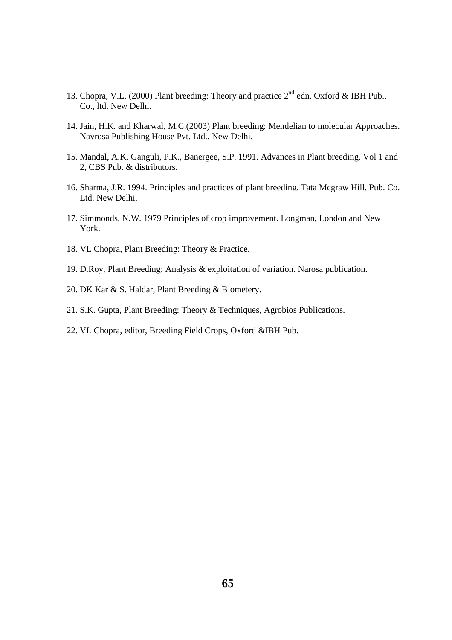- 13. Chopra, V.L. (2000) Plant breeding: Theory and practice  $2^{nd}$  edn. Oxford & IBH Pub., Co., ltd. New Delhi.
- 14. Jain, H.K. and Kharwal, M.C.(2003) Plant breeding: Mendelian to molecular Approaches. Navrosa Publishing House Pvt. Ltd., New Delhi.
- 15. Mandal, A.K. Ganguli, P.K., Banergee, S.P. 1991. Advances in Plant breeding. Vol 1 and 2, CBS Pub. & distributors.
- 16. Sharma, J.R. 1994. Principles and practices of plant breeding. Tata Mcgraw Hill. Pub. Co. Ltd. New Delhi.
- 17. Simmonds, N.W. 1979 Principles of crop improvement. Longman, London and New York.
- 18. VL Chopra, Plant Breeding: Theory & Practice.
- 19. D.Roy, Plant Breeding: Analysis & exploitation of variation. Narosa publication.
- 20. DK Kar & S. Haldar, Plant Breeding & Biometery.
- 21. S.K. Gupta, Plant Breeding: Theory & Techniques, Agrobios Publications.
- 22. VL Chopra, editor, Breeding Field Crops, Oxford &IBH Pub.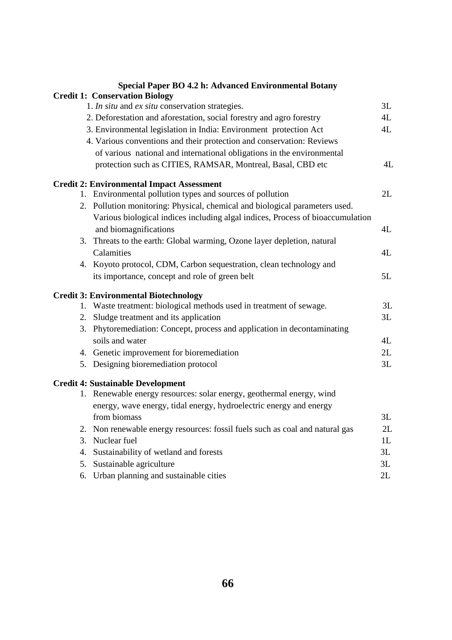|    | Special Paper BO 4.2 h: Advanced Environmental Botany                                                   |    |
|----|---------------------------------------------------------------------------------------------------------|----|
|    | <b>Credit 1: Conservation Biology</b>                                                                   |    |
|    | 1. In situ and ex situ conservation strategies.                                                         | 3L |
|    | 2. Deforestation and aforestation, social forestry and agro forestry                                    | 4L |
|    | 3. Environmental legislation in India: Environment protection Act                                       | 4L |
|    | 4. Various conventions and their protection and conservation: Reviews                                   |    |
|    | of various national and international obligations in the environmental                                  |    |
|    | protection such as CITIES, RAMSAR, Montreal, Basal, CBD etc                                             | 4L |
|    | <b>Credit 2: Environmental Impact Assessment</b>                                                        |    |
|    | 1. Environmental pollution types and sources of pollution                                               | 2L |
|    | 2. Pollution monitoring: Physical, chemical and biological parameters used.                             |    |
|    | Various biological indices including algal indices, Process of bioaccumulation<br>and biomagnifications | 4L |
|    | 3. Threats to the earth: Global warming, Ozone layer depletion, natural                                 |    |
|    | Calamities                                                                                              | 4L |
|    | 4. Koyoto protocol, CDM, Carbon sequestration, clean technology and                                     |    |
|    | its importance, concept and role of green belt                                                          | 5L |
|    | <b>Credit 3: Environmental Biotechnology</b>                                                            |    |
|    | 1. Waste treatment: biological methods used in treatment of sewage.                                     | 3L |
|    | 2. Sludge treatment and its application                                                                 | 3L |
|    | 3. Phytoremediation: Concept, process and application in decontaminating<br>soils and water             | 4L |
|    | 4. Genetic improvement for bioremediation                                                               | 2L |
|    |                                                                                                         | 3L |
|    | 5. Designing bioremediation protocol                                                                    |    |
|    | <b>Credit 4: Sustainable Development</b>                                                                |    |
|    | 1. Renewable energy resources: solar energy, geothermal energy, wind                                    |    |
|    | energy, wave energy, tidal energy, hydroelectric energy and energy                                      |    |
|    | from biomass                                                                                            | 3L |
| 2. | Non renewable energy resources: fossil fuels such as coal and natural gas                               | 2L |
| 3. | Nuclear fuel                                                                                            | 1L |
| 4. | Sustainability of wetland and forests                                                                   | 3L |
| 5. | Sustainable agriculture                                                                                 | 3L |
| 6. | Urban planning and sustainable cities                                                                   | 2L |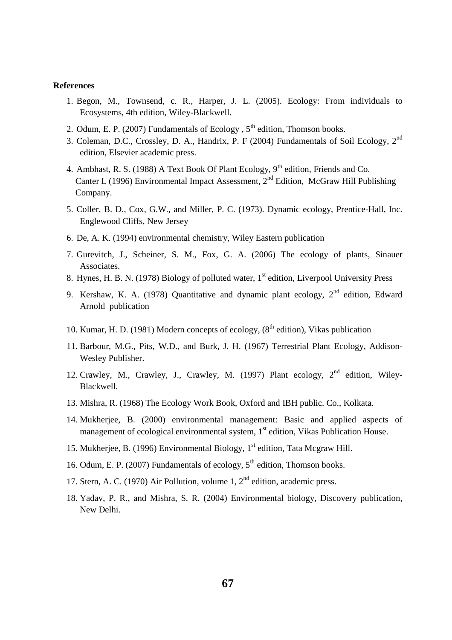### **References**

- 1. Begon, M., Townsend, c. R., Harper, J. L. (2005). Ecology: From individuals to Ecosystems, 4th edition, Wiley-Blackwell.
- 2. Odum, E. P. (2007) Fundamentals of Ecology ,  $5<sup>th</sup>$  edition, Thomson books.
- 3. Coleman, D.C., Crossley, D. A., Handrix, P. F (2004) Fundamentals of Soil Ecology, 2nd edition, Elsevier academic press.
- 4. Ambhast, R. S. (1988) A Text Book Of Plant Ecology,  $9<sup>th</sup>$  edition, Friends and Co. Canter L (1996) Environmental Impact Assessment, 2nd Edition, McGraw Hill Publishing Company.
- 5. Coller, B. D., Cox, G.W., and Miller, P. C. (1973). Dynamic ecology, Prentice-Hall, Inc. Englewood Cliffs, New Jersey
- 6. De, A. K. (1994) environmental chemistry, Wiley Eastern publication
- 7. Gurevitch, J., Scheiner, S. M., Fox, G. A. (2006) The ecology of plants, Sinauer Associates.
- 8. Hynes, H. B. N. (1978) Biology of polluted water, 1<sup>st</sup> edition, Liverpool University Press
- 9. Kershaw, K. A. (1978) Quantitative and dynamic plant ecology,  $2<sup>nd</sup>$  edition, Edward Arnold publication
- 10. Kumar, H. D. (1981) Modern concepts of ecology,  $(8<sup>th</sup>$  edition), Vikas publication
- 11. Barbour, M.G., Pits, W.D., and Burk, J. H. (1967) Terrestrial Plant Ecology, Addison-Wesley Publisher.
- 12. Crawley, M., Crawley, J., Crawley, M. (1997) Plant ecology,  $2<sup>nd</sup>$  edition, Wiley-Blackwell.
- 13. Mishra, R. (1968) The Ecology Work Book, Oxford and IBH public. Co., Kolkata.
- 14. Mukherjee, B. (2000) environmental management: Basic and applied aspects of management of ecological environmental system,  $1<sup>st</sup>$  edition, Vikas Publication House.
- 15. Mukherjee, B. (1996) Environmental Biology, 1<sup>st</sup> edition, Tata Mcgraw Hill.
- 16. Odum, E. P. (2007) Fundamentals of ecology,  $5<sup>th</sup>$  edition, Thomson books.
- 17. Stern, A. C. (1970) Air Pollution, volume 1,  $2<sup>nd</sup>$  edition, academic press.
- 18. Yadav, P. R., and Mishra, S. R. (2004) Environmental biology, Discovery publication, New Delhi.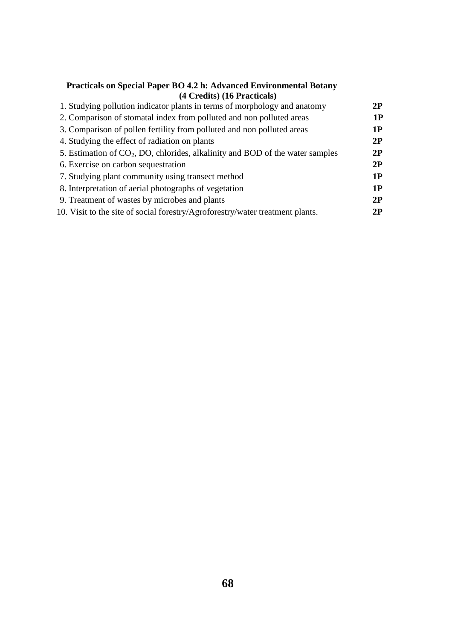| <b>Practicals on Special Paper BO 4.2 h: Advanced Environmental Botany</b> |  |
|----------------------------------------------------------------------------|--|
| (4 Credits) (16 Practicals)                                                |  |

| 1. Studying pollution indicator plants in terms of morphology and anatomy       | 2P |
|---------------------------------------------------------------------------------|----|
| 2. Comparison of stomatal index from polluted and non polluted areas            | 1P |
| 3. Comparison of pollen fertility from polluted and non polluted areas          | 1P |
| 4. Studying the effect of radiation on plants                                   | 2P |
| 5. Estimation of $CO2$ , DO, chlorides, alkalinity and BOD of the water samples | 2P |
| 6. Exercise on carbon sequestration                                             | 2P |
| 7. Studying plant community using transect method                               | 1P |
| 8. Interpretation of aerial photographs of vegetation                           | 1P |
| 9. Treatment of wastes by microbes and plants                                   | 2P |
| 10. Visit to the site of social forestry/Agroforestry/water treatment plants.   | 2P |
|                                                                                 |    |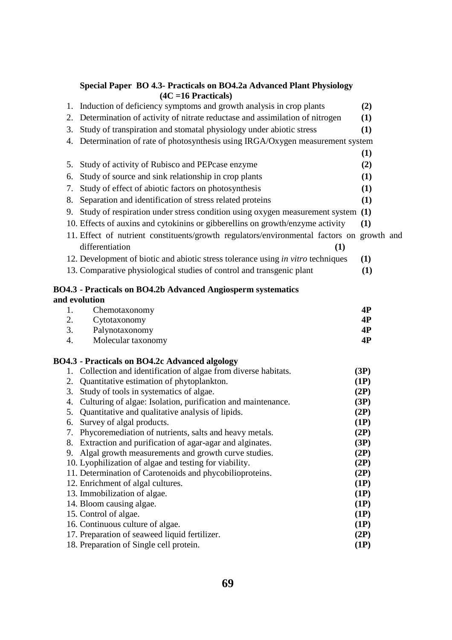|    | Special Paper BO 4.3- Practicals on BO4.2a Advanced Plant Physiology<br>$(4C = 16$ Practicals) |              |
|----|------------------------------------------------------------------------------------------------|--------------|
| 1. | Induction of deficiency symptoms and growth analysis in crop plants                            | (2)          |
| 2. | Determination of activity of nitrate reductase and assimilation of nitrogen                    | (1)          |
| 3. | Study of transpiration and stomatal physiology under abiotic stress                            | (1)          |
|    |                                                                                                |              |
| 4. | Determination of rate of photosynthesis using IRGA/Oxygen measurement system                   |              |
|    |                                                                                                | (1)          |
| 5. | Study of activity of Rubisco and PEPcase enzyme                                                | (2)          |
| 6. | Study of source and sink relationship in crop plants                                           | (1)          |
| 7. | Study of effect of abiotic factors on photosynthesis                                           | (1)          |
| 8. | Separation and identification of stress related proteins                                       | (1)          |
| 9. | Study of respiration under stress condition using oxygen measurement system                    | (1)          |
|    | 10. Effects of auxins and cytokinins or gibberellins on growth/enzyme activity                 | (1)          |
|    | 11. Effect of nutrient constituents/growth regulators/environmental factors on growth and      |              |
|    | differentiation<br>(1)                                                                         |              |
|    | 12. Development of biotic and abiotic stress tolerance using in vitro techniques               | (1)          |
|    | 13. Comparative physiological studies of control and transgenic plant                          | (1)          |
|    |                                                                                                |              |
|    | BO4.3 - Practicals on BO4.2b Advanced Angiosperm systematics                                   |              |
|    | and evolution                                                                                  |              |
| 1. | Chemotaxonomy                                                                                  | 4P           |
| 2. | Cytotaxonomy                                                                                   | 4P           |
| 3. | Palynotaxonomy                                                                                 | 4P           |
| 4. | Molecular taxonomy                                                                             | 4P           |
|    | BO4.3 - Practicals on BO4.2c Advanced algology                                                 |              |
|    | 1. Collection and identification of algae from diverse habitats.                               | (3P)         |
| 2. | Quantitative estimation of phytoplankton.                                                      | (1P)         |
| 3. | Study of tools in systematics of algae.                                                        | (2P)         |
| 4. | Culturing of algae: Isolation, purification and maintenance.                                   | (3P)         |
| 5. | Quantitative and qualitative analysis of lipids.                                               | (2P)         |
|    | 6. Survey of algal products.                                                                   | (1P)         |
|    | 7. Phycoremediation of nutrients, salts and heavy metals.                                      | (2P)         |
|    | 8. Extraction and purification of agar-agar and alginates.                                     | (3P)         |
| 9. | Algal growth measurements and growth curve studies.                                            | (2P)         |
|    | 10. Lyophilization of algae and testing for viability.                                         | (2P)         |
|    | 11. Determination of Carotenoids and phycobilioproteins.                                       | (2P)         |
|    | 12. Enrichment of algal cultures.                                                              | (1P)         |
|    | 13. Immobilization of algae.                                                                   | (1P)<br>(1P) |
|    | 14. Bloom causing algae.<br>15. Control of algae.                                              | (1P)         |
|    | 16. Continuous culture of algae.                                                               | (1P)         |
|    | 17. Preparation of seaweed liquid fertilizer.                                                  | (2P)         |
|    | 18. Preparation of Single cell protein.                                                        | (1P)         |
|    |                                                                                                |              |

# **69**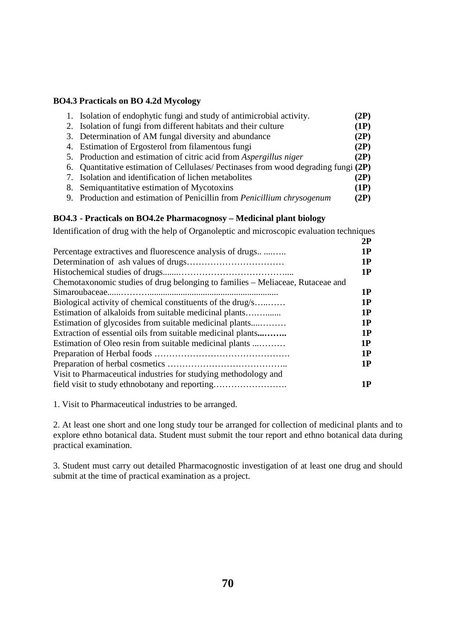# **BO4.3 Practicals on BO 4.2d Mycology**

| 1. Isolation of endophytic fungi and study of antimicrobial activity.              | (2P) |
|------------------------------------------------------------------------------------|------|
| 2. Isolation of fungi from different habitats and their culture                    | (1P) |
| 3. Determination of AM fungal diversity and abundance                              | (2P) |
| 4. Estimation of Ergosterol from filamentous fungi                                 | (2P) |
| 5. Production and estimation of citric acid from Aspergillus niger                 | (2P) |
| 6. Quantitative estimation of Cellulases/Pectinases from wood degrading fungi (2P) |      |
| 7. Isolation and identification of lichen metabolites                              | (2P) |
| 8. Semiquantitative estimation of Mycotoxins                                       | (1P) |
| 9. Production and estimation of Penicillin from Penicillium chrysogenum            | (2P) |

# **BO4.3 - Practicals on BO4.2e Pharmacognosy – Medicinal plant biology**

Identification of drug with the help of Organoleptic and microscopic evaluation techniques

|                                                                                | 2P |
|--------------------------------------------------------------------------------|----|
| Percentage extractives and fluorescence analysis of drugs                      | 1P |
|                                                                                | 1P |
|                                                                                | 1P |
| Chemotaxonomic studies of drug belonging to families – Meliaceae, Rutaceae and |    |
|                                                                                | 1P |
| Biological activity of chemical constituents of the drug/s                     | 1P |
| Estimation of alkaloids from suitable medicinal plants                         | 1P |
| Estimation of glycosides from suitable medicinal plants                        | 1P |
| Extraction of essential oils from suitable medicinal plants                    | 1P |
| Estimation of Oleo resin from suitable medicinal plants                        | 1P |
|                                                                                | 1P |
|                                                                                | 1P |
| Visit to Pharmaceutical industries for studying methodology and                |    |
| field visit to study ethnobotany and reporting                                 | 1P |
|                                                                                |    |

1. Visit to Pharmaceutical industries to be arranged.

2. At least one short and one long study tour be arranged for collection of medicinal plants and to explore ethno botanical data. Student must submit the tour report and ethno botanical data during practical examination.

3. Student must carry out detailed Pharmacognostic investigation of at least one drug and should submit at the time of practical examination as a project.